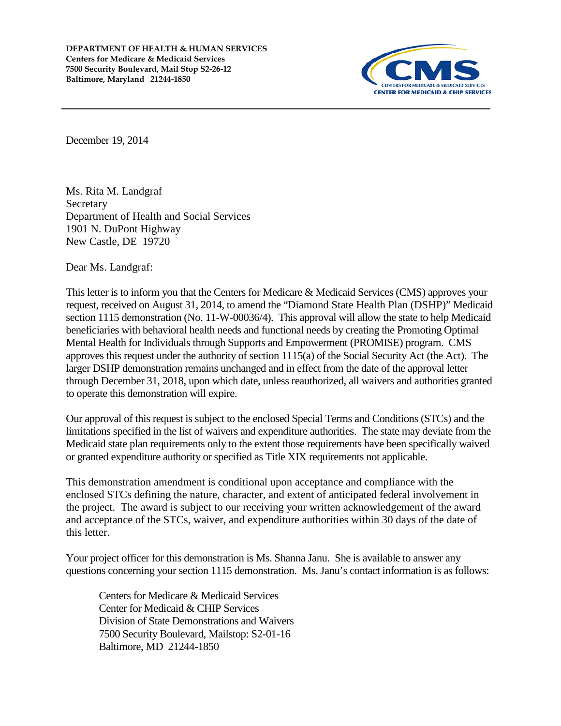

December 19, 2014

Ms. Rita M. Landgraf Secretary Department of Health and Social Services 1901 N. DuPont Highway New Castle, DE 19720

Dear Ms. Landgraf:

This letter is to inform you that the Centers for Medicare & Medicaid Services (CMS) approves your request, received on August 31, 2014, to amend the "Diamond State Health Plan (DSHP)" Medicaid section 1115 demonstration (No. 11-W-00036/4). This approval will allow the state to help Medicaid beneficiaries with behavioral health needs and functional needs by creating the Promoting Optimal Mental Health for Individuals through Supports and Empowerment (PROMISE) program. CMS approves this request under the authority of section 1115(a) of the Social Security Act (the Act). The larger DSHP demonstration remains unchanged and in effect from the date of the approval letter through December 31, 2018, upon which date, unless reauthorized, all waivers and authorities granted to operate this demonstration will expire.

Our approval of this request is subject to the enclosed Special Terms and Conditions (STCs) and the limitations specified in the list of waivers and expenditure authorities. The state may deviate from the Medicaid state plan requirements only to the extent those requirements have been specifically waived or granted expenditure authority or specified as Title XIX requirements not applicable.

This demonstration amendment is conditional upon acceptance and compliance with the enclosed STCs defining the nature, character, and extent of anticipated federal involvement in the project. The award is subject to our receiving your written acknowledgement of the award and acceptance of the STCs, waiver, and expenditure authorities within 30 days of the date of this letter.

Your project officer for this demonstration is Ms. Shanna Janu. She is available to answer any questions concerning your section 1115 demonstration. Ms. Janu's contact information is as follows:

Centers for Medicare & Medicaid Services Center for Medicaid & CHIP Services Division of State Demonstrations and Waivers 7500 Security Boulevard, Mailstop: S2-01-16 Baltimore, MD 21244-1850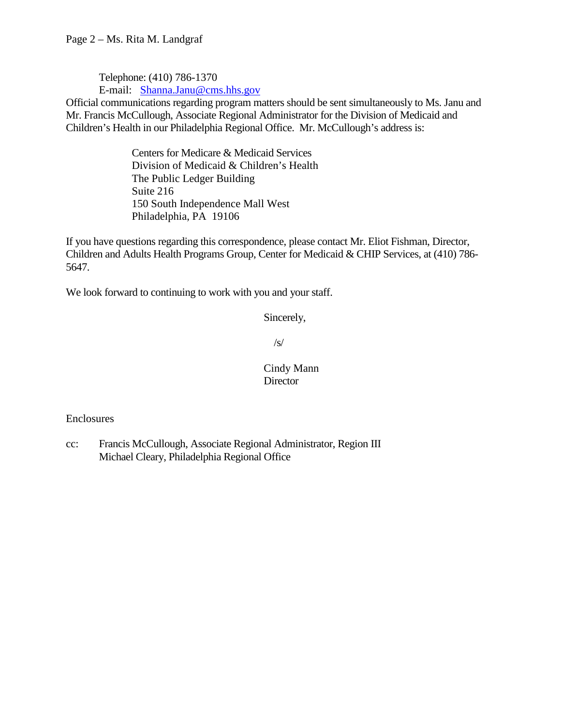#### Telephone: (410) 786-1370 E-mail: [Shanna.Janu@cms.hhs.gov](mailto:Shanna.Janu@cms.hhs.gov)

Official communications regarding program matters should be sent simultaneously to Ms. Janu and Mr. Francis McCullough, Associate Regional Administrator for the Division of Medicaid and Children's Health in our Philadelphia Regional Office. Mr. McCullough's address is:

> Centers for Medicare & Medicaid Services Division of Medicaid & Children's Health The Public Ledger Building Suite 216 150 South Independence Mall West Philadelphia, PA 19106

If you have questions regarding this correspondence, please contact Mr. Eliot Fishman, Director, Children and Adults Health Programs Group, Center for Medicaid & CHIP Services, at (410) 786- 5647.

We look forward to continuing to work with you and your staff.

Sincerely,

/s/

## Cindy Mann **Director**

Enclosures

cc: Francis McCullough, Associate Regional Administrator, Region III Michael Cleary, Philadelphia Regional Office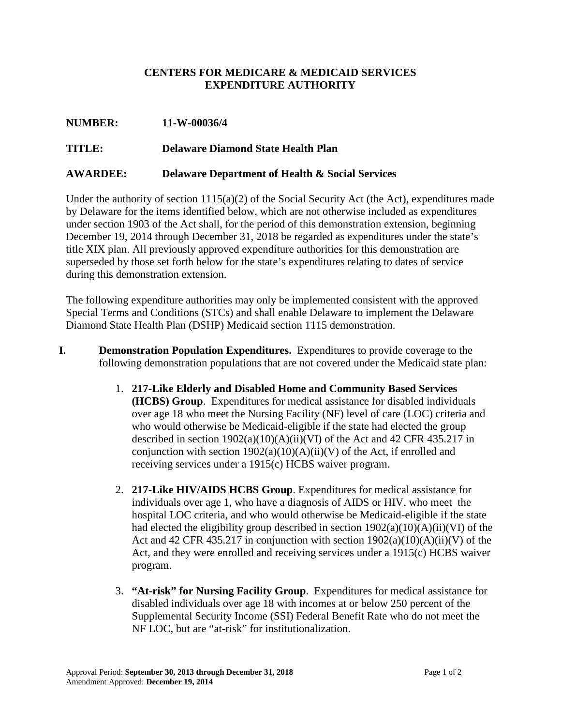#### **CENTERS FOR MEDICARE & MEDICAID SERVICES EXPENDITURE AUTHORITY**

**NUMBER: 11-W-00036/4**

## **TITLE: Delaware Diamond State Health Plan**

#### **AWARDEE: Delaware Department of Health & Social Services**

Under the authority of section  $1115(a)(2)$  of the Social Security Act (the Act), expenditures made by Delaware for the items identified below, which are not otherwise included as expenditures under section 1903 of the Act shall, for the period of this demonstration extension, beginning December 19, 2014 through December 31, 2018 be regarded as expenditures under the state's title XIX plan. All previously approved expenditure authorities for this demonstration are superseded by those set forth below for the state's expenditures relating to dates of service during this demonstration extension.

The following expenditure authorities may only be implemented consistent with the approved Special Terms and Conditions (STCs) and shall enable Delaware to implement the Delaware Diamond State Health Plan (DSHP) Medicaid section 1115 demonstration.

- **I. Demonstration Population Expenditures.** Expenditures to provide coverage to the following demonstration populations that are not covered under the Medicaid state plan:
	- 1. **217-Like Elderly and Disabled Home and Community Based Services (HCBS) Group**. Expenditures for medical assistance for disabled individuals over age 18 who meet the Nursing Facility (NF) level of care (LOC) criteria and who would otherwise be Medicaid-eligible if the state had elected the group described in section  $1902(a)(10)(A)(ii)(VI)$  of the Act and 42 CFR 435.217 in conjunction with section  $1902(a)(10)(A)(ii)(V)$  of the Act, if enrolled and receiving services under a 1915(c) HCBS waiver program.
	- 2. **217-Like HIV/AIDS HCBS Group**. Expenditures for medical assistance for individuals over age 1, who have a diagnosis of AIDS or HIV, who meet the hospital LOC criteria, and who would otherwise be Medicaid-eligible if the state had elected the eligibility group described in section 1902(a)(10)(A)(ii)(VI) of the Act and 42 CFR 435.217 in conjunction with section  $1902(a)(10)(A)(ii)(V)$  of the Act, and they were enrolled and receiving services under a 1915(c) HCBS waiver program.
	- 3. **"At-risk" for Nursing Facility Group**. Expenditures for medical assistance for disabled individuals over age 18 with incomes at or below 250 percent of the Supplemental Security Income (SSI) Federal Benefit Rate who do not meet the NF LOC, but are "at-risk" for institutionalization.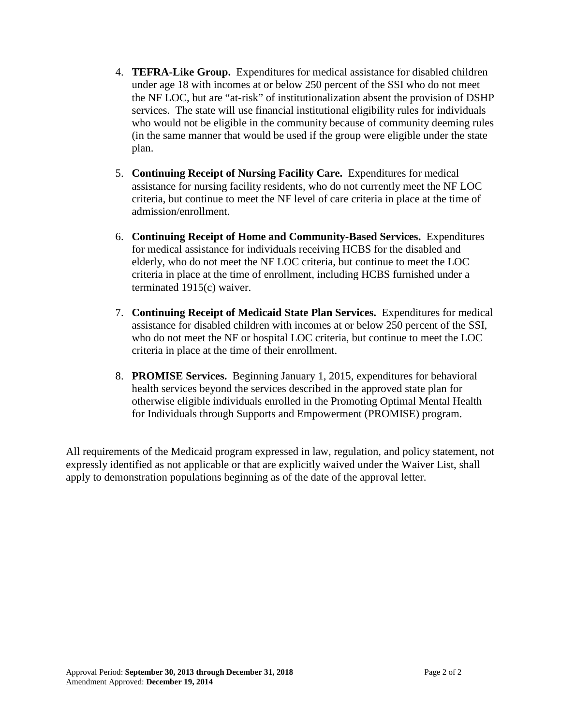- 4. **TEFRA-Like Group.** Expenditures for medical assistance for disabled children under age 18 with incomes at or below 250 percent of the SSI who do not meet the NF LOC, but are "at-risk" of institutionalization absent the provision of DSHP services. The state will use financial institutional eligibility rules for individuals who would not be eligible in the community because of community deeming rules (in the same manner that would be used if the group were eligible under the state plan.
- 5. **Continuing Receipt of Nursing Facility Care.** Expenditures for medical assistance for nursing facility residents, who do not currently meet the NF LOC criteria, but continue to meet the NF level of care criteria in place at the time of admission/enrollment.
- 6. **Continuing Receipt of Home and Community-Based Services.** Expenditures for medical assistance for individuals receiving HCBS for the disabled and elderly, who do not meet the NF LOC criteria, but continue to meet the LOC criteria in place at the time of enrollment, including HCBS furnished under a terminated 1915(c) waiver.
- 7. **Continuing Receipt of Medicaid State Plan Services.** Expenditures for medical assistance for disabled children with incomes at or below 250 percent of the SSI, who do not meet the NF or hospital LOC criteria, but continue to meet the LOC criteria in place at the time of their enrollment.
- 8. **PROMISE Services.** Beginning January 1, 2015, expenditures for behavioral health services beyond the services described in the approved state plan for otherwise eligible individuals enrolled in the Promoting Optimal Mental Health for Individuals through Supports and Empowerment (PROMISE) program.

All requirements of the Medicaid program expressed in law, regulation, and policy statement, not expressly identified as not applicable or that are explicitly waived under the Waiver List, shall apply to demonstration populations beginning as of the date of the approval letter.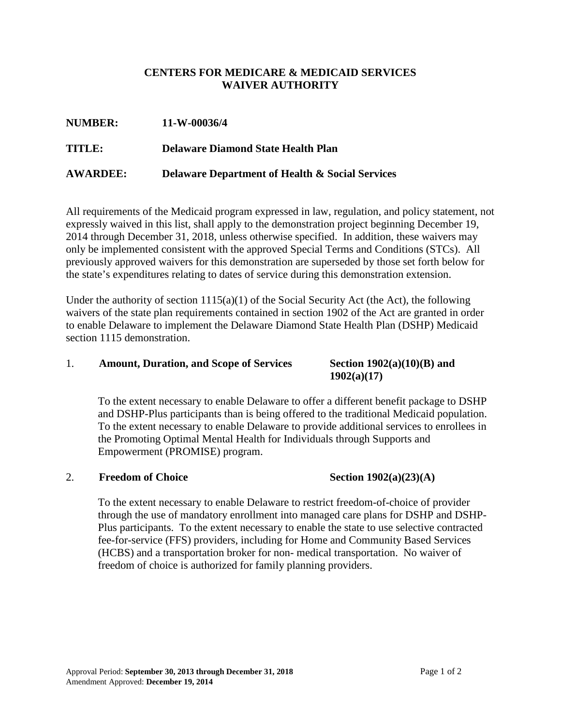#### **CENTERS FOR MEDICARE & MEDICAID SERVICES WAIVER AUTHORITY**

| <b>NUMBER:</b>  | 11-W-00036/4                                               |
|-----------------|------------------------------------------------------------|
| TITLE:          | <b>Delaware Diamond State Health Plan</b>                  |
| <b>AWARDEE:</b> | <b>Delaware Department of Health &amp; Social Services</b> |

All requirements of the Medicaid program expressed in law, regulation, and policy statement, not expressly waived in this list, shall apply to the demonstration project beginning December 19, 2014 through December 31, 2018, unless otherwise specified. In addition, these waivers may only be implemented consistent with the approved Special Terms and Conditions (STCs). All previously approved waivers for this demonstration are superseded by those set forth below for the state's expenditures relating to dates of service during this demonstration extension.

Under the authority of section  $1115(a)(1)$  of the Social Security Act (the Act), the following waivers of the state plan requirements contained in section 1902 of the Act are granted in order to enable Delaware to implement the Delaware Diamond State Health Plan (DSHP) Medicaid section 1115 demonstration.

#### 1. **Amount, Duration, and Scope of Services Section 1902(a)(10)(B) and 1902(a)(17)**

To the extent necessary to enable Delaware to offer a different benefit package to DSHP and DSHP-Plus participants than is being offered to the traditional Medicaid population. To the extent necessary to enable Delaware to provide additional services to enrollees in the Promoting Optimal Mental Health for Individuals through Supports and Empowerment (PROMISE) program.

#### 2. **Freedom of Choice Section 1902(a)(23)(A)**

To the extent necessary to enable Delaware to restrict freedom-of-choice of provider through the use of mandatory enrollment into managed care plans for DSHP and DSHP-Plus participants. To the extent necessary to enable the state to use selective contracted fee-for-service (FFS) providers, including for Home and Community Based Services (HCBS) and a transportation broker for non- medical transportation. No waiver of freedom of choice is authorized for family planning providers.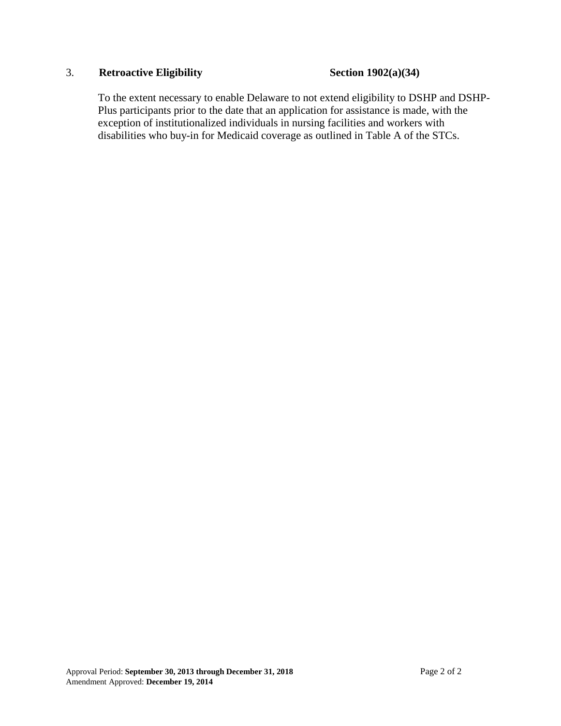#### 3. **Retroactive Eligibility Section 1902(a)(34)**

To the extent necessary to enable Delaware to not extend eligibility to DSHP and DSHP-Plus participants prior to the date that an application for assistance is made, with the exception of institutionalized individuals in nursing facilities and workers with disabilities who buy-in for Medicaid coverage as outlined in Table A of the STCs.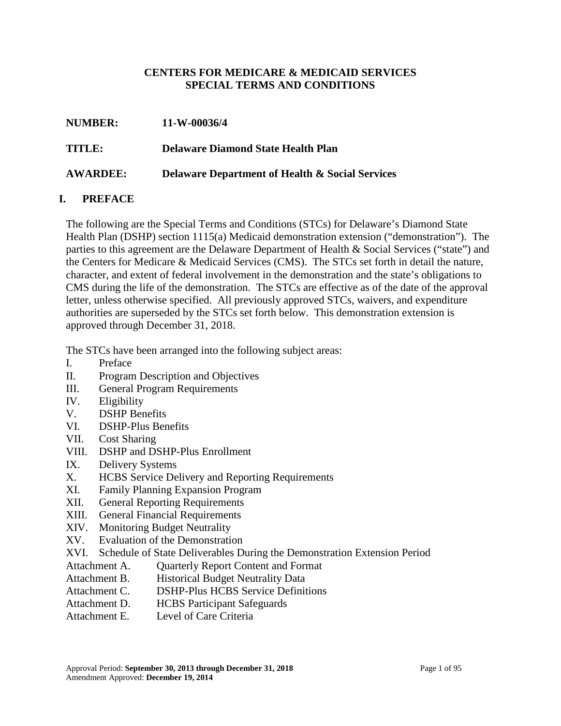#### **CENTERS FOR MEDICARE & MEDICAID SERVICES SPECIAL TERMS AND CONDITIONS**

| <b>NUMBER:</b>  | 11-W-00036/4                                               |
|-----------------|------------------------------------------------------------|
| TITLE:          | <b>Delaware Diamond State Health Plan</b>                  |
| <b>AWARDEE:</b> | <b>Delaware Department of Health &amp; Social Services</b> |

#### **I. PREFACE**

The following are the Special Terms and Conditions (STCs) for Delaware's Diamond State Health Plan (DSHP) section 1115(a) Medicaid demonstration extension ("demonstration"). The parties to this agreement are the Delaware Department of Health & Social Services ("state") and the Centers for Medicare & Medicaid Services (CMS). The STCs set forth in detail the nature, character, and extent of federal involvement in the demonstration and the state's obligations to CMS during the life of the demonstration. The STCs are effective as of the date of the approval letter, unless otherwise specified. All previously approved STCs, waivers, and expenditure authorities are superseded by the STCs set forth below. This demonstration extension is approved through December 31, 2018.

The STCs have been arranged into the following subject areas:

- I. Preface
- II. Program Description and Objectives
- III. General Program Requirements
- IV. Eligibility
- V. DSHP Benefits
- VI. DSHP-Plus Benefits
- VII. Cost Sharing
- VIII. DSHP and DSHP-Plus Enrollment
- IX. Delivery Systems
- X. HCBS Service Delivery and Reporting Requirements
- XI. Family Planning Expansion Program
- XII. General Reporting Requirements
- XIII. General Financial Requirements
- XIV. Monitoring Budget Neutrality
- XV. Evaluation of the Demonstration
- XVI. Schedule of State Deliverables During the Demonstration Extension Period
- Attachment A. Quarterly Report Content and Format
- Attachment B. Historical Budget Neutrality Data
- Attachment C. DSHP-Plus HCBS Service Definitions
- Attachment D. HCBS Participant Safeguards
- Attachment E. Level of Care Criteria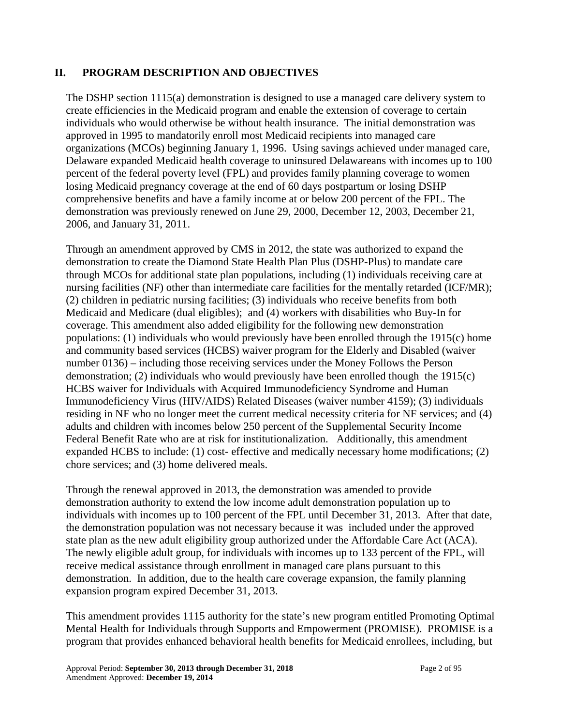#### **II. PROGRAM DESCRIPTION AND OBJECTIVES**

The DSHP section 1115(a) demonstration is designed to use a managed care delivery system to create efficiencies in the Medicaid program and enable the extension of coverage to certain individuals who would otherwise be without health insurance. The initial demonstration was approved in 1995 to mandatorily enroll most Medicaid recipients into managed care organizations (MCOs) beginning January 1, 1996. Using savings achieved under managed care, Delaware expanded Medicaid health coverage to uninsured Delawareans with incomes up to 100 percent of the federal poverty level (FPL) and provides family planning coverage to women losing Medicaid pregnancy coverage at the end of 60 days postpartum or losing DSHP comprehensive benefits and have a family income at or below 200 percent of the FPL. The demonstration was previously renewed on June 29, 2000, December 12, 2003, December 21, 2006, and January 31, 2011.

Through an amendment approved by CMS in 2012, the state was authorized to expand the demonstration to create the Diamond State Health Plan Plus (DSHP-Plus) to mandate care through MCOs for additional state plan populations, including (1) individuals receiving care at nursing facilities (NF) other than intermediate care facilities for the mentally retarded (ICF/MR); (2) children in pediatric nursing facilities; (3) individuals who receive benefits from both Medicaid and Medicare (dual eligibles); and (4) workers with disabilities who Buy-In for coverage. This amendment also added eligibility for the following new demonstration populations: (1) individuals who would previously have been enrolled through the 1915(c) home and community based services (HCBS) waiver program for the Elderly and Disabled (waiver number 0136) – including those receiving services under the Money Follows the Person demonstration; (2) individuals who would previously have been enrolled though the 1915(c) HCBS waiver for Individuals with Acquired Immunodeficiency Syndrome and Human Immunodeficiency Virus (HIV/AIDS) Related Diseases (waiver number 4159); (3) individuals residing in NF who no longer meet the current medical necessity criteria for NF services; and (4) adults and children with incomes below 250 percent of the Supplemental Security Income Federal Benefit Rate who are at risk for institutionalization. Additionally, this amendment expanded HCBS to include: (1) cost- effective and medically necessary home modifications; (2) chore services; and (3) home delivered meals.

Through the renewal approved in 2013, the demonstration was amended to provide demonstration authority to extend the low income adult demonstration population up to individuals with incomes up to 100 percent of the FPL until December 31, 2013. After that date, the demonstration population was not necessary because it was included under the approved state plan as the new adult eligibility group authorized under the Affordable Care Act (ACA). The newly eligible adult group, for individuals with incomes up to 133 percent of the FPL, will receive medical assistance through enrollment in managed care plans pursuant to this demonstration. In addition, due to the health care coverage expansion, the family planning expansion program expired December 31, 2013.

This amendment provides 1115 authority for the state's new program entitled Promoting Optimal Mental Health for Individuals through Supports and Empowerment (PROMISE). PROMISE is a program that provides enhanced behavioral health benefits for Medicaid enrollees, including, but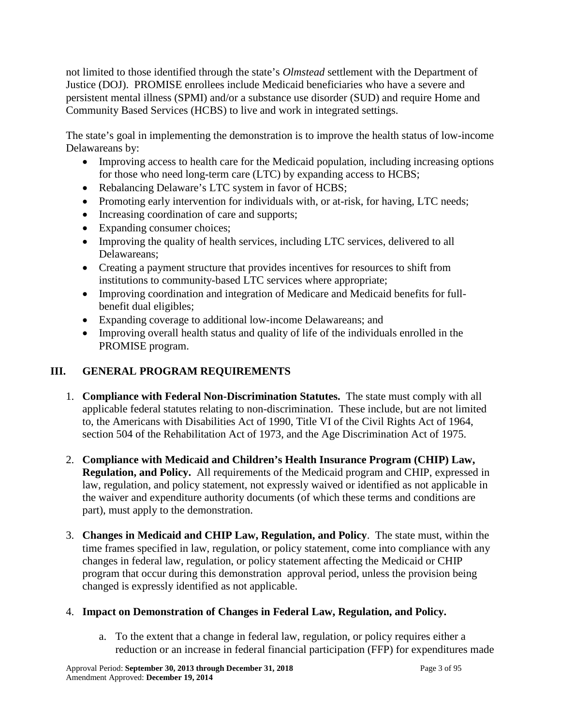not limited to those identified through the state's *Olmstead* settlement with the Department of Justice (DOJ). PROMISE enrollees include Medicaid beneficiaries who have a severe and persistent mental illness (SPMI) and/or a substance use disorder (SUD) and require Home and Community Based Services (HCBS) to live and work in integrated settings.

The state's goal in implementing the demonstration is to improve the health status of low-income Delawareans by:

- Improving access to health care for the Medicaid population, including increasing options for those who need long-term care (LTC) by expanding access to HCBS;
- Rebalancing Delaware's LTC system in favor of HCBS;
- Promoting early intervention for individuals with, or at-risk, for having, LTC needs;
- Increasing coordination of care and supports;
- Expanding consumer choices;
- Improving the quality of health services, including LTC services, delivered to all Delawareans;
- Creating a payment structure that provides incentives for resources to shift from institutions to community-based LTC services where appropriate;
- Improving coordination and integration of Medicare and Medicaid benefits for fullbenefit dual eligibles;
- Expanding coverage to additional low-income Delawareans; and
- Improving overall health status and quality of life of the individuals enrolled in the PROMISE program.

# **III. GENERAL PROGRAM REQUIREMENTS**

- 1. **Compliance with Federal Non-Discrimination Statutes.** The state must comply with all applicable federal statutes relating to non-discrimination. These include, but are not limited to, the Americans with Disabilities Act of 1990, Title VI of the Civil Rights Act of 1964, section 504 of the Rehabilitation Act of 1973, and the Age Discrimination Act of 1975.
- 2. **Compliance with Medicaid and Children's Health Insurance Program (CHIP) Law, Regulation, and Policy.** All requirements of the Medicaid program and CHIP, expressed in law, regulation, and policy statement, not expressly waived or identified as not applicable in the waiver and expenditure authority documents (of which these terms and conditions are part), must apply to the demonstration.
- 3. **Changes in Medicaid and CHIP Law, Regulation, and Policy**. The state must, within the time frames specified in law, regulation, or policy statement, come into compliance with any changes in federal law, regulation, or policy statement affecting the Medicaid or CHIP program that occur during this demonstration approval period, unless the provision being changed is expressly identified as not applicable.

## 4. **Impact on Demonstration of Changes in Federal Law, Regulation, and Policy.**

a. To the extent that a change in federal law, regulation, or policy requires either a reduction or an increase in federal financial participation (FFP) for expenditures made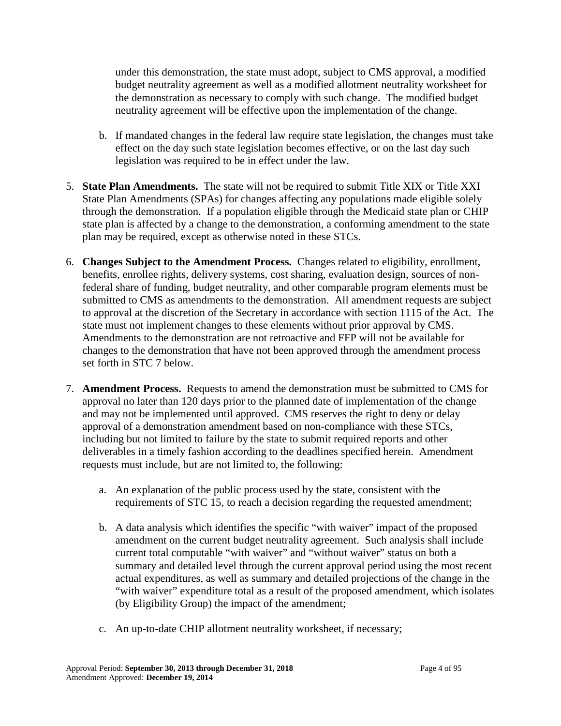under this demonstration, the state must adopt, subject to CMS approval, a modified budget neutrality agreement as well as a modified allotment neutrality worksheet for the demonstration as necessary to comply with such change. The modified budget neutrality agreement will be effective upon the implementation of the change.

- b. If mandated changes in the federal law require state legislation, the changes must take effect on the day such state legislation becomes effective, or on the last day such legislation was required to be in effect under the law.
- 5. **State Plan Amendments.** The state will not be required to submit Title XIX or Title XXI State Plan Amendments (SPAs) for changes affecting any populations made eligible solely through the demonstration. If a population eligible through the Medicaid state plan or CHIP state plan is affected by a change to the demonstration, a conforming amendment to the state plan may be required, except as otherwise noted in these STCs.
- 6. **Changes Subject to the Amendment Process.** Changes related to eligibility, enrollment, benefits, enrollee rights, delivery systems, cost sharing, evaluation design, sources of nonfederal share of funding, budget neutrality, and other comparable program elements must be submitted to CMS as amendments to the demonstration. All amendment requests are subject to approval at the discretion of the Secretary in accordance with section 1115 of the Act. The state must not implement changes to these elements without prior approval by CMS. Amendments to the demonstration are not retroactive and FFP will not be available for changes to the demonstration that have not been approved through the amendment process set forth in STC 7 below.
- 7. **Amendment Process.** Requests to amend the demonstration must be submitted to CMS for approval no later than 120 days prior to the planned date of implementation of the change and may not be implemented until approved. CMS reserves the right to deny or delay approval of a demonstration amendment based on non-compliance with these STCs, including but not limited to failure by the state to submit required reports and other deliverables in a timely fashion according to the deadlines specified herein. Amendment requests must include, but are not limited to, the following:
	- a. An explanation of the public process used by the state, consistent with the requirements of STC 15, to reach a decision regarding the requested amendment;
	- b. A data analysis which identifies the specific "with waiver" impact of the proposed amendment on the current budget neutrality agreement. Such analysis shall include current total computable "with waiver" and "without waiver" status on both a summary and detailed level through the current approval period using the most recent actual expenditures, as well as summary and detailed projections of the change in the "with waiver" expenditure total as a result of the proposed amendment, which isolates (by Eligibility Group) the impact of the amendment;
	- c. An up-to-date CHIP allotment neutrality worksheet, if necessary;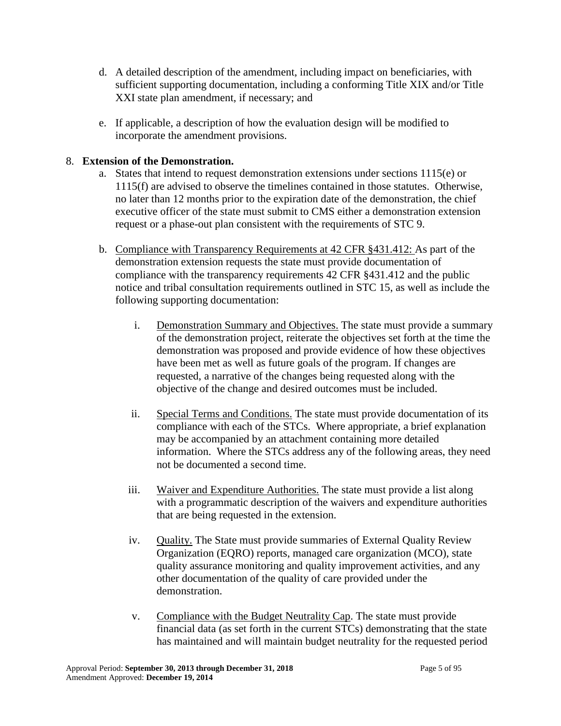- d. A detailed description of the amendment, including impact on beneficiaries, with sufficient supporting documentation, including a conforming Title XIX and/or Title XXI state plan amendment, if necessary; and
- e. If applicable, a description of how the evaluation design will be modified to incorporate the amendment provisions.

#### 8. **Extension of the Demonstration.**

- a. States that intend to request demonstration extensions under sections  $1115(e)$  or 1115(f) are advised to observe the timelines contained in those statutes. Otherwise, no later than 12 months prior to the expiration date of the demonstration, the chief executive officer of the state must submit to CMS either a demonstration extension request or a phase-out plan consistent with the requirements of STC 9.
- b. Compliance with Transparency Requirements at 42 CFR §431.412: As part of the demonstration extension requests the state must provide documentation of compliance with the transparency requirements 42 CFR §431.412 and the public notice and tribal consultation requirements outlined in STC 15, as well as include the following supporting documentation:
	- i. Demonstration Summary and Objectives. The state must provide a summary of the demonstration project, reiterate the objectives set forth at the time the demonstration was proposed and provide evidence of how these objectives have been met as well as future goals of the program. If changes are requested, a narrative of the changes being requested along with the objective of the change and desired outcomes must be included.
	- ii. Special Terms and Conditions. The state must provide documentation of its compliance with each of the STCs. Where appropriate, a brief explanation may be accompanied by an attachment containing more detailed information. Where the STCs address any of the following areas, they need not be documented a second time.
	- iii. Waiver and Expenditure Authorities. The state must provide a list along with a programmatic description of the waivers and expenditure authorities that are being requested in the extension.
	- iv. Quality. The State must provide summaries of External Quality Review Organization (EQRO) reports, managed care organization (MCO), state quality assurance monitoring and quality improvement activities, and any other documentation of the quality of care provided under the demonstration.
	- v. Compliance with the Budget Neutrality Cap. The state must provide financial data (as set forth in the current STCs) demonstrating that the state has maintained and will maintain budget neutrality for the requested period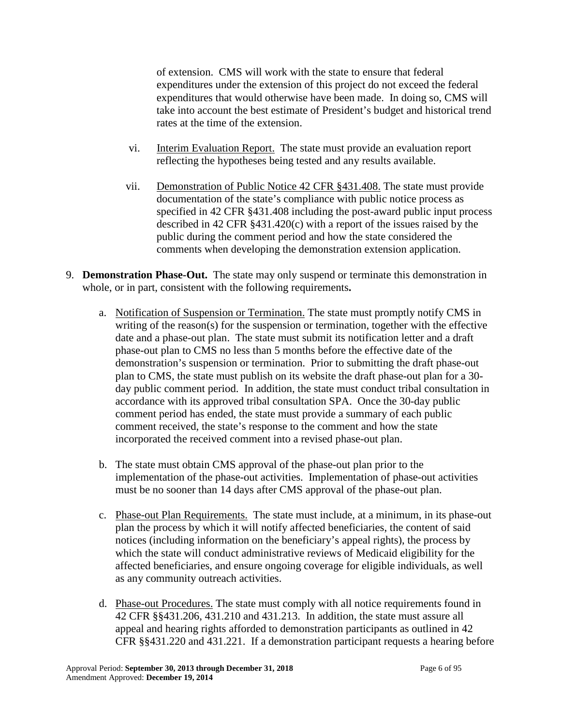of extension. CMS will work with the state to ensure that federal expenditures under the extension of this project do not exceed the federal expenditures that would otherwise have been made. In doing so, CMS will take into account the best estimate of President's budget and historical trend rates at the time of the extension.

- vi. Interim Evaluation Report. The state must provide an evaluation report reflecting the hypotheses being tested and any results available.
- vii. Demonstration of Public Notice 42 CFR §431.408. The state must provide documentation of the state's compliance with public notice process as specified in 42 CFR §431.408 including the post-award public input process described in 42 CFR §431.420(c) with a report of the issues raised by the public during the comment period and how the state considered the comments when developing the demonstration extension application.
- 9. **Demonstration Phase-Out.** The state may only suspend or terminate this demonstration in whole, or in part, consistent with the following requirements**.** 
	- a. Notification of Suspension or Termination. The state must promptly notify CMS in writing of the reason(s) for the suspension or termination, together with the effective date and a phase-out plan. The state must submit its notification letter and a draft phase-out plan to CMS no less than 5 months before the effective date of the demonstration's suspension or termination. Prior to submitting the draft phase-out plan to CMS, the state must publish on its website the draft phase-out plan for a 30 day public comment period. In addition, the state must conduct tribal consultation in accordance with its approved tribal consultation SPA. Once the 30-day public comment period has ended, the state must provide a summary of each public comment received, the state's response to the comment and how the state incorporated the received comment into a revised phase-out plan.
	- b. The state must obtain CMS approval of the phase-out plan prior to the implementation of the phase-out activities. Implementation of phase-out activities must be no sooner than 14 days after CMS approval of the phase-out plan.
	- c. Phase-out Plan Requirements. The state must include, at a minimum, in its phase-out plan the process by which it will notify affected beneficiaries, the content of said notices (including information on the beneficiary's appeal rights), the process by which the state will conduct administrative reviews of Medicaid eligibility for the affected beneficiaries, and ensure ongoing coverage for eligible individuals, as well as any community outreach activities.
	- d. Phase-out Procedures. The state must comply with all notice requirements found in 42 CFR §§431.206, 431.210 and 431.213. In addition, the state must assure all appeal and hearing rights afforded to demonstration participants as outlined in 42 CFR §§431.220 and 431.221. If a demonstration participant requests a hearing before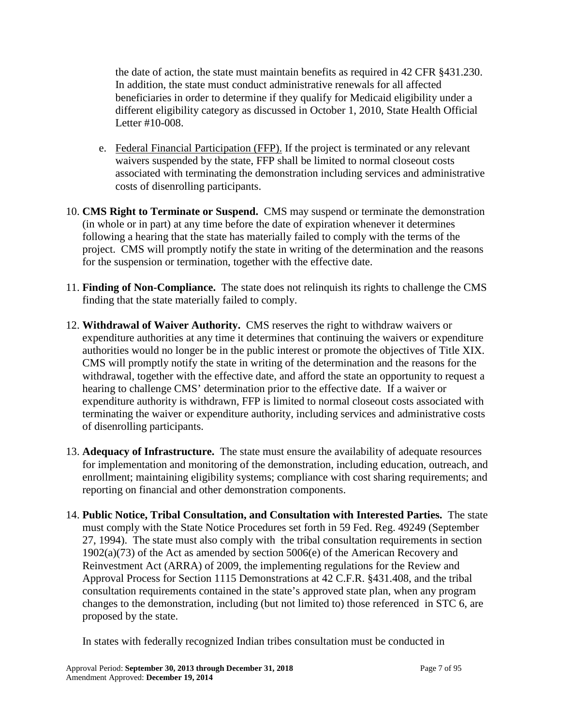the date of action, the state must maintain benefits as required in 42 CFR §431.230. In addition, the state must conduct administrative renewals for all affected beneficiaries in order to determine if they qualify for Medicaid eligibility under a different eligibility category as discussed in October 1, 2010, State Health Official Letter #10-008.

- e. Federal Financial Participation (FFP). If the project is terminated or any relevant waivers suspended by the state, FFP shall be limited to normal closeout costs associated with terminating the demonstration including services and administrative costs of disenrolling participants.
- 10. **CMS Right to Terminate or Suspend.** CMS may suspend or terminate the demonstration (in whole or in part) at any time before the date of expiration whenever it determines following a hearing that the state has materially failed to comply with the terms of the project. CMS will promptly notify the state in writing of the determination and the reasons for the suspension or termination, together with the effective date.
- 11. **Finding of Non-Compliance.** The state does not relinquish its rights to challenge the CMS finding that the state materially failed to comply.
- 12. **Withdrawal of Waiver Authority.** CMS reserves the right to withdraw waivers or expenditure authorities at any time it determines that continuing the waivers or expenditure authorities would no longer be in the public interest or promote the objectives of Title XIX. CMS will promptly notify the state in writing of the determination and the reasons for the withdrawal, together with the effective date, and afford the state an opportunity to request a hearing to challenge CMS' determination prior to the effective date. If a waiver or expenditure authority is withdrawn, FFP is limited to normal closeout costs associated with terminating the waiver or expenditure authority, including services and administrative costs of disenrolling participants.
- 13. **Adequacy of Infrastructure.** The state must ensure the availability of adequate resources for implementation and monitoring of the demonstration, including education, outreach, and enrollment; maintaining eligibility systems; compliance with cost sharing requirements; and reporting on financial and other demonstration components.
- 14. **Public Notice, Tribal Consultation, and Consultation with Interested Parties.** The state must comply with the State Notice Procedures set forth in 59 Fed. Reg. 49249 (September 27, 1994). The state must also comply with the tribal consultation requirements in section 1902(a)(73) of the Act as amended by section 5006(e) of the American Recovery and Reinvestment Act (ARRA) of 2009, the implementing regulations for the Review and Approval Process for Section 1115 Demonstrations at 42 C.F.R. §431.408, and the tribal consultation requirements contained in the state's approved state plan, when any program changes to the demonstration, including (but not limited to) those referenced in STC 6, are proposed by the state.

In states with federally recognized Indian tribes consultation must be conducted in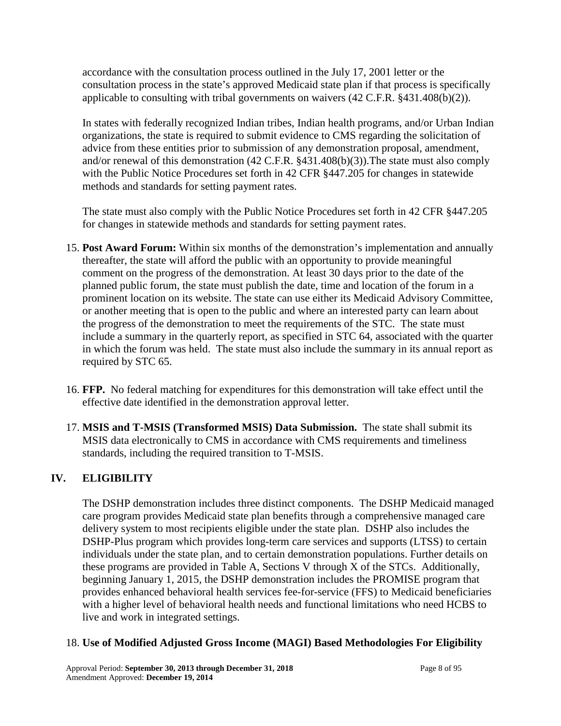accordance with the consultation process outlined in the July 17, 2001 letter or the consultation process in the state's approved Medicaid state plan if that process is specifically applicable to consulting with tribal governments on waivers (42 C.F.R. §431.408(b)(2)).

In states with federally recognized Indian tribes, Indian health programs, and/or Urban Indian organizations, the state is required to submit evidence to CMS regarding the solicitation of advice from these entities prior to submission of any demonstration proposal, amendment, and/or renewal of this demonstration (42 C.F.R. §431.408(b)(3)).The state must also comply with the Public Notice Procedures set forth in 42 CFR  $\S$ 447.205 for changes in statewide methods and standards for setting payment rates.

The state must also comply with the Public Notice Procedures set forth in 42 CFR §447.205 for changes in statewide methods and standards for setting payment rates.

- 15. **Post Award Forum:** Within six months of the demonstration's implementation and annually thereafter, the state will afford the public with an opportunity to provide meaningful comment on the progress of the demonstration. At least 30 days prior to the date of the planned public forum, the state must publish the date, time and location of the forum in a prominent location on its website. The state can use either its Medicaid Advisory Committee, or another meeting that is open to the public and where an interested party can learn about the progress of the demonstration to meet the requirements of the STC. The state must include a summary in the quarterly report, as specified in STC 64, associated with the quarter in which the forum was held. The state must also include the summary in its annual report as required by STC 65.
- 16. **FFP.** No federal matching for expenditures for this demonstration will take effect until the effective date identified in the demonstration approval letter.
- 17. **MSIS and T-MSIS (Transformed MSIS) Data Submission.** The state shall submit its MSIS data electronically to CMS in accordance with CMS requirements and timeliness standards, including the required transition to T-MSIS.

## **IV. ELIGIBILITY**

The DSHP demonstration includes three distinct components. The DSHP Medicaid managed care program provides Medicaid state plan benefits through a comprehensive managed care delivery system to most recipients eligible under the state plan. DSHP also includes the DSHP-Plus program which provides long-term care services and supports (LTSS) to certain individuals under the state plan, and to certain demonstration populations. Further details on these programs are provided in Table A, Sections V through X of the STCs. Additionally, beginning January 1, 2015, the DSHP demonstration includes the PROMISE program that provides enhanced behavioral health services fee-for-service (FFS) to Medicaid beneficiaries with a higher level of behavioral health needs and functional limitations who need HCBS to live and work in integrated settings.

#### 18. **Use of Modified Adjusted Gross Income (MAGI) Based Methodologies For Eligibility**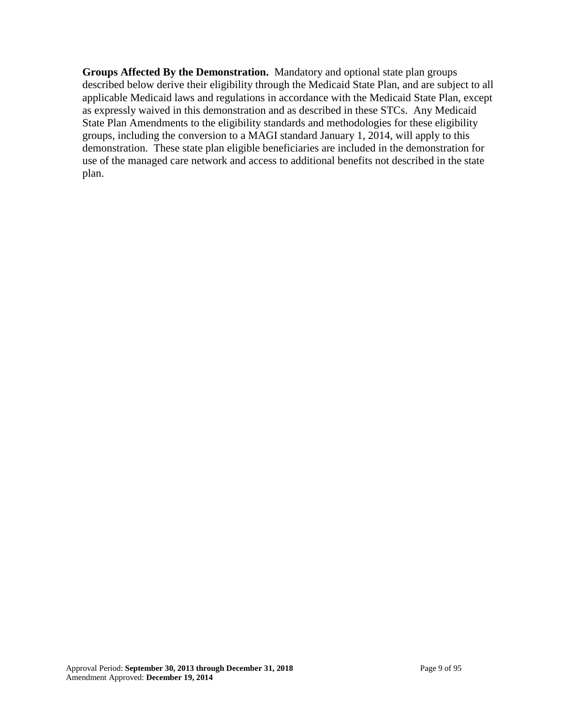**Groups Affected By the Demonstration.** Mandatory and optional state plan groups described below derive their eligibility through the Medicaid State Plan, and are subject to all applicable Medicaid laws and regulations in accordance with the Medicaid State Plan, except as expressly waived in this demonstration and as described in these STCs. Any Medicaid State Plan Amendments to the eligibility standards and methodologies for these eligibility groups, including the conversion to a MAGI standard January 1, 2014, will apply to this demonstration. These state plan eligible beneficiaries are included in the demonstration for use of the managed care network and access to additional benefits not described in the state plan.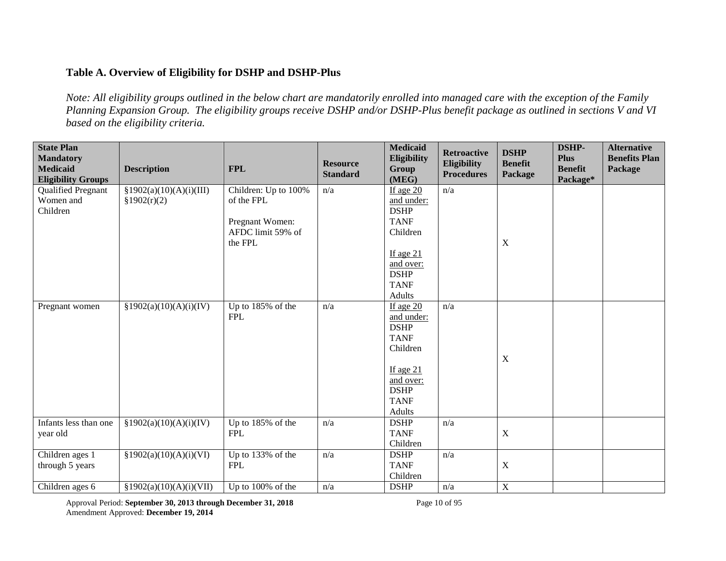#### **Table A. Overview of Eligibility for DSHP and DSHP-Plus**

*Note: All eligibility groups outlined in the below chart are mandatorily enrolled into managed care with the exception of the Family Planning Expansion Group. The eligibility groups receive DSHP and/or DSHP-Plus benefit package as outlined in sections V and VI based on the eligibility criteria.* 

| <b>State Plan</b><br><b>Mandatory</b><br><b>Medicaid</b><br><b>Eligibility Groups</b> | <b>Description</b>                       | <b>FPL</b>                                                                            | <b>Resource</b><br><b>Standard</b> | <b>Medicaid</b><br>Eligibility<br>Group<br>(MEG)                                                                                        | <b>Retroactive</b><br>Eligibility<br><b>Procedures</b> | <b>DSHP</b><br><b>Benefit</b><br>Package | <b>DSHP-</b><br><b>Plus</b><br><b>Benefit</b><br>Package* | <b>Alternative</b><br><b>Benefits Plan</b><br>Package |
|---------------------------------------------------------------------------------------|------------------------------------------|---------------------------------------------------------------------------------------|------------------------------------|-----------------------------------------------------------------------------------------------------------------------------------------|--------------------------------------------------------|------------------------------------------|-----------------------------------------------------------|-------------------------------------------------------|
| <b>Qualified Pregnant</b><br>Women and<br>Children                                    | \$1902(a)(10)(A)(i)(III)<br>\$1902(r)(2) | Children: Up to 100%<br>of the FPL<br>Pregnant Women:<br>AFDC limit 59% of<br>the FPL | n/a                                | If age $20$<br>and under:<br><b>DSHP</b><br><b>TANF</b><br>Children<br>If age 21<br>and over:<br><b>DSHP</b><br><b>TANF</b><br>Adults   | n/a                                                    | $\mathbf X$                              |                                                           |                                                       |
| Pregnant women                                                                        | §1902(a)(10)(A)(i)(IV)                   | Up to 185% of the<br><b>FPL</b>                                                       | n/a                                | If age $20$<br>and under:<br><b>DSHP</b><br><b>TANF</b><br>Children<br>If age $21$<br>and over:<br><b>DSHP</b><br><b>TANF</b><br>Adults | n/a                                                    | X                                        |                                                           |                                                       |
| Infants less than one<br>year old                                                     | §1902(a)(10)(A)(i)(IV)                   | Up to 185% of the<br><b>FPL</b>                                                       | n/a                                | <b>DSHP</b><br><b>TANF</b><br>Children                                                                                                  | n/a                                                    | X                                        |                                                           |                                                       |
| Children ages 1<br>through 5 years                                                    | §1902(a)(10)(A)(i)(VI)                   | Up to 133% of the<br><b>FPL</b>                                                       | n/a                                | <b>DSHP</b><br><b>TANF</b><br>Children                                                                                                  | n/a                                                    | X                                        |                                                           |                                                       |
| Children ages 6                                                                       | §1902(a)(10)(A)(i)(VII)                  | Up to 100% of the                                                                     | n/a                                | <b>DSHP</b>                                                                                                                             | n/a                                                    | $\mathbf X$                              |                                                           |                                                       |

Approval Period: **September 30, 2013 through December 31, 2018** Page 10 of 95 Amendment Approved: **December 19, 2014**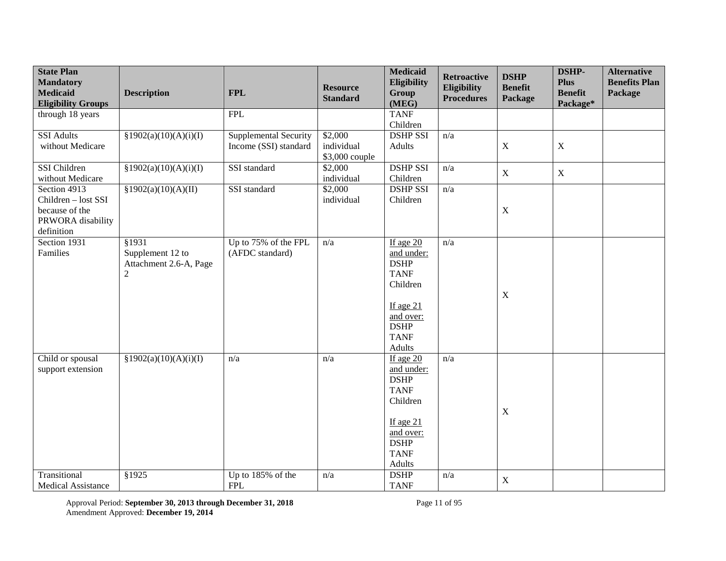| <b>State Plan</b><br><b>Mandatory</b><br><b>Medicaid</b><br><b>Eligibility Groups</b>    | <b>Description</b>                                                    | <b>FPL</b>                                     | <b>Resource</b><br><b>Standard</b>      | <b>Medicaid</b><br><b>Eligibility</b><br>Group<br>(MEG)                                                                                 | <b>Retroactive</b><br>Eligibility<br><b>Procedures</b> | <b>DSHP</b><br><b>Benefit</b><br>Package | <b>DSHP-</b><br><b>Plus</b><br><b>Benefit</b><br>Package* | <b>Alternative</b><br><b>Benefits Plan</b><br>Package |
|------------------------------------------------------------------------------------------|-----------------------------------------------------------------------|------------------------------------------------|-----------------------------------------|-----------------------------------------------------------------------------------------------------------------------------------------|--------------------------------------------------------|------------------------------------------|-----------------------------------------------------------|-------------------------------------------------------|
| through 18 years                                                                         |                                                                       | <b>FPL</b>                                     |                                         | <b>TANF</b>                                                                                                                             |                                                        |                                          |                                                           |                                                       |
|                                                                                          |                                                                       |                                                |                                         | Children                                                                                                                                |                                                        |                                          |                                                           |                                                       |
| <b>SSI Adults</b><br>without Medicare                                                    | §1902(a)(10)(A)(i)(I)                                                 | Supplemental Security<br>Income (SSI) standard | \$2,000<br>individual<br>\$3,000 couple | <b>DSHP SSI</b><br>Adults                                                                                                               | n/a                                                    | $\mathbf X$                              | $\mathbf X$                                               |                                                       |
| SSI Children<br>without Medicare                                                         | $\sqrt{$1902(a)(10)(A)(i)(I)}$                                        | SSI standard                                   | \$2,000<br>individual                   | <b>DSHP SSI</b><br>Children                                                                                                             | n/a                                                    | $\mathbf X$                              | $\mathbf X$                                               |                                                       |
| Section 4913<br>Children - lost SSI<br>because of the<br>PRWORA disability<br>definition | \$1902(a)(10)(A)(II)                                                  | SSI standard                                   | \$2,000<br>individual                   | <b>DSHP SSI</b><br>Children                                                                                                             | n/a                                                    | $\mathbf X$                              |                                                           |                                                       |
| Section 1931<br>Families                                                                 | §1931<br>Supplement 12 to<br>Attachment 2.6-A, Page<br>$\overline{2}$ | Up to 75% of the FPL<br>(AFDC standard)        | n/a                                     | If age $20$<br>and under:<br><b>DSHP</b><br><b>TANF</b><br>Children<br>If age $21$<br>and over:<br><b>DSHP</b><br><b>TANF</b><br>Adults | n/a                                                    | $\mathbf X$                              |                                                           |                                                       |
| Child or spousal<br>support extension                                                    | §1902(a)(10)(A)(i)(I)                                                 | n/a                                            | n/a                                     | If age $20$<br>and under:<br><b>DSHP</b><br><b>TANF</b><br>Children<br>If age 21<br>and over:<br><b>DSHP</b><br><b>TANF</b><br>Adults   | n/a                                                    | $\mathbf X$                              |                                                           |                                                       |
| Transitional<br><b>Medical Assistance</b>                                                | \$1925                                                                | Up to 185% of the<br><b>FPL</b>                | n/a                                     | <b>DSHP</b><br><b>TANF</b>                                                                                                              | n/a                                                    | $\mathbf X$                              |                                                           |                                                       |

Approval Period: **September 30, 2013 through December 31, 2018** Page 11 of 95 Amendment Approved: **December 19, 2014**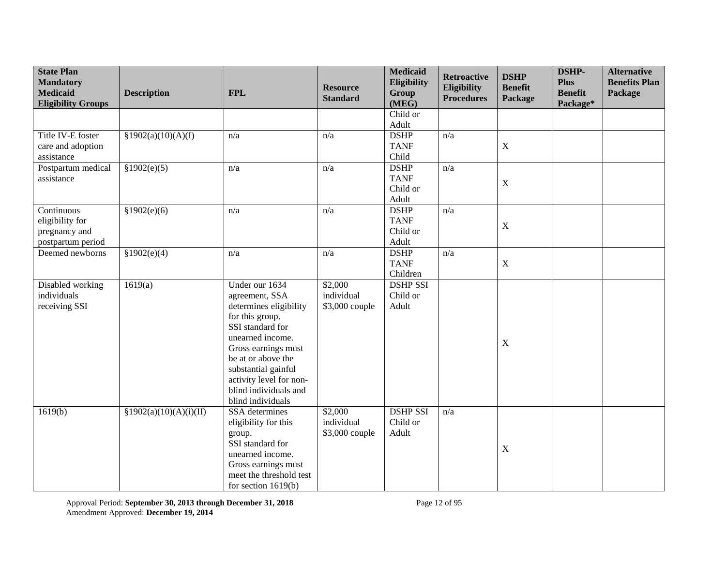| <b>State Plan</b><br><b>Mandatory</b><br><b>Medicaid</b><br><b>Eligibility Groups</b> | <b>Description</b>      | <b>FPL</b>              | <b>Resource</b><br><b>Standard</b> | <b>Medicaid</b><br><b>Eligibility</b><br>Group<br>(MEG) | <b>Retroactive</b><br>Eligibility<br><b>Procedures</b> | <b>DSHP</b><br><b>Benefit</b><br>Package | <b>DSHP-</b><br>Plus<br><b>Benefit</b><br>Package* | <b>Alternative</b><br><b>Benefits Plan</b><br>Package |
|---------------------------------------------------------------------------------------|-------------------------|-------------------------|------------------------------------|---------------------------------------------------------|--------------------------------------------------------|------------------------------------------|----------------------------------------------------|-------------------------------------------------------|
|                                                                                       |                         |                         |                                    | Child or                                                |                                                        |                                          |                                                    |                                                       |
|                                                                                       |                         |                         |                                    | Adult                                                   |                                                        |                                          |                                                    |                                                       |
| Title IV-E foster                                                                     | \$1902(a)(10)(A)(I)     | n/a                     | n/a                                | <b>DSHP</b>                                             | n/a                                                    |                                          |                                                    |                                                       |
| care and adoption                                                                     |                         |                         |                                    | <b>TANF</b>                                             |                                                        | $\mathbf X$                              |                                                    |                                                       |
| assistance                                                                            |                         |                         |                                    | Child                                                   |                                                        |                                          |                                                    |                                                       |
| Postpartum medical                                                                    | \$1902(e)(5)            | n/a                     | n/a                                | <b>DSHP</b>                                             | n/a                                                    |                                          |                                                    |                                                       |
| assistance                                                                            |                         |                         |                                    | <b>TANF</b>                                             |                                                        | $\mathbf X$                              |                                                    |                                                       |
|                                                                                       |                         |                         |                                    | Child or                                                |                                                        |                                          |                                                    |                                                       |
|                                                                                       |                         |                         |                                    | Adult                                                   |                                                        |                                          |                                                    |                                                       |
| Continuous                                                                            | \$1902(e)(6)            | n/a                     | n/a                                | <b>DSHP</b>                                             | n/a                                                    |                                          |                                                    |                                                       |
| eligibility for                                                                       |                         |                         |                                    | <b>TANF</b>                                             |                                                        | $\mathbf X$                              |                                                    |                                                       |
| pregnancy and                                                                         |                         |                         |                                    | Child or                                                |                                                        |                                          |                                                    |                                                       |
| postpartum period                                                                     |                         |                         |                                    | Adult                                                   |                                                        |                                          |                                                    |                                                       |
| Deemed newborns                                                                       | \$1902(e)(4)            | n/a                     | n/a                                | <b>DSHP</b>                                             | n/a                                                    |                                          |                                                    |                                                       |
|                                                                                       |                         |                         |                                    | <b>TANF</b>                                             |                                                        | $\mathbf X$                              |                                                    |                                                       |
|                                                                                       |                         |                         |                                    | Children                                                |                                                        |                                          |                                                    |                                                       |
| Disabled working                                                                      | 1619(a)                 | Under our 1634          | \$2,000                            | <b>DSHP SSI</b>                                         |                                                        |                                          |                                                    |                                                       |
| individuals                                                                           |                         | agreement, SSA          | individual                         | Child or                                                |                                                        |                                          |                                                    |                                                       |
| receiving SSI                                                                         |                         | determines eligibility  | \$3,000 couple                     | Adult                                                   |                                                        |                                          |                                                    |                                                       |
|                                                                                       |                         | for this group.         |                                    |                                                         |                                                        |                                          |                                                    |                                                       |
|                                                                                       |                         | SSI standard for        |                                    |                                                         |                                                        |                                          |                                                    |                                                       |
|                                                                                       |                         | unearned income.        |                                    |                                                         |                                                        | $\mathbf X$                              |                                                    |                                                       |
|                                                                                       |                         | Gross earnings must     |                                    |                                                         |                                                        |                                          |                                                    |                                                       |
|                                                                                       |                         | be at or above the      |                                    |                                                         |                                                        |                                          |                                                    |                                                       |
|                                                                                       |                         | substantial gainful     |                                    |                                                         |                                                        |                                          |                                                    |                                                       |
|                                                                                       |                         | activity level for non- |                                    |                                                         |                                                        |                                          |                                                    |                                                       |
|                                                                                       |                         | blind individuals and   |                                    |                                                         |                                                        |                                          |                                                    |                                                       |
|                                                                                       |                         | blind individuals       |                                    |                                                         |                                                        |                                          |                                                    |                                                       |
| 1619(b)                                                                               | \$1902(a)(10)(A)(i)(II) | SSA determines          | \$2,000                            | <b>DSHP SSI</b>                                         | n/a                                                    |                                          |                                                    |                                                       |
|                                                                                       |                         | eligibility for this    | individual                         | Child or                                                |                                                        |                                          |                                                    |                                                       |
|                                                                                       |                         | group.                  | \$3,000 couple                     | Adult                                                   |                                                        |                                          |                                                    |                                                       |
|                                                                                       |                         | SSI standard for        |                                    |                                                         |                                                        | $\mathbf X$                              |                                                    |                                                       |
|                                                                                       |                         | unearned income.        |                                    |                                                         |                                                        |                                          |                                                    |                                                       |
|                                                                                       |                         | Gross earnings must     |                                    |                                                         |                                                        |                                          |                                                    |                                                       |
|                                                                                       |                         | meet the threshold test |                                    |                                                         |                                                        |                                          |                                                    |                                                       |
|                                                                                       |                         | for section $1619(b)$   |                                    |                                                         |                                                        |                                          |                                                    |                                                       |

Approval Period: **September 30, 2013 through December 31, 2018** Page 12 of 95 Amendment Approved: **December 19, 2014**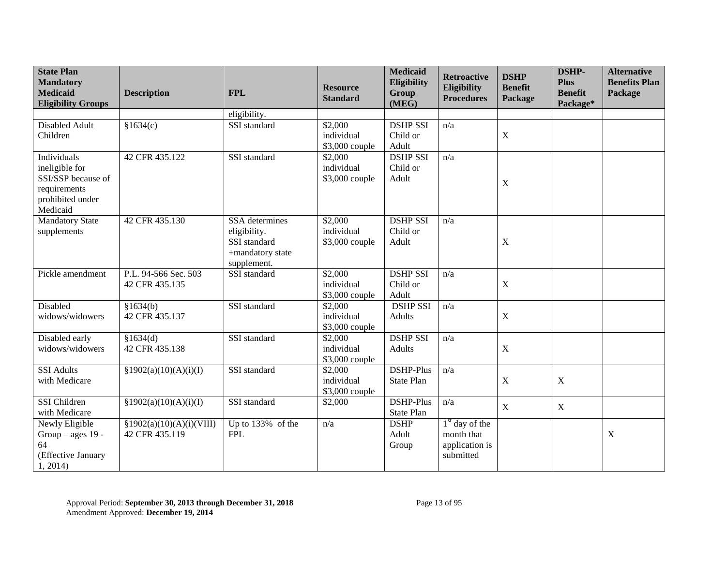| <b>State Plan</b><br><b>Mandatory</b><br><b>Medicaid</b><br><b>Eligibility Groups</b>               | <b>Description</b>                         | <b>FPL</b>                                                                        | <b>Resource</b><br><b>Standard</b>      | <b>Medicaid</b><br>Eligibility<br>Group<br>(MEG) | <b>Retroactive</b><br>Eligibility<br><b>Procedures</b>        | <b>DSHP</b><br><b>Benefit</b><br>Package | <b>DSHP-</b><br><b>Plus</b><br><b>Benefit</b><br>Package* | <b>Alternative</b><br><b>Benefits Plan</b><br>Package |
|-----------------------------------------------------------------------------------------------------|--------------------------------------------|-----------------------------------------------------------------------------------|-----------------------------------------|--------------------------------------------------|---------------------------------------------------------------|------------------------------------------|-----------------------------------------------------------|-------------------------------------------------------|
|                                                                                                     |                                            | eligibility.                                                                      |                                         |                                                  |                                                               |                                          |                                                           |                                                       |
| Disabled Adult<br>Children                                                                          | \$1634(c)                                  | SSI standard                                                                      | \$2,000<br>individual<br>\$3,000 couple | <b>DSHP SSI</b><br>Child or<br>Adult             | n/a                                                           | X                                        |                                                           |                                                       |
| Individuals<br>ineligible for<br>SSI/SSP because of<br>requirements<br>prohibited under<br>Medicaid | 42 CFR 435.122                             | SSI standard                                                                      | \$2,000<br>individual<br>\$3,000 couple | <b>DSHP SSI</b><br>Child or<br>Adult             | n/a                                                           | X                                        |                                                           |                                                       |
| <b>Mandatory State</b><br>supplements                                                               | 42 CFR 435.130                             | SSA determines<br>eligibility.<br>SSI standard<br>+mandatory state<br>supplement. | \$2,000<br>individual<br>\$3,000 couple | <b>DSHP SSI</b><br>Child or<br>Adult             | n/a                                                           | $\boldsymbol{\mathrm{X}}$                |                                                           |                                                       |
| Pickle amendment                                                                                    | P.L. 94-566 Sec. 503<br>42 CFR 435.135     | SSI standard                                                                      | \$2,000<br>individual<br>\$3,000 couple | <b>DSHP SSI</b><br>Child or<br>Adult             | n/a                                                           | X                                        |                                                           |                                                       |
| Disabled<br>widows/widowers                                                                         | \$1634(b)<br>42 CFR 435.137                | SSI standard                                                                      | \$2,000<br>individual<br>\$3,000 couple | <b>DSHP SSI</b><br>Adults                        | n/a                                                           | X                                        |                                                           |                                                       |
| Disabled early<br>widows/widowers                                                                   | \$1634(d)<br>42 CFR 435.138                | SSI standard                                                                      | \$2,000<br>individual<br>\$3,000 couple | <b>DSHP SSI</b><br>Adults                        | n/a                                                           | X                                        |                                                           |                                                       |
| <b>SSI Adults</b><br>with Medicare                                                                  | §1902(a)(10)(A)(i)(I)                      | SSI standard                                                                      | \$2,000<br>individual<br>\$3,000 couple | <b>DSHP-Plus</b><br><b>State Plan</b>            | n/a                                                           | X                                        | $\mathbf X$                                               |                                                       |
| SSI Children<br>with Medicare                                                                       | §1902(a)(10)(A)(i)(I)                      | SSI standard                                                                      | \$2,000                                 | <b>DSHP-Plus</b><br><b>State Plan</b>            | n/a                                                           | $\mathbf X$                              | $\mathbf X$                                               |                                                       |
| Newly Eligible<br>Group $-$ ages 19 -<br>64<br>(Effective January<br>1, 2014)                       | §1902(a)(10)(A)(i)(VIII)<br>42 CFR 435.119 | Up to 133% of the<br><b>FPL</b>                                                   | n/a                                     | <b>DSHP</b><br>Adult<br>Group                    | $1st$ day of the<br>month that<br>application is<br>submitted |                                          |                                                           | $\boldsymbol{\mathrm{X}}$                             |

Approval Period: **September 30, 2013 through December 31, 2018** Page 13 of 95 Amendment Approved: **December 19, 2014**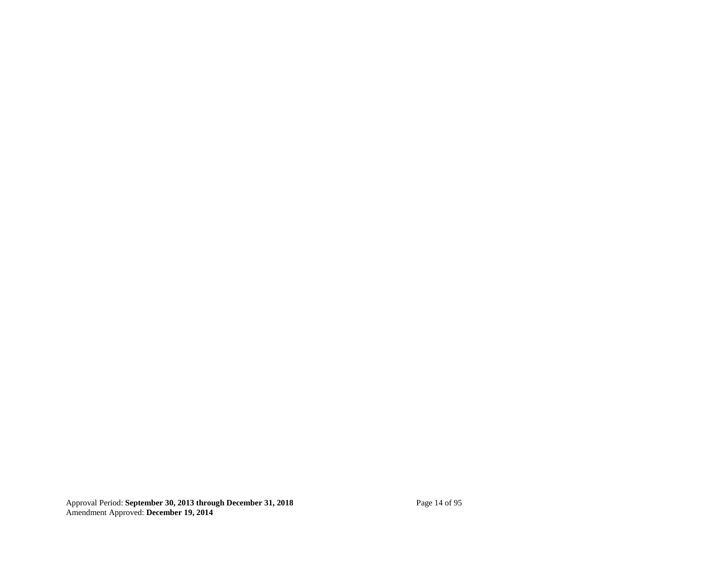Approval Period: **September 30, 2013 through December 31, 2018** Page 14 of 95 Amendment Approved: **December 19, 2014**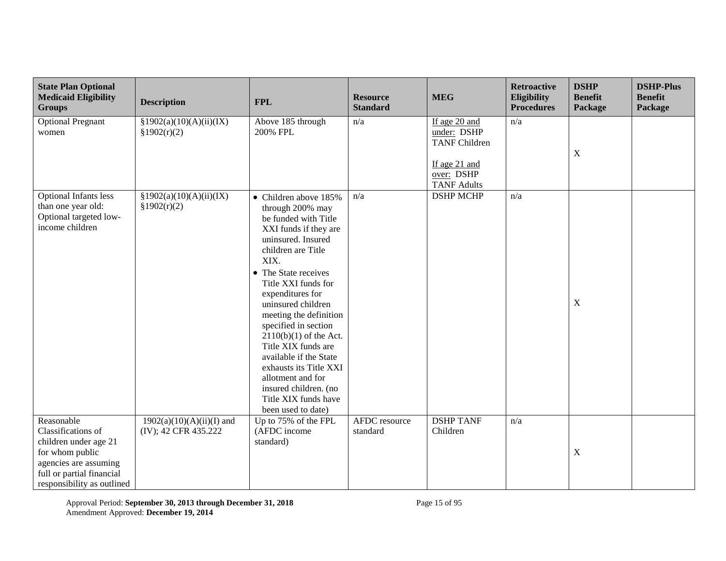| <b>State Plan Optional</b><br><b>Medicaid Eligibility</b><br><b>Groups</b>                                                                                       | <b>Description</b>                                  | <b>FPL</b>                                                                                                                                                                                                                                                                                                                                                                                                                                                                                   | <b>Resource</b><br><b>Standard</b> | <b>MEG</b>                                                                                                | <b>Retroactive</b><br>Eligibility<br><b>Procedures</b> | <b>DSHP</b><br><b>Benefit</b><br>Package | <b>DSHP-Plus</b><br><b>Benefit</b><br>Package |
|------------------------------------------------------------------------------------------------------------------------------------------------------------------|-----------------------------------------------------|----------------------------------------------------------------------------------------------------------------------------------------------------------------------------------------------------------------------------------------------------------------------------------------------------------------------------------------------------------------------------------------------------------------------------------------------------------------------------------------------|------------------------------------|-----------------------------------------------------------------------------------------------------------|--------------------------------------------------------|------------------------------------------|-----------------------------------------------|
| <b>Optional Pregnant</b><br>women                                                                                                                                | $\sqrt{$1902(a)(10)(A)(ii)(IX)}$<br>\$1902(r)(2)    | Above 185 through<br>200% FPL                                                                                                                                                                                                                                                                                                                                                                                                                                                                | n/a                                | If age 20 and<br>under: DSHP<br><b>TANF Children</b><br>If age 21 and<br>over: DSHP<br><b>TANF Adults</b> | n/a                                                    | $\mathbf X$                              |                                               |
| Optional Infants less<br>than one year old:<br>Optional targeted low-<br>income children                                                                         | §1902(a)(10)(A)(ii)(IX)<br>\$1902(r)(2)             | • Children above 185%<br>through 200% may<br>be funded with Title<br>XXI funds if they are<br>uninsured. Insured<br>children are Title<br>XIX.<br>• The State receives<br>Title XXI funds for<br>expenditures for<br>uninsured children<br>meeting the definition<br>specified in section<br>$2110(b)(1)$ of the Act.<br>Title XIX funds are<br>available if the State<br>exhausts its Title XXI<br>allotment and for<br>insured children. (no<br>Title XIX funds have<br>been used to date) | n/a                                | <b>DSHP MCHP</b>                                                                                          | n/a                                                    | $\mathbf X$                              |                                               |
| Reasonable<br>Classifications of<br>children under age 21<br>for whom public<br>agencies are assuming<br>full or partial financial<br>responsibility as outlined | $1902(a)(10)(A)(ii)(I)$ and<br>(IV); 42 CFR 435.222 | Up to 75% of the FPL<br>(AFDC income<br>standard)                                                                                                                                                                                                                                                                                                                                                                                                                                            | AFDC resource<br>standard          | <b>DSHP TANF</b><br>Children                                                                              | n/a                                                    | $\mathbf X$                              |                                               |

Approval Period: **September 30, 2013 through December 31, 2018** Page 15 of 95 Amendment Approved: **December 19, 2014**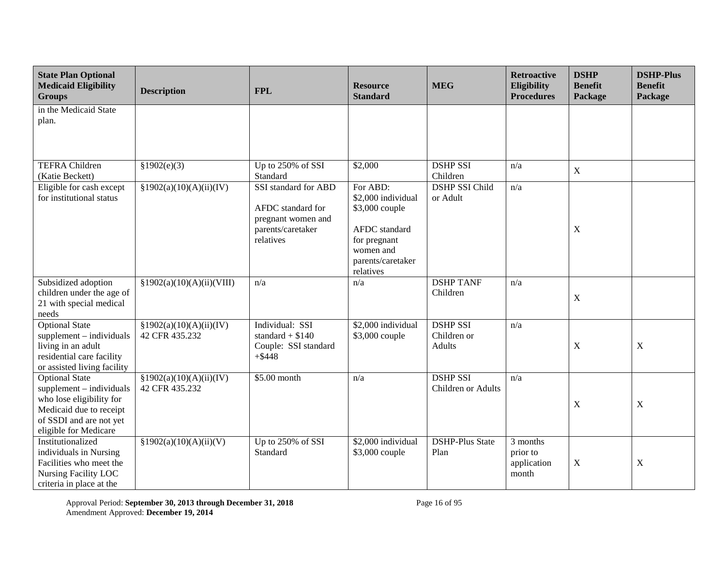| <b>State Plan Optional</b><br><b>Medicaid Eligibility</b><br><b>Groups</b>                                                                                     | <b>Description</b>                        | <b>FPL</b>                                                                                        | <b>Resource</b><br><b>Standard</b>                                                                                               | <b>MEG</b>                               | <b>Retroactive</b><br><b>Eligibility</b><br><b>Procedures</b> | <b>DSHP</b><br><b>Benefit</b><br>Package | <b>DSHP-Plus</b><br><b>Benefit</b><br>Package |
|----------------------------------------------------------------------------------------------------------------------------------------------------------------|-------------------------------------------|---------------------------------------------------------------------------------------------------|----------------------------------------------------------------------------------------------------------------------------------|------------------------------------------|---------------------------------------------------------------|------------------------------------------|-----------------------------------------------|
| in the Medicaid State<br>plan.                                                                                                                                 |                                           |                                                                                                   |                                                                                                                                  |                                          |                                                               |                                          |                                               |
| <b>TEFRA Children</b><br>(Katie Beckett)                                                                                                                       | \$1902(e)(3)                              | Up to 250% of SSI<br>Standard                                                                     | \$2,000                                                                                                                          | <b>DSHP SSI</b><br>Children              | n/a                                                           | $\mathbf X$                              |                                               |
| Eligible for cash except<br>for institutional status                                                                                                           | §1902(a)(10)(A)(ii)(IV)                   | SSI standard for ABD<br>AFDC standard for<br>pregnant women and<br>parents/caretaker<br>relatives | For ABD:<br>\$2,000 individual<br>\$3,000 couple<br>AFDC standard<br>for pregnant<br>women and<br>parents/caretaker<br>relatives | <b>DSHP SSI Child</b><br>or Adult        | n/a                                                           | $\mathbf X$                              |                                               |
| Subsidized adoption<br>children under the age of<br>21 with special medical<br>needs                                                                           | \$1902(a)(10)(A)(ii)(VIII)                | n/a                                                                                               | n/a                                                                                                                              | <b>DSHP TANF</b><br>Children             | n/a                                                           | $\mathbf X$                              |                                               |
| <b>Optional State</b><br>$supplement - individuals$<br>living in an adult<br>residential care facility<br>or assisted living facility                          | §1902(a)(10)(A)(ii)(IV)<br>42 CFR 435.232 | Individual: SSI<br>standard + $$140$<br>Couple: SSI standard<br>$+ $448$                          | \$2,000 individual<br>\$3,000 couple                                                                                             | <b>DSHP SSI</b><br>Children or<br>Adults | n/a                                                           | X                                        | $\mathbf X$                                   |
| <b>Optional State</b><br>$supplement - individuals$<br>who lose eligibility for<br>Medicaid due to receipt<br>of SSDI and are not yet<br>eligible for Medicare | §1902(a)(10)(A)(ii)(IV)<br>42 CFR 435.232 | \$5.00 month                                                                                      | n/a                                                                                                                              | <b>DSHP SSI</b><br>Children or Adults    | n/a                                                           | $\mathbf X$                              | $\mathbf X$                                   |
| Institutionalized<br>individuals in Nursing<br>Facilities who meet the<br>Nursing Facility LOC<br>criteria in place at the                                     | §1902(a)(10)(A)(ii)(V)                    | Up to 250% of SSI<br>Standard                                                                     | \$2,000 individual<br>\$3,000 couple                                                                                             | <b>DSHP-Plus State</b><br>Plan           | 3 months<br>prior to<br>application<br>month                  | $\mathbf X$                              | X                                             |

Approval Period: **September 30, 2013 through December 31, 2018** Page 16 of 95 Amendment Approved: **December 19, 2014**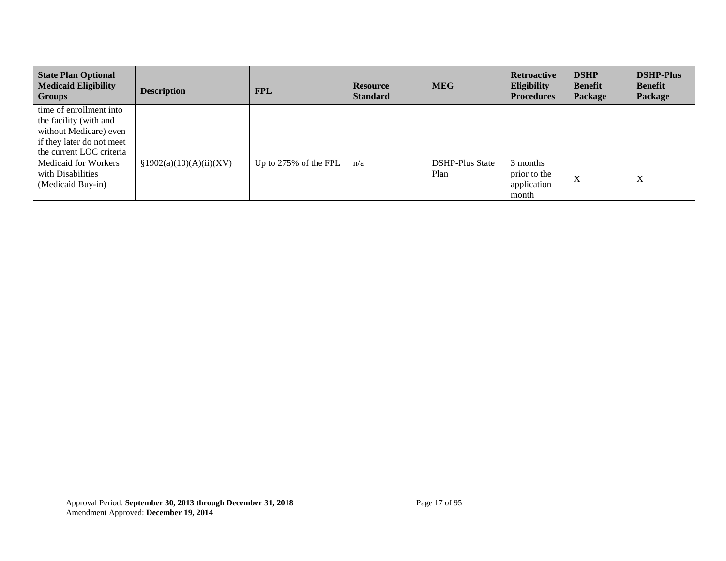| <b>Description</b>      | <b>FPL</b>            | <b>Resource</b><br><b>Standard</b> | <b>MEG</b>             | <b>Retroactive</b><br><b>Eligibility</b><br><b>Procedures</b> | <b>DSHP</b><br><b>Benefit</b><br>Package | <b>DSHP-Plus</b><br><b>Benefit</b><br>Package |
|-------------------------|-----------------------|------------------------------------|------------------------|---------------------------------------------------------------|------------------------------------------|-----------------------------------------------|
|                         |                       |                                    |                        |                                                               |                                          |                                               |
|                         |                       |                                    |                        |                                                               |                                          |                                               |
|                         |                       |                                    |                        |                                                               |                                          |                                               |
| §1902(a)(10)(A)(ii)(XV) | Up to 275% of the FPL | n/a                                | <b>DSHP-Plus State</b> | 3 months                                                      |                                          |                                               |
|                         |                       |                                    |                        | application                                                   | X                                        | $\mathbf{v}$<br>$\Lambda$                     |
|                         |                       |                                    |                        | Plan                                                          | prior to the<br>month                    |                                               |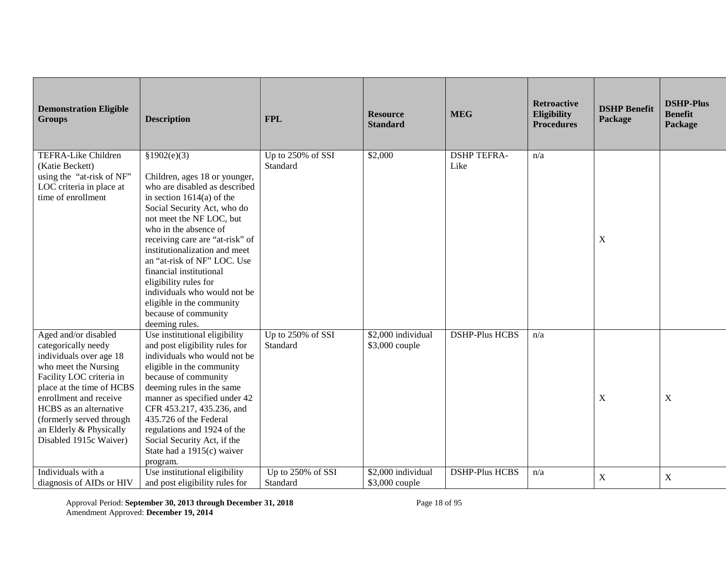| <b>Demonstration Eligible</b><br><b>Groups</b>                                                                                                                                                                                                                                               | <b>Description</b>                                                                                                                                                                                                                                                                                                                                                                                                                                              | <b>FPL</b>                    | <b>Resource</b><br><b>Standard</b>   | <b>MEG</b>                 | <b>Retroactive</b><br><b>Eligibility</b><br><b>Procedures</b> | <b>DSHP</b> Benefit<br>Package | <b>DSHP-Plus</b><br><b>Benefit</b><br>Package |
|----------------------------------------------------------------------------------------------------------------------------------------------------------------------------------------------------------------------------------------------------------------------------------------------|-----------------------------------------------------------------------------------------------------------------------------------------------------------------------------------------------------------------------------------------------------------------------------------------------------------------------------------------------------------------------------------------------------------------------------------------------------------------|-------------------------------|--------------------------------------|----------------------------|---------------------------------------------------------------|--------------------------------|-----------------------------------------------|
| TEFRA-Like Children<br>(Katie Beckett)<br>using the "at-risk of NF"<br>LOC criteria in place at<br>time of enrollment                                                                                                                                                                        | \$1902(e)(3)<br>Children, ages 18 or younger,<br>who are disabled as described<br>in section $1614(a)$ of the<br>Social Security Act, who do<br>not meet the NF LOC, but<br>who in the absence of<br>receiving care are "at-risk" of<br>institutionalization and meet<br>an "at-risk of NF" LOC. Use<br>financial institutional<br>eligibility rules for<br>individuals who would not be<br>eligible in the community<br>because of community<br>deeming rules. | Up to 250% of SSI<br>Standard | \$2,000                              | <b>DSHP TEFRA-</b><br>Like | n/a                                                           | X                              |                                               |
| Aged and/or disabled<br>categorically needy<br>individuals over age 18<br>who meet the Nursing<br>Facility LOC criteria in<br>place at the time of HCBS<br>enrollment and receive<br>HCBS as an alternative<br>(formerly served through<br>an Elderly & Physically<br>Disabled 1915c Waiver) | Use institutional eligibility<br>and post eligibility rules for<br>individuals who would not be<br>eligible in the community<br>because of community<br>deeming rules in the same<br>manner as specified under 42<br>CFR 453.217, 435.236, and<br>435.726 of the Federal<br>regulations and 1924 of the<br>Social Security Act, if the<br>State had a 1915(c) waiver<br>program.                                                                                | Up to 250% of SSI<br>Standard | \$2,000 individual<br>\$3,000 couple | <b>DSHP-Plus HCBS</b>      | n/a                                                           | $\mathbf X$                    | X                                             |
| Individuals with a<br>diagnosis of AIDs or HIV                                                                                                                                                                                                                                               | Use institutional eligibility<br>and post eligibility rules for                                                                                                                                                                                                                                                                                                                                                                                                 | Up to 250% of SSI<br>Standard | \$2,000 individual<br>\$3,000 couple | <b>DSHP-Plus HCBS</b>      | n/a                                                           | $\mathbf X$                    | $\mathbf X$                                   |

Approval Period: **September 30, 2013 through December 31, 2018** Page 18 of 95 Amendment Approved: **December 19, 2014**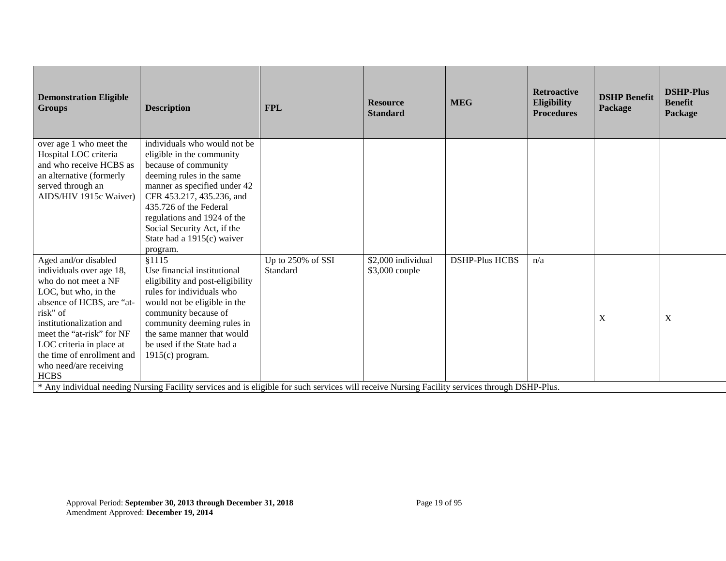| <b>Demonstration Eligible</b><br><b>Groups</b>                                                                                                                                                                                                                                                        | <b>Description</b>                                                                                                                                                                                                                                                                                                                                                                                                              | <b>FPL</b>                    | <b>Resource</b><br><b>Standard</b>   | <b>MEG</b>            | <b>Retroactive</b><br>Eligibility<br><b>Procedures</b> | <b>DSHP</b> Benefit<br>Package | <b>DSHP-Plus</b><br><b>Benefit</b><br>Package |
|-------------------------------------------------------------------------------------------------------------------------------------------------------------------------------------------------------------------------------------------------------------------------------------------------------|---------------------------------------------------------------------------------------------------------------------------------------------------------------------------------------------------------------------------------------------------------------------------------------------------------------------------------------------------------------------------------------------------------------------------------|-------------------------------|--------------------------------------|-----------------------|--------------------------------------------------------|--------------------------------|-----------------------------------------------|
| over age 1 who meet the<br>Hospital LOC criteria<br>and who receive HCBS as<br>an alternative (formerly<br>served through an<br>AIDS/HIV 1915c Waiver)                                                                                                                                                | individuals who would not be<br>eligible in the community<br>because of community<br>deeming rules in the same<br>manner as specified under 42<br>CFR 453.217, 435.236, and<br>435.726 of the Federal<br>regulations and 1924 of the<br>Social Security Act, if the<br>State had a 1915(c) waiver<br>program.                                                                                                                   |                               |                                      |                       |                                                        |                                |                                               |
| Aged and/or disabled<br>individuals over age 18,<br>who do not meet a NF<br>LOC, but who, in the<br>absence of HCBS, are "at-<br>risk" of<br>institutionalization and<br>meet the "at-risk" for NF<br>LOC criteria in place at<br>the time of enrollment and<br>who need/are receiving<br><b>HCBS</b> | §1115<br>Use financial institutional<br>eligibility and post-eligibility<br>rules for individuals who<br>would not be eligible in the<br>community because of<br>community deeming rules in<br>the same manner that would<br>be used if the State had a<br>$1915(c)$ program.<br>* Any individual needing Nursing Facility services and is eligible for such services will receive Nursing Facility services through DSHP-Plus. | Up to 250% of SSI<br>Standard | \$2,000 individual<br>\$3,000 couple | <b>DSHP-Plus HCBS</b> | n/a                                                    | X                              | X                                             |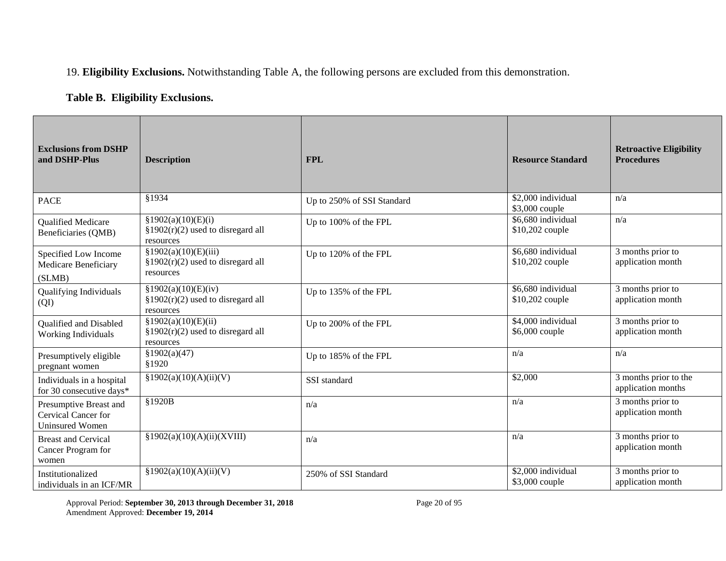## 19. **Eligibility Exclusions.** Notwithstanding Table A, the following persons are excluded from this demonstration.

## **Table B. Eligibility Exclusions.**

| <b>Exclusions from DSHP</b><br>and DSHP-Plus                            | <b>Description</b>                                                       | <b>FPL</b>                 | <b>Resource Standard</b>              | <b>Retroactive Eligibility</b><br><b>Procedures</b> |
|-------------------------------------------------------------------------|--------------------------------------------------------------------------|----------------------------|---------------------------------------|-----------------------------------------------------|
| <b>PACE</b>                                                             | §1934                                                                    | Up to 250% of SSI Standard | \$2,000 individual<br>\$3,000 couple  | n/a                                                 |
| Qualified Medicare<br>Beneficiaries (QMB)                               | §1902(a)(10)(E)(i)<br>§1902(r)(2) used to disregard all<br>resources     | Up to 100% of the FPL      | \$6,680 individual<br>\$10,202 couple | n/a                                                 |
| Specified Low Income<br>Medicare Beneficiary<br>(SLMB)                  | §1902(a)(10)(E)(iii)<br>$§1902(r)(2)$ used to disregard all<br>resources | Up to 120% of the FPL      | \$6,680 individual<br>\$10,202 couple | 3 months prior to<br>application month              |
| <b>Qualifying Individuals</b><br>(QI)                                   | §1902(a)(10)(E)(iv)<br>§1902(r)(2) used to disregard all<br>resources    | Up to 135% of the FPL      | \$6,680 individual<br>\$10,202 couple | 3 months prior to<br>application month              |
| Qualified and Disabled<br>Working Individuals                           | §1902(a)(10)(E)(ii)<br>$§1902(r)(2)$ used to disregard all<br>resources  | Up to 200% of the FPL      | \$4,000 individual<br>\$6,000 couple  | 3 months prior to<br>application month              |
| Presumptively eligible<br>pregnant women                                | \$1902(a)(47)<br>§1920                                                   | Up to 185% of the FPL      | n/a                                   | n/a                                                 |
| Individuals in a hospital<br>for 30 consecutive days*                   | §1902(a)(10)(A)(ii)(V)                                                   | SSI standard               | \$2,000                               | 3 months prior to the<br>application months         |
| Presumptive Breast and<br>Cervical Cancer for<br><b>Uninsured Women</b> | §1920B                                                                   | n/a                        | n/a                                   | 3 months prior to<br>application month              |
| <b>Breast and Cervical</b><br>Cancer Program for<br>women               | §1902(a)(10)(A)(ii)(XVIII)                                               | n/a                        | n/a                                   | 3 months prior to<br>application month              |
| Institutionalized<br>individuals in an ICF/MR                           | §1902(a)(10)(A)(ii)(V)                                                   | 250% of SSI Standard       | \$2,000 individual<br>\$3,000 couple  | 3 months prior to<br>application month              |

Approval Period: **September 30, 2013 through December 31, 2018** Page 20 of 95 Amendment Approved: **December 19, 2014**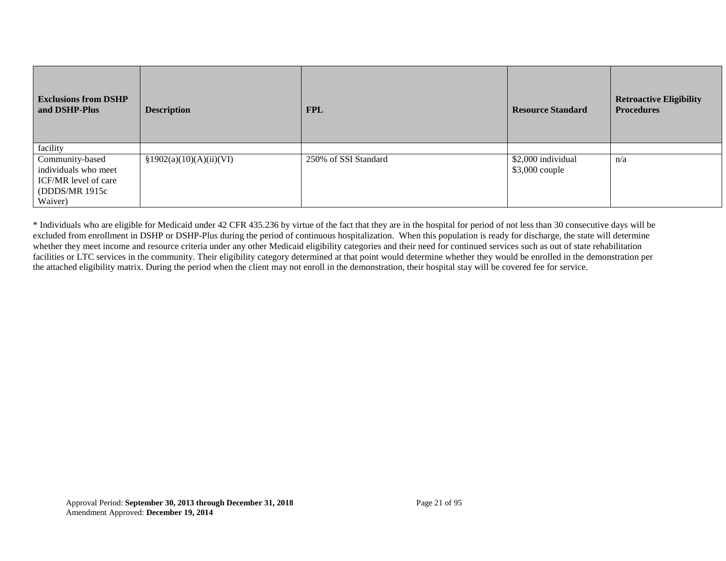| <b>Exclusions from DSHP</b><br>and DSHP-Plus | <b>Description</b>      | <b>FPL</b>           | <b>Resource Standard</b> | <b>Retroactive Eligibility</b><br><b>Procedures</b> |
|----------------------------------------------|-------------------------|----------------------|--------------------------|-----------------------------------------------------|
| facility                                     |                         |                      |                          |                                                     |
| Community-based                              | §1902(a)(10)(A)(ii)(VI) | 250% of SSI Standard | \$2,000 individual       | n/a                                                 |
| individuals who meet                         |                         |                      | \$3,000 couple           |                                                     |
| ICF/MR level of care                         |                         |                      |                          |                                                     |
| (DDDS/MR 1915c)                              |                         |                      |                          |                                                     |
| Waiver)                                      |                         |                      |                          |                                                     |

\* Individuals who are eligible for Medicaid under 42 CFR 435.236 by virtue of the fact that they are in the hospital for period of not less than 30 consecutive days will be excluded from enrollment in DSHP or DSHP-Plus during the period of continuous hospitalization. When this population is ready for discharge, the state will determine whether they meet income and resource criteria under any other Medicaid eligibility categories and their need for continued services such as out of state rehabilitation facilities or LTC services in the community. Their eligibility category determined at that point would determine whether they would be enrolled in the demonstration per the attached eligibility matrix. During the period when the client may not enroll in the demonstration, their hospital stay will be covered fee for service.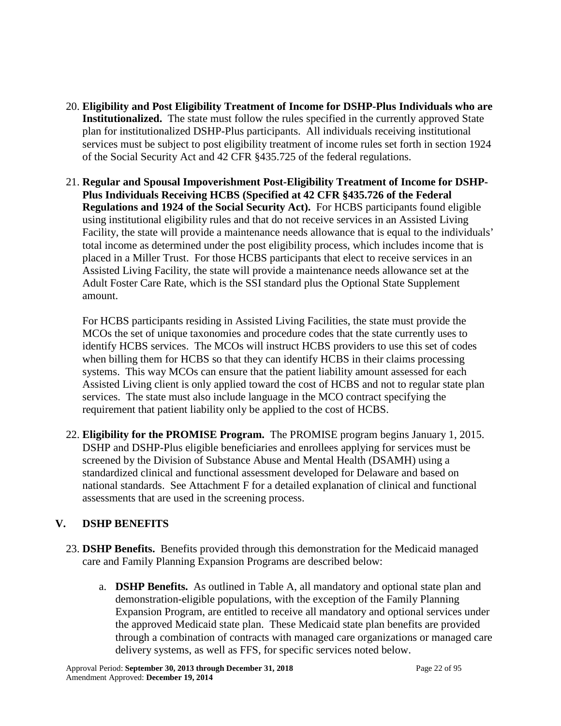- 20. **Eligibility and Post Eligibility Treatment of Income for DSHP-Plus Individuals who are Institutionalized.** The state must follow the rules specified in the currently approved State plan for institutionalized DSHP-Plus participants. All individuals receiving institutional services must be subject to post eligibility treatment of income rules set forth in section 1924 of the Social Security Act and 42 CFR §435.725 of the federal regulations.
- 21. **Regular and Spousal Impoverishment Post-Eligibility Treatment of Income for DSHP-Plus Individuals Receiving HCBS (Specified at 42 CFR §435.726 of the Federal Regulations and 1924 of the Social Security Act).** For HCBS participants found eligible using institutional eligibility rules and that do not receive services in an Assisted Living Facility, the state will provide a maintenance needs allowance that is equal to the individuals' total income as determined under the post eligibility process, which includes income that is placed in a Miller Trust. For those HCBS participants that elect to receive services in an Assisted Living Facility, the state will provide a maintenance needs allowance set at the Adult Foster Care Rate, which is the SSI standard plus the Optional State Supplement amount.

For HCBS participants residing in Assisted Living Facilities, the state must provide the MCOs the set of unique taxonomies and procedure codes that the state currently uses to identify HCBS services. The MCOs will instruct HCBS providers to use this set of codes when billing them for HCBS so that they can identify HCBS in their claims processing systems. This way MCOs can ensure that the patient liability amount assessed for each Assisted Living client is only applied toward the cost of HCBS and not to regular state plan services. The state must also include language in the MCO contract specifying the requirement that patient liability only be applied to the cost of HCBS.

22. **Eligibility for the PROMISE Program.** The PROMISE program begins January 1, 2015. DSHP and DSHP-Plus eligible beneficiaries and enrollees applying for services must be screened by the Division of Substance Abuse and Mental Health (DSAMH) using a standardized clinical and functional assessment developed for Delaware and based on national standards. See Attachment F for a detailed explanation of clinical and functional assessments that are used in the screening process.

## **V. DSHP BENEFITS**

- 23. **DSHP Benefits.** Benefits provided through this demonstration for the Medicaid managed care and Family Planning Expansion Programs are described below:
	- a. **DSHP Benefits.** As outlined in Table A, all mandatory and optional state plan and demonstration-eligible populations, with the exception of the Family Planning Expansion Program, are entitled to receive all mandatory and optional services under the approved Medicaid state plan. These Medicaid state plan benefits are provided through a combination of contracts with managed care organizations or managed care delivery systems, as well as FFS, for specific services noted below.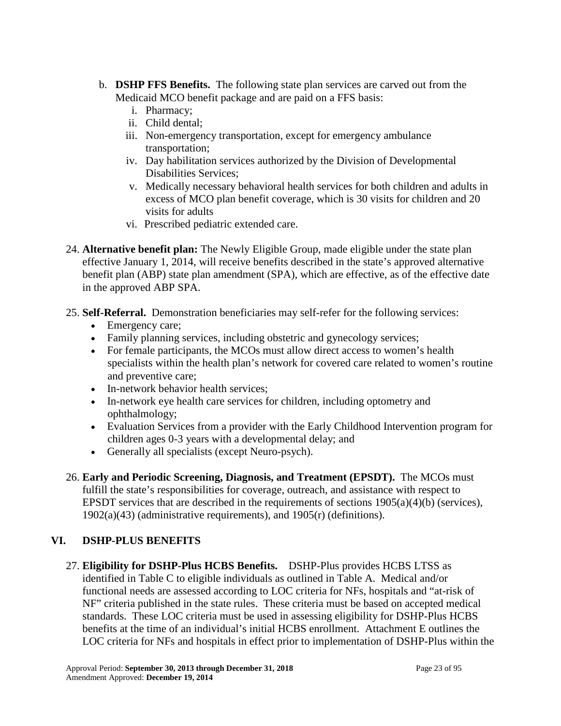- b. **DSHP FFS Benefits.** The following state plan services are carved out from the Medicaid MCO benefit package and are paid on a FFS basis:
	- i. Pharmacy;
	- ii. Child dental;
	- iii. Non-emergency transportation, except for emergency ambulance transportation;
	- iv. Day habilitation services authorized by the Division of Developmental Disabilities Services;
	- v. Medically necessary behavioral health services for both children and adults in excess of MCO plan benefit coverage, which is 30 visits for children and 20 visits for adults
	- vi. Prescribed pediatric extended care.
- 24. **Alternative benefit plan:** The Newly Eligible Group, made eligible under the state plan effective January 1, 2014, will receive benefits described in the state's approved alternative benefit plan (ABP) state plan amendment (SPA), which are effective, as of the effective date in the approved ABP SPA.
- 25. **Self-Referral.** Demonstration beneficiaries may self-refer for the following services:
	- Emergency care;
	- Family planning services, including obstetric and gynecology services;
	- For female participants, the MCOs must allow direct access to women's health specialists within the health plan's network for covered care related to women's routine and preventive care;
	- In-network behavior health services;
	- In-network eye health care services for children, including optometry and ophthalmology;
	- Evaluation Services from a provider with the Early Childhood Intervention program for children ages 0-3 years with a developmental delay; and
	- Generally all specialists (except Neuro-psych).
- 26. **Early and Periodic Screening, Diagnosis, and Treatment (EPSDT).** The MCOs must fulfill the state's responsibilities for coverage, outreach, and assistance with respect to EPSDT services that are described in the requirements of sections  $1905(a)(4)(b)$  (services), 1902(a)(43) (administrative requirements), and 1905(r) (definitions).

## **VI. DSHP-PLUS BENEFITS**

27. **Eligibility for DSHP-Plus HCBS Benefits.** DSHP-Plus provides HCBS LTSS as identified in Table C to eligible individuals as outlined in Table A. Medical and/or functional needs are assessed according to LOC criteria for NFs, hospitals and "at-risk of NF" criteria published in the state rules. These criteria must be based on accepted medical standards. These LOC criteria must be used in assessing eligibility for DSHP-Plus HCBS benefits at the time of an individual's initial HCBS enrollment. Attachment E outlines the LOC criteria for NFs and hospitals in effect prior to implementation of DSHP-Plus within the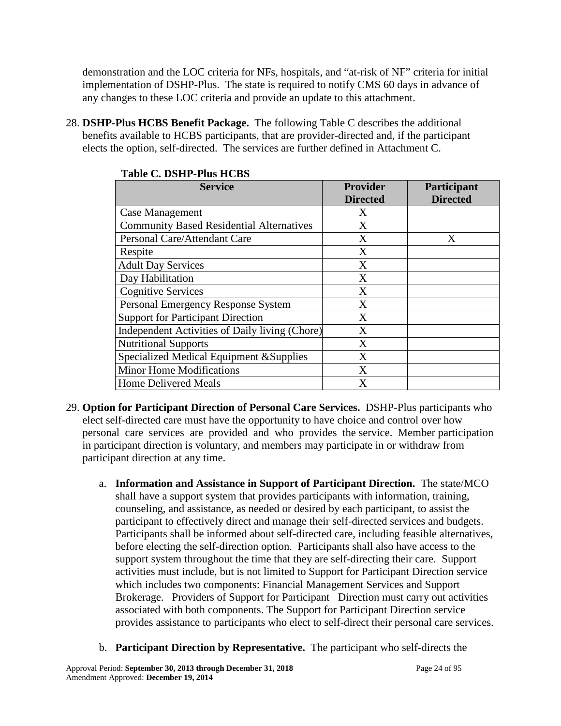demonstration and the LOC criteria for NFs, hospitals, and "at-risk of NF" criteria for initial implementation of DSHP-Plus. The state is required to notify CMS 60 days in advance of any changes to these LOC criteria and provide an update to this attachment.

28. **DSHP-Plus HCBS Benefit Package.** The following Table C describes the additional benefits available to HCBS participants, that are provider-directed and, if the participant elects the option, self-directed. The services are further defined in Attachment C.

| <b>Service</b>                                  | Provider        | Participant     |
|-------------------------------------------------|-----------------|-----------------|
|                                                 | <b>Directed</b> | <b>Directed</b> |
| Case Management                                 | X               |                 |
| <b>Community Based Residential Alternatives</b> | X               |                 |
| Personal Care/Attendant Care                    | X               | X               |
| Respite                                         | X               |                 |
| <b>Adult Day Services</b>                       | X               |                 |
| Day Habilitation                                | X               |                 |
| <b>Cognitive Services</b>                       | X               |                 |
| Personal Emergency Response System              | X               |                 |
| <b>Support for Participant Direction</b>        | X               |                 |
| Independent Activities of Daily living (Chore)  | X               |                 |
| <b>Nutritional Supports</b>                     | X               |                 |
| Specialized Medical Equipment & Supplies        | X               |                 |
| <b>Minor Home Modifications</b>                 | X               |                 |
| <b>Home Delivered Meals</b>                     | X               |                 |

#### **Table C. DSHP-Plus HCBS**

- 29. **Option for Participant Direction of Personal Care Services.** DSHP-Plus participants who elect self-directed care must have the opportunity to have choice and control over how personal care services are provided and who provides the service. Member participation in participant direction is voluntary, and members may participate in or withdraw from participant direction at any time.
	- a. **Information and Assistance in Support of Participant Direction.** The state/MCO shall have a support system that provides participants with information, training, counseling, and assistance, as needed or desired by each participant, to assist the participant to effectively direct and manage their self-directed services and budgets. Participants shall be informed about self-directed care, including feasible alternatives, before electing the self-direction option. Participants shall also have access to the support system throughout the time that they are self-directing their care. Support activities must include, but is not limited to Support for Participant Direction service which includes two components: Financial Management Services and Support Brokerage. Providers of Support for Participant Direction must carry out activities associated with both components. The Support for Participant Direction service provides assistance to participants who elect to self-direct their personal care services.
	- b. **Participant Direction by Representative.** The participant who self-directs the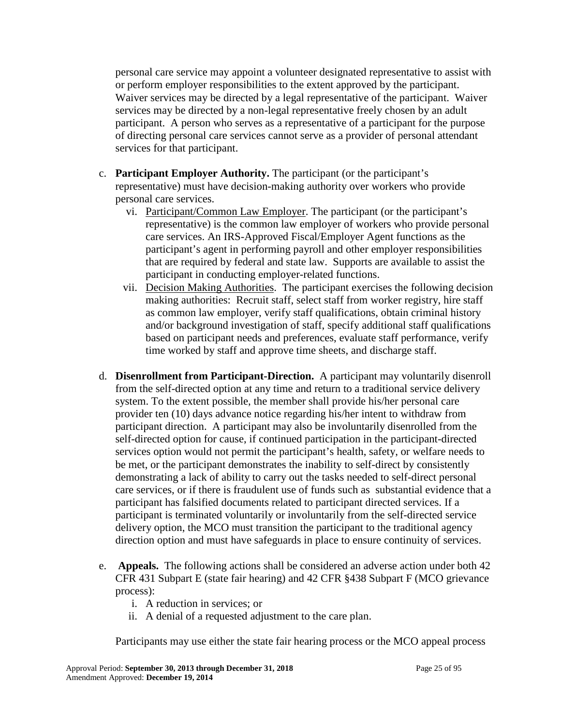personal care service may appoint a volunteer designated representative to assist with or perform employer responsibilities to the extent approved by the participant. Waiver services may be directed by a legal representative of the participant. Waiver services may be directed by a non-legal representative freely chosen by an adult participant. A person who serves as a representative of a participant for the purpose of directing personal care services cannot serve as a provider of personal attendant services for that participant.

- c. **Participant Employer Authority.** The participant (or the participant's representative) must have decision-making authority over workers who provide personal care services.
	- vi. Participant/Common Law Employer. The participant (or the participant's representative) is the common law employer of workers who provide personal care services. An IRS-Approved Fiscal/Employer Agent functions as the participant's agent in performing payroll and other employer responsibilities that are required by federal and state law. Supports are available to assist the participant in conducting employer-related functions.
	- vii. Decision Making Authorities. The participant exercises the following decision making authorities: Recruit staff, select staff from worker registry, hire staff as common law employer, verify staff qualifications, obtain criminal history and/or background investigation of staff, specify additional staff qualifications based on participant needs and preferences, evaluate staff performance, verify time worked by staff and approve time sheets, and discharge staff.
- d. **Disenrollment from Participant-Direction.** A participant may voluntarily disenroll from the self-directed option at any time and return to a traditional service delivery system. To the extent possible, the member shall provide his/her personal care provider ten (10) days advance notice regarding his/her intent to withdraw from participant direction. A participant may also be involuntarily disenrolled from the self-directed option for cause, if continued participation in the participant-directed services option would not permit the participant's health, safety, or welfare needs to be met, or the participant demonstrates the inability to self-direct by consistently demonstrating a lack of ability to carry out the tasks needed to self-direct personal care services, or if there is fraudulent use of funds such as substantial evidence that a participant has falsified documents related to participant directed services. If a participant is terminated voluntarily or involuntarily from the self-directed service delivery option, the MCO must transition the participant to the traditional agency direction option and must have safeguards in place to ensure continuity of services.
- e. **Appeals.** The following actions shall be considered an adverse action under both 42 CFR 431 Subpart E (state fair hearing) and 42 CFR §438 Subpart F (MCO grievance process):
	- i. A reduction in services; or
	- ii. A denial of a requested adjustment to the care plan.

Participants may use either the state fair hearing process or the MCO appeal process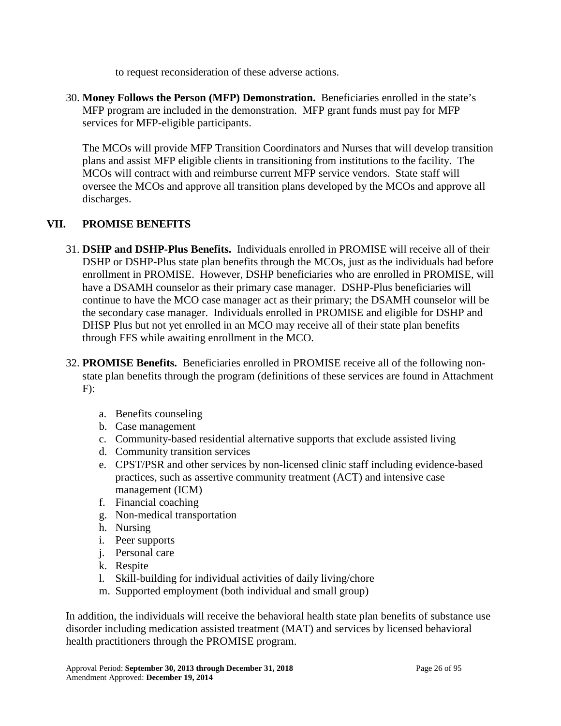to request reconsideration of these adverse actions.

30. **Money Follows the Person (MFP) Demonstration.** Beneficiaries enrolled in the state's MFP program are included in the demonstration. MFP grant funds must pay for MFP services for MFP-eligible participants.

The MCOs will provide MFP Transition Coordinators and Nurses that will develop transition plans and assist MFP eligible clients in transitioning from institutions to the facility. The MCOs will contract with and reimburse current MFP service vendors. State staff will oversee the MCOs and approve all transition plans developed by the MCOs and approve all discharges.

## **VII. PROMISE BENEFITS**

- 31. **DSHP and DSHP-Plus Benefits.** Individuals enrolled in PROMISE will receive all of their DSHP or DSHP-Plus state plan benefits through the MCOs, just as the individuals had before enrollment in PROMISE. However, DSHP beneficiaries who are enrolled in PROMISE, will have a DSAMH counselor as their primary case manager. DSHP-Plus beneficiaries will continue to have the MCO case manager act as their primary; the DSAMH counselor will be the secondary case manager. Individuals enrolled in PROMISE and eligible for DSHP and DHSP Plus but not yet enrolled in an MCO may receive all of their state plan benefits through FFS while awaiting enrollment in the MCO.
- 32. **PROMISE Benefits.** Beneficiaries enrolled in PROMISE receive all of the following nonstate plan benefits through the program (definitions of these services are found in Attachment  $F$ :
	- a. Benefits counseling
	- b. Case management
	- c. Community-based residential alternative supports that exclude assisted living
	- d. Community transition services
	- e. CPST/PSR and other services by non-licensed clinic staff including evidence-based practices, such as assertive community treatment (ACT) and intensive case management (ICM)
	- f. Financial coaching
	- g. Non-medical transportation
	- h. Nursing
	- i. Peer supports
	- j. Personal care
	- k. Respite
	- l. Skill-building for individual activities of daily living/chore
	- m. Supported employment (both individual and small group)

In addition, the individuals will receive the behavioral health state plan benefits of substance use disorder including medication assisted treatment (MAT) and services by licensed behavioral health practitioners through the PROMISE program.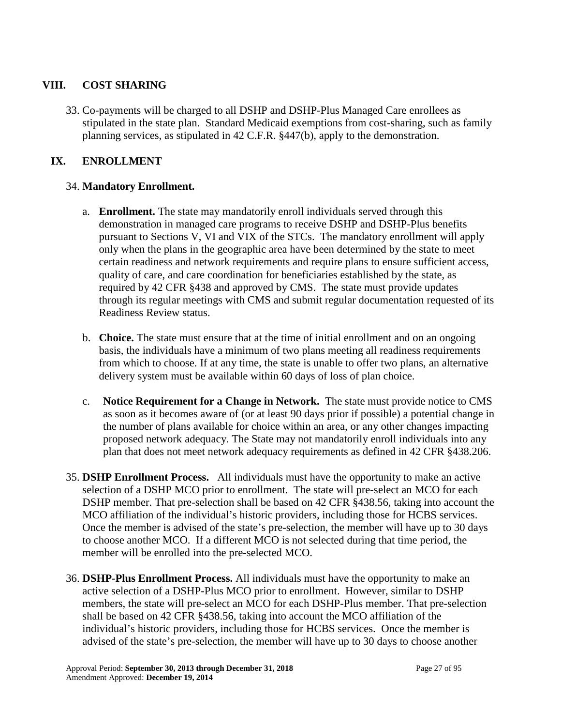## **VIII. COST SHARING**

33. Co-payments will be charged to all DSHP and DSHP-Plus Managed Care enrollees as stipulated in the state plan. Standard Medicaid exemptions from cost-sharing, such as family planning services, as stipulated in 42 C.F.R. §447(b), apply to the demonstration.

## **IX. ENROLLMENT**

## 34. **Mandatory Enrollment.**

- a. **Enrollment.** The state may mandatorily enroll individuals served through this demonstration in managed care programs to receive DSHP and DSHP-Plus benefits pursuant to Sections V, VI and VIX of the STCs. The mandatory enrollment will apply only when the plans in the geographic area have been determined by the state to meet certain readiness and network requirements and require plans to ensure sufficient access, quality of care, and care coordination for beneficiaries established by the state, as required by 42 CFR §438 and approved by CMS. The state must provide updates through its regular meetings with CMS and submit regular documentation requested of its Readiness Review status.
- b. **Choice.** The state must ensure that at the time of initial enrollment and on an ongoing basis, the individuals have a minimum of two plans meeting all readiness requirements from which to choose. If at any time, the state is unable to offer two plans, an alternative delivery system must be available within 60 days of loss of plan choice.
- c. **Notice Requirement for a Change in Network.** The state must provide notice to CMS as soon as it becomes aware of (or at least 90 days prior if possible) a potential change in the number of plans available for choice within an area, or any other changes impacting proposed network adequacy. The State may not mandatorily enroll individuals into any plan that does not meet network adequacy requirements as defined in 42 CFR §438.206.
- 35. **DSHP Enrollment Process.** All individuals must have the opportunity to make an active selection of a DSHP MCO prior to enrollment. The state will pre-select an MCO for each DSHP member. That pre-selection shall be based on 42 CFR §438.56, taking into account the MCO affiliation of the individual's historic providers, including those for HCBS services. Once the member is advised of the state's pre-selection, the member will have up to 30 days to choose another MCO. If a different MCO is not selected during that time period, the member will be enrolled into the pre-selected MCO.
- 36. **DSHP-Plus Enrollment Process.** All individuals must have the opportunity to make an active selection of a DSHP-Plus MCO prior to enrollment. However, similar to DSHP members, the state will pre-select an MCO for each DSHP-Plus member. That pre-selection shall be based on 42 CFR §438.56, taking into account the MCO affiliation of the individual's historic providers, including those for HCBS services. Once the member is advised of the state's pre-selection, the member will have up to 30 days to choose another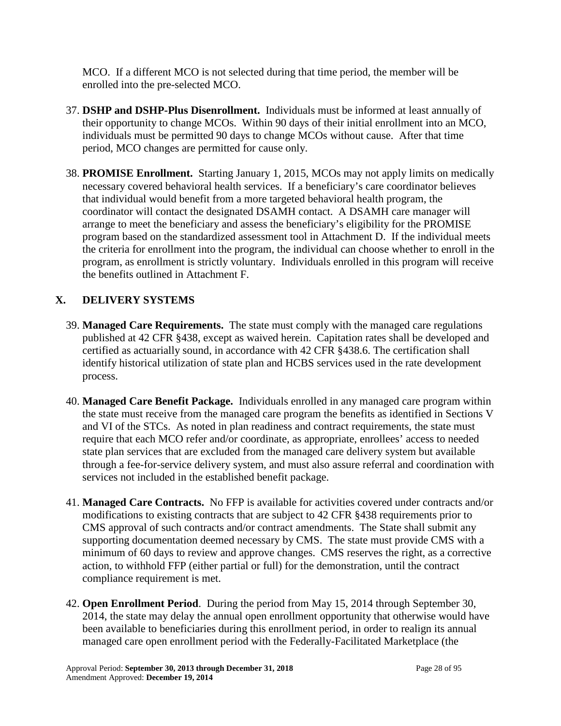MCO. If a different MCO is not selected during that time period, the member will be enrolled into the pre-selected MCO.

- 37. **DSHP and DSHP-Plus Disenrollment.** Individuals must be informed at least annually of their opportunity to change MCOs. Within 90 days of their initial enrollment into an MCO, individuals must be permitted 90 days to change MCOs without cause. After that time period, MCO changes are permitted for cause only.
- 38. **PROMISE Enrollment.** Starting January 1, 2015, MCOs may not apply limits on medically necessary covered behavioral health services. If a beneficiary's care coordinator believes that individual would benefit from a more targeted behavioral health program, the coordinator will contact the designated DSAMH contact. A DSAMH care manager will arrange to meet the beneficiary and assess the beneficiary's eligibility for the PROMISE program based on the standardized assessment tool in Attachment D. If the individual meets the criteria for enrollment into the program, the individual can choose whether to enroll in the program, as enrollment is strictly voluntary. Individuals enrolled in this program will receive the benefits outlined in Attachment F.

# **X. DELIVERY SYSTEMS**

- 39. **Managed Care Requirements.** The state must comply with the managed care regulations published at 42 CFR §438, except as waived herein. Capitation rates shall be developed and certified as actuarially sound, in accordance with 42 CFR §438.6. The certification shall identify historical utilization of state plan and HCBS services used in the rate development process.
- 40. **Managed Care Benefit Package.** Individuals enrolled in any managed care program within the state must receive from the managed care program the benefits as identified in Sections V and VI of the STCs. As noted in plan readiness and contract requirements, the state must require that each MCO refer and/or coordinate, as appropriate, enrollees' access to needed state plan services that are excluded from the managed care delivery system but available through a fee-for-service delivery system, and must also assure referral and coordination with services not included in the established benefit package.
- 41. **Managed Care Contracts.** No FFP is available for activities covered under contracts and/or modifications to existing contracts that are subject to 42 CFR §438 requirements prior to CMS approval of such contracts and/or contract amendments. The State shall submit any supporting documentation deemed necessary by CMS. The state must provide CMS with a minimum of 60 days to review and approve changes. CMS reserves the right, as a corrective action, to withhold FFP (either partial or full) for the demonstration, until the contract compliance requirement is met.
- 42. **Open Enrollment Period**. During the period from May 15, 2014 through September 30, 2014, the state may delay the annual open enrollment opportunity that otherwise would have been available to beneficiaries during this enrollment period, in order to realign its annual managed care open enrollment period with the Federally-Facilitated Marketplace (the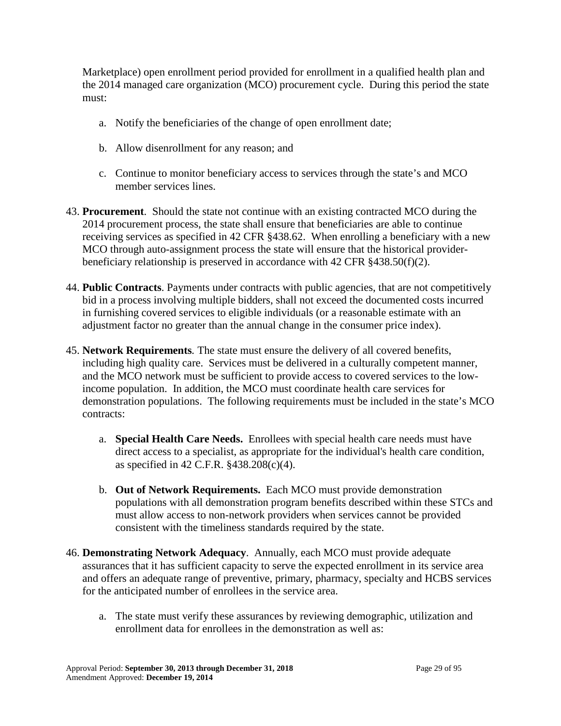Marketplace) open enrollment period provided for enrollment in a qualified health plan and the 2014 managed care organization (MCO) procurement cycle. During this period the state must:

- a. Notify the beneficiaries of the change of open enrollment date;
- b. Allow disenrollment for any reason; and
- c. Continue to monitor beneficiary access to services through the state's and MCO member services lines.
- 43. **Procurement**. Should the state not continue with an existing contracted MCO during the 2014 procurement process, the state shall ensure that beneficiaries are able to continue receiving services as specified in 42 CFR §438.62. When enrolling a beneficiary with a new MCO through auto-assignment process the state will ensure that the historical providerbeneficiary relationship is preserved in accordance with 42 CFR §438.50(f)(2).
- 44. **Public Contracts**. Payments under contracts with public agencies, that are not competitively bid in a process involving multiple bidders, shall not exceed the documented costs incurred in furnishing covered services to eligible individuals (or a reasonable estimate with an adjustment factor no greater than the annual change in the consumer price index).
- 45. **Network Requirements***.* The state must ensure the delivery of all covered benefits, including high quality care. Services must be delivered in a culturally competent manner, and the MCO network must be sufficient to provide access to covered services to the lowincome population. In addition, the MCO must coordinate health care services for demonstration populations.The following requirements must be included in the state's MCO contracts:
	- a. **Special Health Care Needs.** Enrollees with special health care needs must have direct access to a specialist, as appropriate for the individual's health care condition, as specified in 42 C.F.R. §438.208(c)(4).
	- b. **Out of Network Requirements.** Each MCO must provide demonstration populations with all demonstration program benefits described within these STCs and must allow access to non-network providers when services cannot be provided consistent with the timeliness standards required by the state.
- 46. **Demonstrating Network Adequacy**. Annually, each MCO must provide adequate assurances that it has sufficient capacity to serve the expected enrollment in its service area and offers an adequate range of preventive, primary, pharmacy, specialty and HCBS services for the anticipated number of enrollees in the service area.
	- a. The state must verify these assurances by reviewing demographic, utilization and enrollment data for enrollees in the demonstration as well as: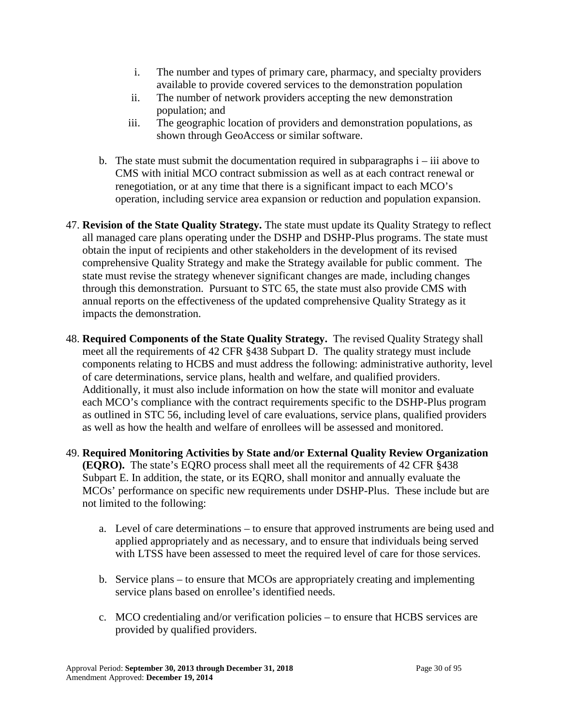- i. The number and types of primary care, pharmacy, and specialty providers available to provide covered services to the demonstration population
- ii. The number of network providers accepting the new demonstration population; and
- iii. The geographic location of providers and demonstration populations, as shown through GeoAccess or similar software.
- b. The state must submit the documentation required in subparagraphs i iii above to CMS with initial MCO contract submission as well as at each contract renewal or renegotiation, or at any time that there is a significant impact to each MCO's operation, including service area expansion or reduction and population expansion.
- 47. **Revision of the State Quality Strategy.** The state must update its Quality Strategy to reflect all managed care plans operating under the DSHP and DSHP-Plus programs. The state must obtain the input of recipients and other stakeholders in the development of its revised comprehensive Quality Strategy and make the Strategy available for public comment. The state must revise the strategy whenever significant changes are made, including changes through this demonstration. Pursuant to STC 65, the state must also provide CMS with annual reports on the effectiveness of the updated comprehensive Quality Strategy as it impacts the demonstration.
- 48. **Required Components of the State Quality Strategy.** The revised Quality Strategy shall meet all the requirements of 42 CFR §438 Subpart D. The quality strategy must include components relating to HCBS and must address the following: administrative authority, level of care determinations, service plans, health and welfare, and qualified providers. Additionally, it must also include information on how the state will monitor and evaluate each MCO's compliance with the contract requirements specific to the DSHP-Plus program as outlined in STC 56, including level of care evaluations, service plans, qualified providers as well as how the health and welfare of enrollees will be assessed and monitored.
- 49. **Required Monitoring Activities by State and/or External Quality Review Organization (EQRO).** The state's EQRO process shall meet all the requirements of 42 CFR §438 Subpart E. In addition, the state, or its EQRO, shall monitor and annually evaluate the MCOs' performance on specific new requirements under DSHP-Plus. These include but are not limited to the following:
	- a. Level of care determinations to ensure that approved instruments are being used and applied appropriately and as necessary, and to ensure that individuals being served with LTSS have been assessed to meet the required level of care for those services.
	- b. Service plans to ensure that MCOs are appropriately creating and implementing service plans based on enrollee's identified needs.
	- c. MCO credentialing and/or verification policies to ensure that HCBS services are provided by qualified providers.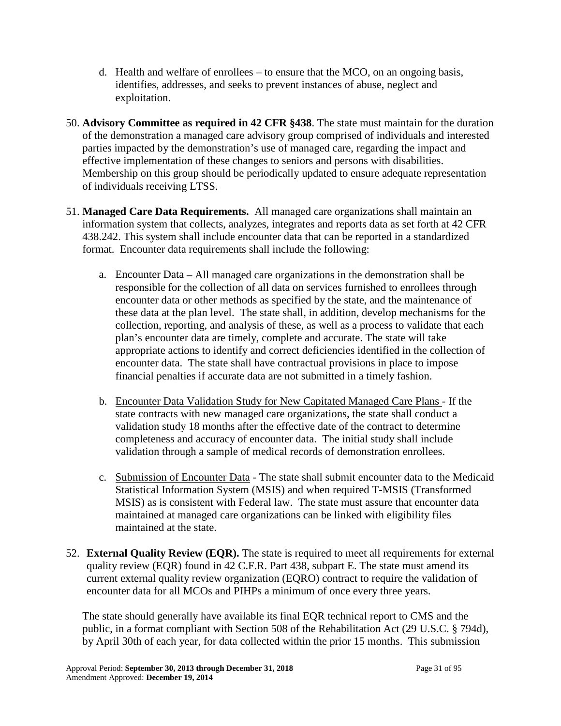- d. Health and welfare of enrollees to ensure that the MCO, on an ongoing basis, identifies, addresses, and seeks to prevent instances of abuse, neglect and exploitation.
- 50. **Advisory Committee as required in 42 CFR §438**. The state must maintain for the duration of the demonstration a managed care advisory group comprised of individuals and interested parties impacted by the demonstration's use of managed care, regarding the impact and effective implementation of these changes to seniors and persons with disabilities. Membership on this group should be periodically updated to ensure adequate representation of individuals receiving LTSS.
- 51. **Managed Care Data Requirements.** All managed care organizations shall maintain an information system that collects, analyzes, integrates and reports data as set forth at 42 CFR 438.242. This system shall include encounter data that can be reported in a standardized format. Encounter data requirements shall include the following:
	- a. Encounter Data All managed care organizations in the demonstration shall be responsible for the collection of all data on services furnished to enrollees through encounter data or other methods as specified by the state, and the maintenance of these data at the plan level. The state shall, in addition, develop mechanisms for the collection, reporting, and analysis of these, as well as a process to validate that each plan's encounter data are timely, complete and accurate. The state will take appropriate actions to identify and correct deficiencies identified in the collection of encounter data. The state shall have contractual provisions in place to impose financial penalties if accurate data are not submitted in a timely fashion.
	- b. Encounter Data Validation Study for New Capitated Managed Care Plans If the state contracts with new managed care organizations, the state shall conduct a validation study 18 months after the effective date of the contract to determine completeness and accuracy of encounter data. The initial study shall include validation through a sample of medical records of demonstration enrollees.
	- c. Submission of Encounter Data The state shall submit encounter data to the Medicaid Statistical Information System (MSIS) and when required T-MSIS (Transformed MSIS) as is consistent with Federal law. The state must assure that encounter data maintained at managed care organizations can be linked with eligibility files maintained at the state.
- 52. **External Quality Review (EQR).** The state is required to meet all requirements for external quality review (EQR) found in 42 C.F.R. Part 438, subpart E. The state must amend its current external quality review organization (EQRO) contract to require the validation of encounter data for all MCOs and PIHPs a minimum of once every three years.

The state should generally have available its final EQR technical report to CMS and the public, in a format compliant with Section 508 of the Rehabilitation Act (29 U.S.C. § 794d), by April 30th of each year, for data collected within the prior 15 months. This submission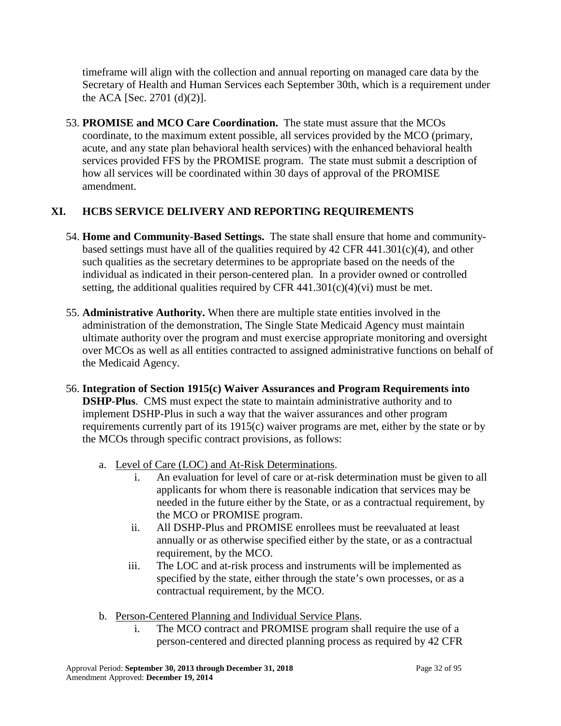timeframe will align with the collection and annual reporting on managed care data by the Secretary of Health and Human Services each September 30th, which is a requirement under the ACA [Sec. 2701 (d)(2)].

53. **PROMISE and MCO Care Coordination.** The state must assure that the MCOs coordinate, to the maximum extent possible, all services provided by the MCO (primary, acute, and any state plan behavioral health services) with the enhanced behavioral health services provided FFS by the PROMISE program. The state must submit a description of how all services will be coordinated within 30 days of approval of the PROMISE amendment.

# **XI. HCBS SERVICE DELIVERY AND REPORTING REQUIREMENTS**

- 54. **Home and Community-Based Settings.** The state shall ensure that home and communitybased settings must have all of the qualities required by  $42 \text{ CFR } 441.301(c)(4)$ , and other such qualities as the secretary determines to be appropriate based on the needs of the individual as indicated in their person-centered plan. In a provider owned or controlled setting, the additional qualities required by CFR  $441.301(c)(4)(vi)$  must be met.
- 55. **Administrative Authority.** When there are multiple state entities involved in the administration of the demonstration, The Single State Medicaid Agency must maintain ultimate authority over the program and must exercise appropriate monitoring and oversight over MCOs as well as all entities contracted to assigned administrative functions on behalf of the Medicaid Agency.
- 56. **Integration of Section 1915(c) Waiver Assurances and Program Requirements into DSHP-Plus**. CMS must expect the state to maintain administrative authority and to implement DSHP-Plus in such a way that the waiver assurances and other program requirements currently part of its 1915(c) waiver programs are met, either by the state or by the MCOs through specific contract provisions, as follows:
	- a. Level of Care (LOC) and At-Risk Determinations.
		- i. An evaluation for level of care or at-risk determination must be given to all applicants for whom there is reasonable indication that services may be needed in the future either by the State, or as a contractual requirement, by the MCO or PROMISE program.
		- ii. All DSHP-Plus and PROMISE enrollees must be reevaluated at least annually or as otherwise specified either by the state, or as a contractual requirement, by the MCO.
		- iii. The LOC and at-risk process and instruments will be implemented as specified by the state, either through the state's own processes, or as a contractual requirement, by the MCO.
	- b. Person-Centered Planning and Individual Service Plans.
		- i. The MCO contract and PROMISE program shall require the use of a person-centered and directed planning process as required by 42 CFR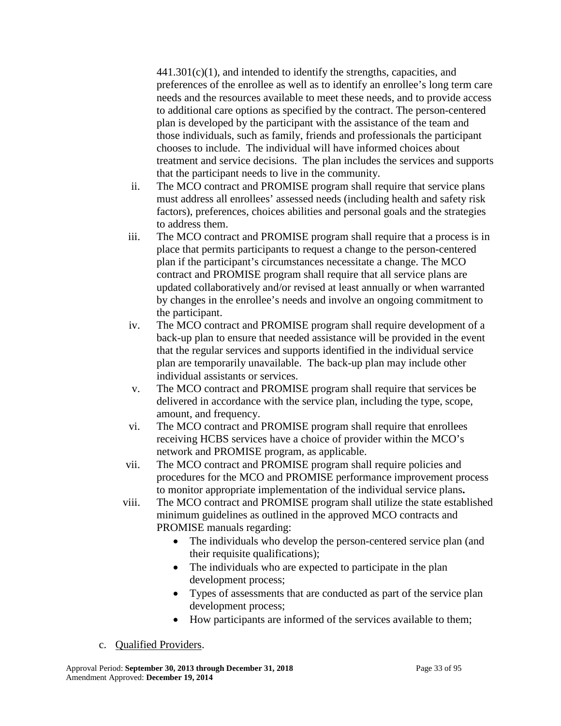$441.301(c)(1)$ , and intended to identify the strengths, capacities, and preferences of the enrollee as well as to identify an enrollee's long term care needs and the resources available to meet these needs, and to provide access to additional care options as specified by the contract. The person-centered plan is developed by the participant with the assistance of the team and those individuals, such as family, friends and professionals the participant chooses to include. The individual will have informed choices about treatment and service decisions. The plan includes the services and supports that the participant needs to live in the community.

- ii. The MCO contract and PROMISE program shall require that service plans must address all enrollees' assessed needs (including health and safety risk factors), preferences, choices abilities and personal goals and the strategies to address them.
- iii. The MCO contract and PROMISE program shall require that a process is in place that permits participants to request a change to the person-centered plan if the participant's circumstances necessitate a change. The MCO contract and PROMISE program shall require that all service plans are updated collaboratively and/or revised at least annually or when warranted by changes in the enrollee's needs and involve an ongoing commitment to the participant.
- iv. The MCO contract and PROMISE program shall require development of a back-up plan to ensure that needed assistance will be provided in the event that the regular services and supports identified in the individual service plan are temporarily unavailable. The back-up plan may include other individual assistants or services.
- v. The MCO contract and PROMISE program shall require that services be delivered in accordance with the service plan, including the type, scope, amount, and frequency.
- vi. The MCO contract and PROMISE program shall require that enrollees receiving HCBS services have a choice of provider within the MCO's network and PROMISE program, as applicable.
- vii. The MCO contract and PROMISE program shall require policies and procedures for the MCO and PROMISE performance improvement process to monitor appropriate implementation of the individual service plans**.**
- viii. The MCO contract and PROMISE program shall utilize the state established minimum guidelines as outlined in the approved MCO contracts and PROMISE manuals regarding:
	- The individuals who develop the person-centered service plan (and their requisite qualifications);
	- The individuals who are expected to participate in the plan development process;
	- Types of assessments that are conducted as part of the service plan development process;
	- How participants are informed of the services available to them;

c. Qualified Providers.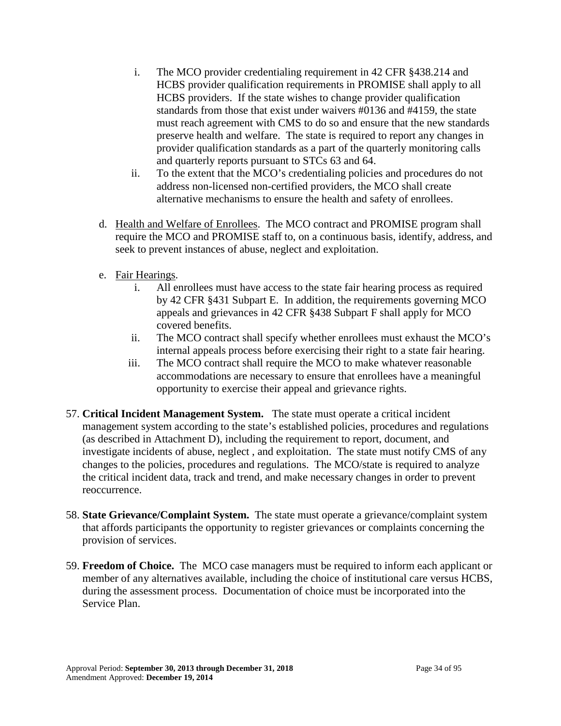- i. The MCO provider credentialing requirement in 42 CFR §438.214 and HCBS provider qualification requirements in PROMISE shall apply to all HCBS providers. If the state wishes to change provider qualification standards from those that exist under waivers #0136 and #4159, the state must reach agreement with CMS to do so and ensure that the new standards preserve health and welfare. The state is required to report any changes in provider qualification standards as a part of the quarterly monitoring calls and quarterly reports pursuant to STCs 63 and 64.
- ii. To the extent that the MCO's credentialing policies and procedures do not address non-licensed non-certified providers, the MCO shall create alternative mechanisms to ensure the health and safety of enrollees.
- d. Health and Welfare of Enrollees. The MCO contract and PROMISE program shall require the MCO and PROMISE staff to, on a continuous basis, identify, address, and seek to prevent instances of abuse, neglect and exploitation.
- e. Fair Hearings.
	- i. All enrollees must have access to the state fair hearing process as required by 42 CFR §431 Subpart E.In addition, the requirements governing MCO appeals and grievances in 42 CFR §438 Subpart F shall apply for MCO covered benefits.
	- ii. The MCO contract shall specify whether enrollees must exhaust the MCO's internal appeals process before exercising their right to a state fair hearing.
	- iii. The MCO contract shall require the MCO to make whatever reasonable accommodations are necessary to ensure that enrollees have a meaningful opportunity to exercise their appeal and grievance rights.
- 57. **Critical Incident Management System.** The state must operate a critical incident management system according to the state's established policies, procedures and regulations (as described in Attachment D), including the requirement to report, document, and investigate incidents of abuse, neglect , and exploitation. The state must notify CMS of any changes to the policies, procedures and regulations. The MCO/state is required to analyze the critical incident data, track and trend, and make necessary changes in order to prevent reoccurrence.
- 58. **State Grievance/Complaint System.** The state must operate a grievance/complaint system that affords participants the opportunity to register grievances or complaints concerning the provision of services.
- 59. **Freedom of Choice.** The MCO case managers must be required to inform each applicant or member of any alternatives available, including the choice of institutional care versus HCBS, during the assessment process. Documentation of choice must be incorporated into the Service Plan.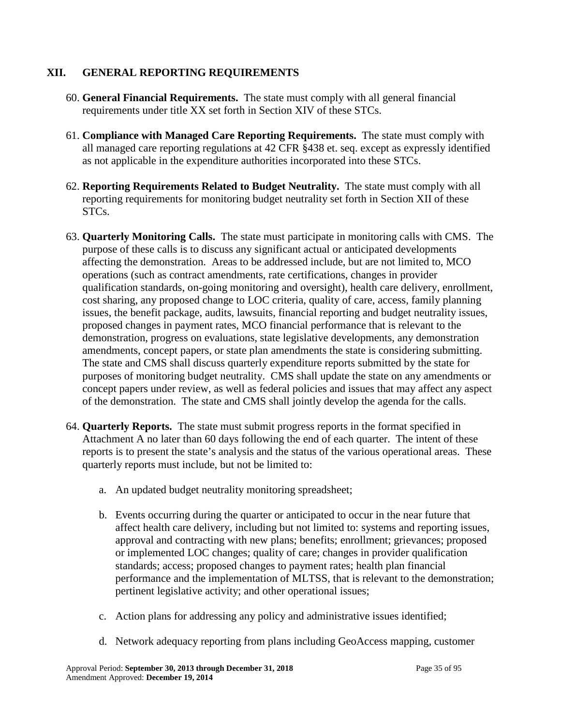### **XII. GENERAL REPORTING REQUIREMENTS**

- 60. **General Financial Requirements.** The state must comply with all general financial requirements under title XX set forth in Section XIV of these STCs.
- 61. **Compliance with Managed Care Reporting Requirements.** The state must comply with all managed care reporting regulations at 42 CFR §438 et. seq. except as expressly identified as not applicable in the expenditure authorities incorporated into these STCs.
- 62. **Reporting Requirements Related to Budget Neutrality.** The state must comply with all reporting requirements for monitoring budget neutrality set forth in Section XII of these STCs.
- 63. **Quarterly Monitoring Calls.** The state must participate in monitoring calls with CMS. The purpose of these calls is to discuss any significant actual or anticipated developments affecting the demonstration. Areas to be addressed include, but are not limited to, MCO operations (such as contract amendments, rate certifications, changes in provider qualification standards, on-going monitoring and oversight), health care delivery, enrollment, cost sharing, any proposed change to LOC criteria, quality of care, access, family planning issues, the benefit package, audits, lawsuits, financial reporting and budget neutrality issues, proposed changes in payment rates, MCO financial performance that is relevant to the demonstration, progress on evaluations, state legislative developments, any demonstration amendments, concept papers, or state plan amendments the state is considering submitting. The state and CMS shall discuss quarterly expenditure reports submitted by the state for purposes of monitoring budget neutrality. CMS shall update the state on any amendments or concept papers under review, as well as federal policies and issues that may affect any aspect of the demonstration. The state and CMS shall jointly develop the agenda for the calls.
- 64. **Quarterly Reports.** The state must submit progress reports in the format specified in Attachment A no later than 60 days following the end of each quarter. The intent of these reports is to present the state's analysis and the status of the various operational areas. These quarterly reports must include, but not be limited to:
	- a. An updated budget neutrality monitoring spreadsheet;
	- b. Events occurring during the quarter or anticipated to occur in the near future that affect health care delivery, including but not limited to: systems and reporting issues, approval and contracting with new plans; benefits; enrollment; grievances; proposed or implemented LOC changes; quality of care; changes in provider qualification standards; access; proposed changes to payment rates; health plan financial performance and the implementation of MLTSS, that is relevant to the demonstration; pertinent legislative activity; and other operational issues;
	- c. Action plans for addressing any policy and administrative issues identified;
	- d. Network adequacy reporting from plans including GeoAccess mapping, customer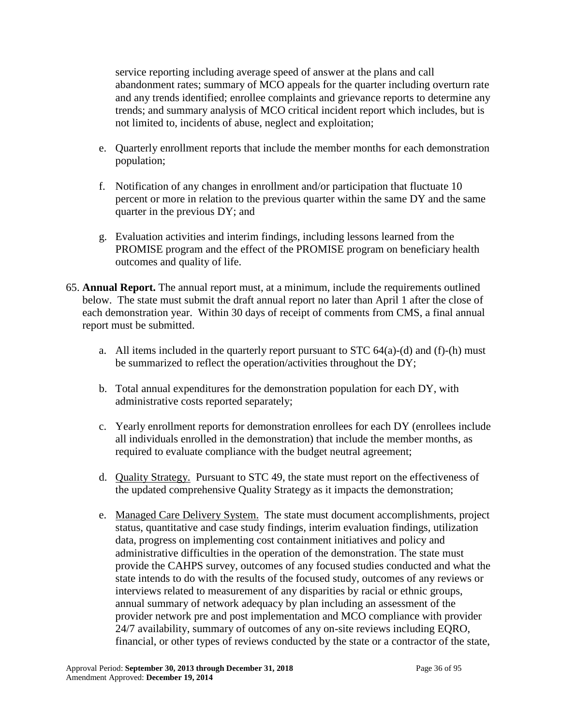service reporting including average speed of answer at the plans and call abandonment rates; summary of MCO appeals for the quarter including overturn rate and any trends identified; enrollee complaints and grievance reports to determine any trends; and summary analysis of MCO critical incident report which includes, but is not limited to, incidents of abuse, neglect and exploitation;

- e. Quarterly enrollment reports that include the member months for each demonstration population;
- f. Notification of any changes in enrollment and/or participation that fluctuate 10 percent or more in relation to the previous quarter within the same DY and the same quarter in the previous DY; and
- g. Evaluation activities and interim findings, including lessons learned from the PROMISE program and the effect of the PROMISE program on beneficiary health outcomes and quality of life.
- 65. **Annual Report.** The annual report must, at a minimum, include the requirements outlined below. The state must submit the draft annual report no later than April 1 after the close of each demonstration year. Within 30 days of receipt of comments from CMS, a final annual report must be submitted.
	- a. All items included in the quarterly report pursuant to STC  $64(a)$ - $(d)$  and  $(f)$ - $(h)$  must be summarized to reflect the operation/activities throughout the DY;
	- b. Total annual expenditures for the demonstration population for each DY, with administrative costs reported separately;
	- c. Yearly enrollment reports for demonstration enrollees for each DY (enrollees include all individuals enrolled in the demonstration) that include the member months, as required to evaluate compliance with the budget neutral agreement;
	- d. Quality Strategy. Pursuant to STC 49, the state must report on the effectiveness of the updated comprehensive Quality Strategy as it impacts the demonstration;
	- e. Managed Care Delivery System. The state must document accomplishments, project status, quantitative and case study findings, interim evaluation findings, utilization data, progress on implementing cost containment initiatives and policy and administrative difficulties in the operation of the demonstration. The state must provide the CAHPS survey, outcomes of any focused studies conducted and what the state intends to do with the results of the focused study, outcomes of any reviews or interviews related to measurement of any disparities by racial or ethnic groups, annual summary of network adequacy by plan including an assessment of the provider network pre and post implementation and MCO compliance with provider 24/7 availability, summary of outcomes of any on-site reviews including EQRO, financial, or other types of reviews conducted by the state or a contractor of the state,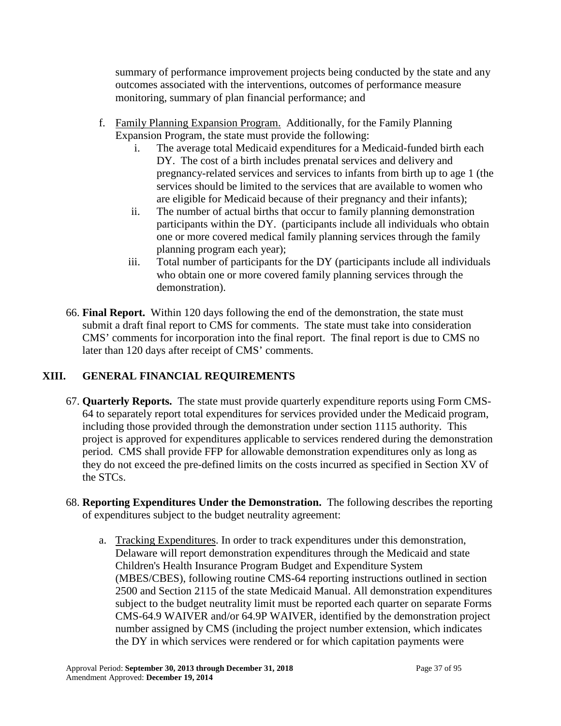summary of performance improvement projects being conducted by the state and any outcomes associated with the interventions, outcomes of performance measure monitoring, summary of plan financial performance; and

- f. Family Planning Expansion Program. Additionally, for the Family Planning Expansion Program, the state must provide the following:
	- i. The average total Medicaid expenditures for a Medicaid-funded birth each DY. The cost of a birth includes prenatal services and delivery and pregnancy-related services and services to infants from birth up to age 1 (the services should be limited to the services that are available to women who are eligible for Medicaid because of their pregnancy and their infants);
	- ii. The number of actual births that occur to family planning demonstration participants within the DY. (participants include all individuals who obtain one or more covered medical family planning services through the family planning program each year);
	- iii. Total number of participants for the DY (participants include all individuals who obtain one or more covered family planning services through the demonstration).
- 66. **Final Report.** Within 120 days following the end of the demonstration, the state must submit a draft final report to CMS for comments. The state must take into consideration CMS' comments for incorporation into the final report. The final report is due to CMS no later than 120 days after receipt of CMS' comments.

# **XIII. GENERAL FINANCIAL REQUIREMENTS**

- 67. **Quarterly Reports.** The state must provide quarterly expenditure reports using Form CMS-64 to separately report total expenditures for services provided under the Medicaid program, including those provided through the demonstration under section 1115 authority. This project is approved for expenditures applicable to services rendered during the demonstration period. CMS shall provide FFP for allowable demonstration expenditures only as long as they do not exceed the pre-defined limits on the costs incurred as specified in Section XV of the STCs.
- 68. **Reporting Expenditures Under the Demonstration.** The following describes the reporting of expenditures subject to the budget neutrality agreement:
	- a. Tracking Expenditures. In order to track expenditures under this demonstration, Delaware will report demonstration expenditures through the Medicaid and state Children's Health Insurance Program Budget and Expenditure System (MBES/CBES), following routine CMS-64 reporting instructions outlined in section 2500 and Section 2115 of the state Medicaid Manual. All demonstration expenditures subject to the budget neutrality limit must be reported each quarter on separate Forms CMS-64.9 WAIVER and/or 64.9P WAIVER, identified by the demonstration project number assigned by CMS (including the project number extension, which indicates the DY in which services were rendered or for which capitation payments were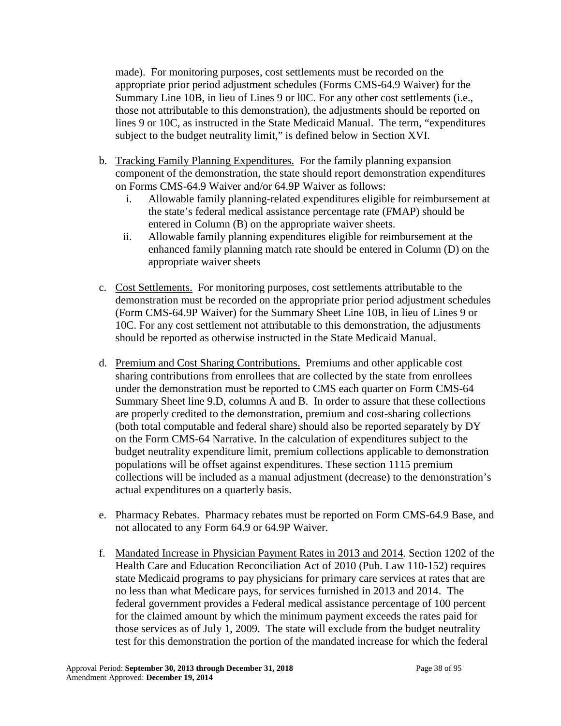made). For monitoring purposes, cost settlements must be recorded on the appropriate prior period adjustment schedules (Forms CMS-64.9 Waiver) for the Summary Line 10B, in lieu of Lines 9 or l0C. For any other cost settlements (i.e., those not attributable to this demonstration), the adjustments should be reported on lines 9 or 10C, as instructed in the State Medicaid Manual. The term, "expenditures subject to the budget neutrality limit," is defined below in Section XVI.

- b. Tracking Family Planning Expenditures. For the family planning expansion component of the demonstration, the state should report demonstration expenditures on Forms CMS-64.9 Waiver and/or 64.9P Waiver as follows:
	- i. Allowable family planning-related expenditures eligible for reimbursement at the state's federal medical assistance percentage rate (FMAP) should be entered in Column (B) on the appropriate waiver sheets.
	- ii. Allowable family planning expenditures eligible for reimbursement at the enhanced family planning match rate should be entered in Column (D) on the appropriate waiver sheets
- c. Cost Settlements. For monitoring purposes, cost settlements attributable to the demonstration must be recorded on the appropriate prior period adjustment schedules (Form CMS-64.9P Waiver) for the Summary Sheet Line 10B, in lieu of Lines 9 or 10C. For any cost settlement not attributable to this demonstration, the adjustments should be reported as otherwise instructed in the State Medicaid Manual.
- d. Premium and Cost Sharing Contributions. Premiums and other applicable cost sharing contributions from enrollees that are collected by the state from enrollees under the demonstration must be reported to CMS each quarter on Form CMS-64 Summary Sheet line 9.D, columns A and B. In order to assure that these collections are properly credited to the demonstration, premium and cost-sharing collections (both total computable and federal share) should also be reported separately by DY on the Form CMS-64 Narrative. In the calculation of expenditures subject to the budget neutrality expenditure limit, premium collections applicable to demonstration populations will be offset against expenditures. These section 1115 premium collections will be included as a manual adjustment (decrease) to the demonstration's actual expenditures on a quarterly basis.
- e. Pharmacy Rebates. Pharmacy rebates must be reported on Form CMS-64.9 Base, and not allocated to any Form 64.9 or 64.9P Waiver.
- f. Mandated Increase in Physician Payment Rates in 2013 and 2014. Section 1202 of the Health Care and Education Reconciliation Act of 2010 (Pub. Law 110-152) requires state Medicaid programs to pay physicians for primary care services at rates that are no less than what Medicare pays, for services furnished in 2013 and 2014. The federal government provides a Federal medical assistance percentage of 100 percent for the claimed amount by which the minimum payment exceeds the rates paid for those services as of July 1, 2009. The state will exclude from the budget neutrality test for this demonstration the portion of the mandated increase for which the federal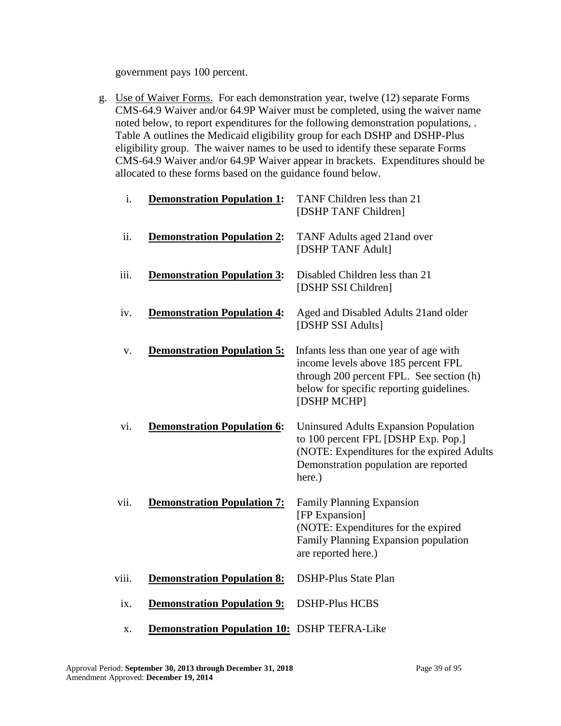government pays 100 percent.

g. Use of Waiver Forms. For each demonstration year, twelve (12) separate Forms CMS-64.9 Waiver and/or 64.9P Waiver must be completed, using the waiver name noted below, to report expenditures for the following demonstration populations, . Table A outlines the Medicaid eligibility group for each DSHP and DSHP-Plus eligibility group. The waiver names to be used to identify these separate Forms CMS-64.9 Waiver and/or 64.9P Waiver appear in brackets. Expenditures should be allocated to these forms based on the guidance found below.

| i.          | <b>Demonstration Population 1:</b>                  | TANF Children less than 21<br>[DSHP TANF Children]                                                                                                                                   |
|-------------|-----------------------------------------------------|--------------------------------------------------------------------------------------------------------------------------------------------------------------------------------------|
| ii.         | <b>Demonstration Population 2:</b>                  | TANF Adults aged 21 and over<br>[DSHP TANF Adult]                                                                                                                                    |
| iii.        | <b>Demonstration Population 3:</b>                  | Disabled Children less than 21<br>[DSHP SSI Children]                                                                                                                                |
| iv.         | <b>Demonstration Population 4:</b>                  | Aged and Disabled Adults 21 and older<br>[DSHP SSI Adults]                                                                                                                           |
| ${\bf V}$ . | <b>Demonstration Population 5:</b>                  | Infants less than one year of age with<br>income levels above 185 percent FPL<br>through 200 percent FPL. See section (h)<br>below for specific reporting guidelines.<br>[DSHP MCHP] |
| vi.         | <b>Demonstration Population 6:</b>                  | <b>Uninsured Adults Expansion Population</b><br>to 100 percent FPL [DSHP Exp. Pop.]<br>(NOTE: Expenditures for the expired Adults<br>Demonstration population are reported<br>here.) |
| vii.        | <b>Demonstration Population 7:</b>                  | <b>Family Planning Expansion</b><br>[FP Expansion]<br>(NOTE: Expenditures for the expired<br>Family Planning Expansion population<br>are reported here.)                             |
| viii.       | <b>Demonstration Population 8:</b>                  | <b>DSHP-Plus State Plan</b>                                                                                                                                                          |
| ix.         | <b>Demonstration Population 9:</b>                  | <b>DSHP-Plus HCBS</b>                                                                                                                                                                |
| Х.          | <b>Demonstration Population 10: DSHP TEFRA-Like</b> |                                                                                                                                                                                      |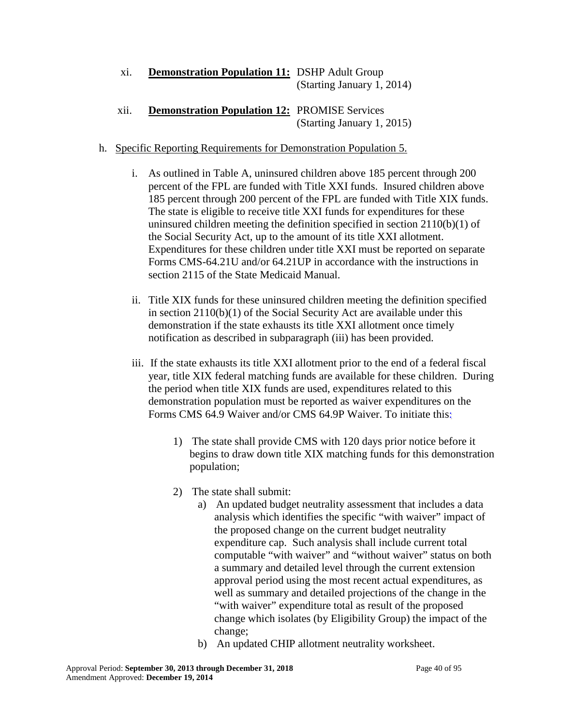- xi. **Demonstration Population 11:** DSHP Adult Group (Starting January 1, 2014)
- xii. **Demonstration Population 12:** PROMISE Services (Starting January 1, 2015)
- h. Specific Reporting Requirements for Demonstration Population 5.
	- i. As outlined in Table A, uninsured children above 185 percent through 200 percent of the FPL are funded with Title XXI funds. Insured children above 185 percent through 200 percent of the FPL are funded with Title XIX funds. The state is eligible to receive title XXI funds for expenditures for these uninsured children meeting the definition specified in section  $2110(b)(1)$  of the Social Security Act, up to the amount of its title XXI allotment. Expenditures for these children under title XXI must be reported on separate Forms CMS-64.21U and/or 64.21UP in accordance with the instructions in section 2115 of the State Medicaid Manual.
	- ii. Title XIX funds for these uninsured children meeting the definition specified in section 2110(b)(1) of the Social Security Act are available under this demonstration if the state exhausts its title XXI allotment once timely notification as described in subparagraph (iii) has been provided.
	- iii. If the state exhausts its title XXI allotment prior to the end of a federal fiscal year, title XIX federal matching funds are available for these children. During the period when title XIX funds are used, expenditures related to this demonstration population must be reported as waiver expenditures on the Forms CMS 64.9 Waiver and/or CMS 64.9P Waiver. To initiate this:
		- 1) The state shall provide CMS with 120 days prior notice before it begins to draw down title XIX matching funds for this demonstration population;
		- 2) The state shall submit:
			- a) An updated budget neutrality assessment that includes a data analysis which identifies the specific "with waiver" impact of the proposed change on the current budget neutrality expenditure cap. Such analysis shall include current total computable "with waiver" and "without waiver" status on both a summary and detailed level through the current extension approval period using the most recent actual expenditures, as well as summary and detailed projections of the change in the "with waiver" expenditure total as result of the proposed change which isolates (by Eligibility Group) the impact of the change;
			- b) An updated CHIP allotment neutrality worksheet.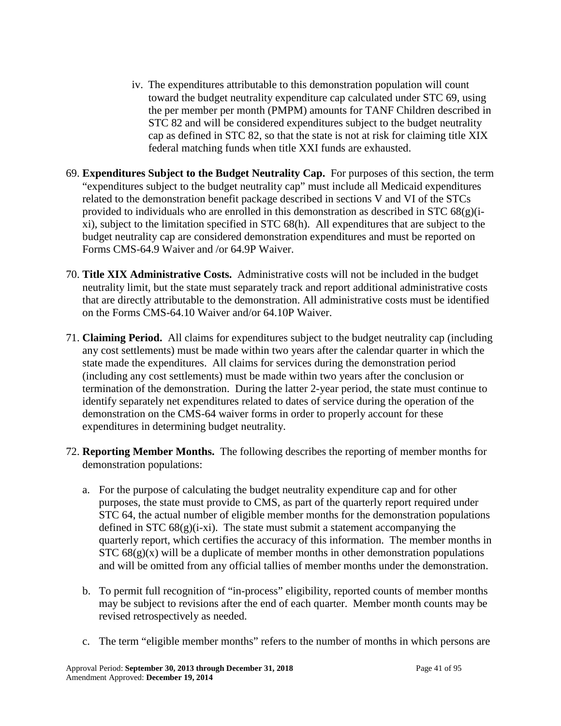- iv. The expenditures attributable to this demonstration population will count toward the budget neutrality expenditure cap calculated under STC 69, using the per member per month (PMPM) amounts for TANF Children described in STC 82 and will be considered expenditures subject to the budget neutrality cap as defined in STC 82, so that the state is not at risk for claiming title XIX federal matching funds when title XXI funds are exhausted.
- 69. **Expenditures Subject to the Budget Neutrality Cap.** For purposes of this section, the term "expenditures subject to the budget neutrality cap" must include all Medicaid expenditures related to the demonstration benefit package described in sections V and VI of the STCs provided to individuals who are enrolled in this demonstration as described in STC  $68(g)(i-)$ xi), subject to the limitation specified in STC 68(h). All expenditures that are subject to the budget neutrality cap are considered demonstration expenditures and must be reported on Forms CMS-64.9 Waiver and /or 64.9P Waiver.
- 70. **Title XIX Administrative Costs.** Administrative costs will not be included in the budget neutrality limit, but the state must separately track and report additional administrative costs that are directly attributable to the demonstration. All administrative costs must be identified on the Forms CMS-64.10 Waiver and/or 64.10P Waiver.
- 71. **Claiming Period.** All claims for expenditures subject to the budget neutrality cap (including any cost settlements) must be made within two years after the calendar quarter in which the state made the expenditures. All claims for services during the demonstration period (including any cost settlements) must be made within two years after the conclusion or termination of the demonstration. During the latter 2-year period, the state must continue to identify separately net expenditures related to dates of service during the operation of the demonstration on the CMS-64 waiver forms in order to properly account for these expenditures in determining budget neutrality.
- 72. **Reporting Member Months.** The following describes the reporting of member months for demonstration populations:
	- a. For the purpose of calculating the budget neutrality expenditure cap and for other purposes, the state must provide to CMS, as part of the quarterly report required under STC 64, the actual number of eligible member months for the demonstration populations defined in STC  $68(g)(i-xi)$ . The state must submit a statement accompanying the quarterly report, which certifies the accuracy of this information. The member months in STC  $68(g)(x)$  will be a duplicate of member months in other demonstration populations and will be omitted from any official tallies of member months under the demonstration.
	- b. To permit full recognition of "in-process" eligibility, reported counts of member months may be subject to revisions after the end of each quarter. Member month counts may be revised retrospectively as needed.
	- c. The term "eligible member months" refers to the number of months in which persons are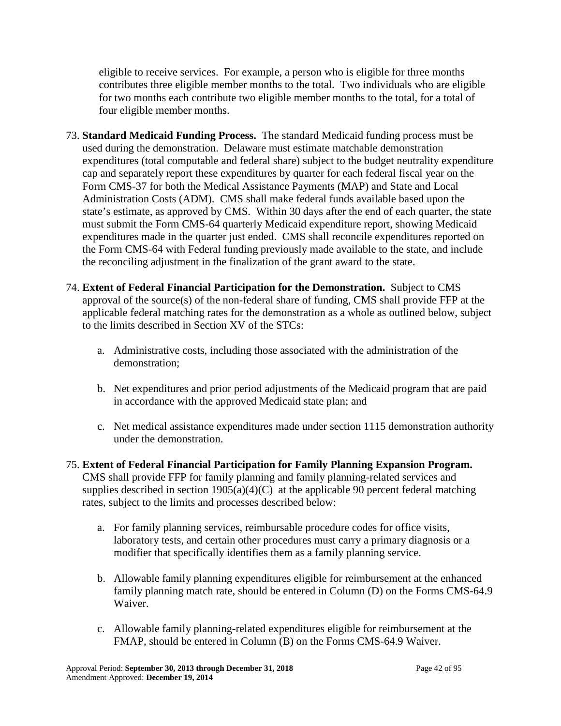eligible to receive services. For example, a person who is eligible for three months contributes three eligible member months to the total. Two individuals who are eligible for two months each contribute two eligible member months to the total, for a total of four eligible member months.

- 73. **Standard Medicaid Funding Process.** The standard Medicaid funding process must be used during the demonstration. Delaware must estimate matchable demonstration expenditures (total computable and federal share) subject to the budget neutrality expenditure cap and separately report these expenditures by quarter for each federal fiscal year on the Form CMS-37 for both the Medical Assistance Payments (MAP) and State and Local Administration Costs (ADM). CMS shall make federal funds available based upon the state's estimate, as approved by CMS. Within 30 days after the end of each quarter, the state must submit the Form CMS-64 quarterly Medicaid expenditure report, showing Medicaid expenditures made in the quarter just ended. CMS shall reconcile expenditures reported on the Form CMS-64 with Federal funding previously made available to the state, and include the reconciling adjustment in the finalization of the grant award to the state.
- 74. **Extent of Federal Financial Participation for the Demonstration.** Subject to CMS approval of the source(s) of the non-federal share of funding, CMS shall provide FFP at the applicable federal matching rates for the demonstration as a whole as outlined below, subject to the limits described in Section XV of the STCs:
	- a. Administrative costs, including those associated with the administration of the demonstration;
	- b. Net expenditures and prior period adjustments of the Medicaid program that are paid in accordance with the approved Medicaid state plan; and
	- c. Net medical assistance expenditures made under section 1115 demonstration authority under the demonstration.
- 75. **Extent of Federal Financial Participation for Family Planning Expansion Program.** CMS shall provide FFP for family planning and family planning-related services and supplies described in section  $1905(a)(4)(C)$  at the applicable 90 percent federal matching rates, subject to the limits and processes described below:
	- a. For family planning services, reimbursable procedure codes for office visits, laboratory tests, and certain other procedures must carry a primary diagnosis or a modifier that specifically identifies them as a family planning service.
	- b. Allowable family planning expenditures eligible for reimbursement at the enhanced family planning match rate, should be entered in Column (D) on the Forms CMS-64.9 Waiver.
	- c. Allowable family planning-related expenditures eligible for reimbursement at the FMAP, should be entered in Column (B) on the Forms CMS-64.9 Waiver.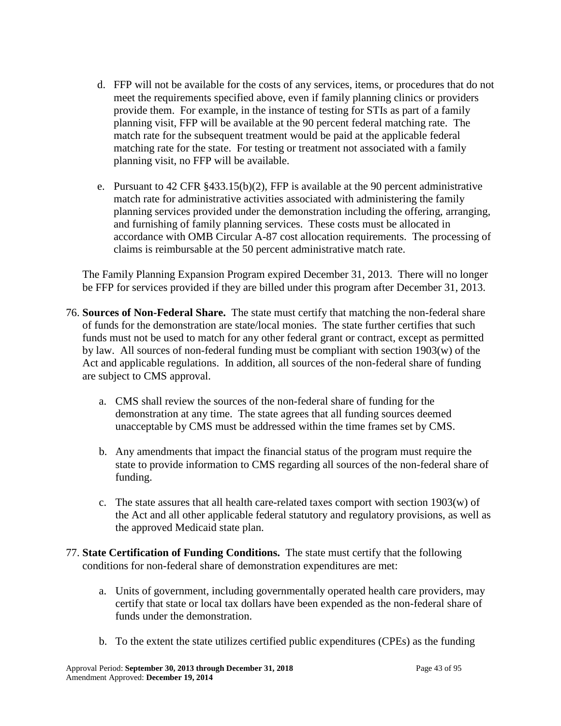- d. FFP will not be available for the costs of any services, items, or procedures that do not meet the requirements specified above, even if family planning clinics or providers provide them. For example, in the instance of testing for STIs as part of a family planning visit, FFP will be available at the 90 percent federal matching rate. The match rate for the subsequent treatment would be paid at the applicable federal matching rate for the state. For testing or treatment not associated with a family planning visit, no FFP will be available.
- e. Pursuant to 42 CFR §433.15(b)(2), FFP is available at the 90 percent administrative match rate for administrative activities associated with administering the family planning services provided under the demonstration including the offering, arranging, and furnishing of family planning services. These costs must be allocated in accordance with OMB Circular A-87 cost allocation requirements. The processing of claims is reimbursable at the 50 percent administrative match rate.

The Family Planning Expansion Program expired December 31, 2013. There will no longer be FFP for services provided if they are billed under this program after December 31, 2013.

- 76. **Sources of Non-Federal Share.** The state must certify that matching the non-federal share of funds for the demonstration are state/local monies. The state further certifies that such funds must not be used to match for any other federal grant or contract, except as permitted by law. All sources of non-federal funding must be compliant with section 1903(w) of the Act and applicable regulations. In addition, all sources of the non-federal share of funding are subject to CMS approval.
	- a. CMS shall review the sources of the non-federal share of funding for the demonstration at any time. The state agrees that all funding sources deemed unacceptable by CMS must be addressed within the time frames set by CMS.
	- b. Any amendments that impact the financial status of the program must require the state to provide information to CMS regarding all sources of the non-federal share of funding.
	- c. The state assures that all health care-related taxes comport with section  $1903(w)$  of the Act and all other applicable federal statutory and regulatory provisions, as well as the approved Medicaid state plan.
- 77. **State Certification of Funding Conditions.** The state must certify that the following conditions for non-federal share of demonstration expenditures are met:
	- a. Units of government, including governmentally operated health care providers, may certify that state or local tax dollars have been expended as the non-federal share of funds under the demonstration.
	- b. To the extent the state utilizes certified public expenditures (CPEs) as the funding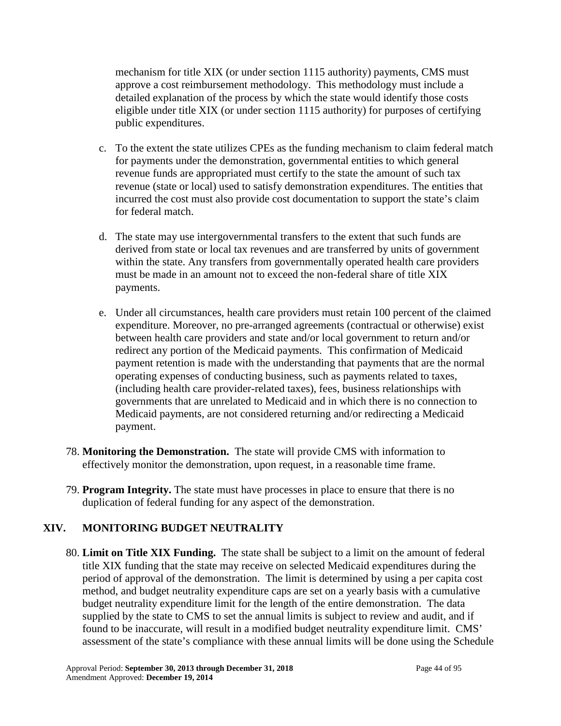mechanism for title XIX (or under section 1115 authority) payments, CMS must approve a cost reimbursement methodology. This methodology must include a detailed explanation of the process by which the state would identify those costs eligible under title XIX (or under section 1115 authority) for purposes of certifying public expenditures.

- c. To the extent the state utilizes CPEs as the funding mechanism to claim federal match for payments under the demonstration, governmental entities to which general revenue funds are appropriated must certify to the state the amount of such tax revenue (state or local) used to satisfy demonstration expenditures. The entities that incurred the cost must also provide cost documentation to support the state's claim for federal match.
- d. The state may use intergovernmental transfers to the extent that such funds are derived from state or local tax revenues and are transferred by units of government within the state. Any transfers from governmentally operated health care providers must be made in an amount not to exceed the non-federal share of title XIX payments.
- e. Under all circumstances, health care providers must retain 100 percent of the claimed expenditure. Moreover, no pre-arranged agreements (contractual or otherwise) exist between health care providers and state and/or local government to return and/or redirect any portion of the Medicaid payments. This confirmation of Medicaid payment retention is made with the understanding that payments that are the normal operating expenses of conducting business, such as payments related to taxes, (including health care provider-related taxes), fees, business relationships with governments that are unrelated to Medicaid and in which there is no connection to Medicaid payments, are not considered returning and/or redirecting a Medicaid payment.
- 78. **Monitoring the Demonstration.** The state will provide CMS with information to effectively monitor the demonstration, upon request, in a reasonable time frame.
- 79. **Program Integrity.** The state must have processes in place to ensure that there is no duplication of federal funding for any aspect of the demonstration.

# **XIV. MONITORING BUDGET NEUTRALITY**

80. **Limit on Title XIX Funding.** The state shall be subject to a limit on the amount of federal title XIX funding that the state may receive on selected Medicaid expenditures during the period of approval of the demonstration. The limit is determined by using a per capita cost method, and budget neutrality expenditure caps are set on a yearly basis with a cumulative budget neutrality expenditure limit for the length of the entire demonstration. The data supplied by the state to CMS to set the annual limits is subject to review and audit, and if found to be inaccurate, will result in a modified budget neutrality expenditure limit. CMS' assessment of the state's compliance with these annual limits will be done using the Schedule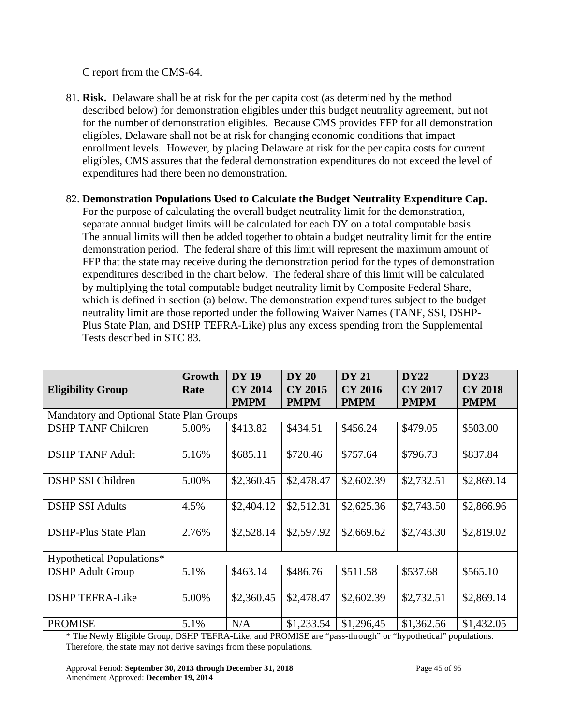C report from the CMS-64.

- 81. **Risk.** Delaware shall be at risk for the per capita cost (as determined by the method described below) for demonstration eligibles under this budget neutrality agreement, but not for the number of demonstration eligibles. Because CMS provides FFP for all demonstration eligibles, Delaware shall not be at risk for changing economic conditions that impact enrollment levels. However, by placing Delaware at risk for the per capita costs for current eligibles, CMS assures that the federal demonstration expenditures do not exceed the level of expenditures had there been no demonstration.
- 82. **Demonstration Populations Used to Calculate the Budget Neutrality Expenditure Cap.**  For the purpose of calculating the overall budget neutrality limit for the demonstration, separate annual budget limits will be calculated for each DY on a total computable basis. The annual limits will then be added together to obtain a budget neutrality limit for the entire demonstration period. The federal share of this limit will represent the maximum amount of FFP that the state may receive during the demonstration period for the types of demonstration expenditures described in the chart below. The federal share of this limit will be calculated by multiplying the total computable budget neutrality limit by Composite Federal Share, which is defined in section (a) below. The demonstration expenditures subject to the budget neutrality limit are those reported under the following Waiver Names (TANF, SSI, DSHP-Plus State Plan, and DSHP TEFRA-Like) plus any excess spending from the Supplemental Tests described in STC 83.

| <b>Eligibility Group</b>                 | Growth<br>Rate | <b>DY 19</b><br><b>CY 2014</b><br><b>PMPM</b> | DY <sub>20</sub><br><b>CY 2015</b><br><b>PMPM</b> | DY 21<br><b>CY 2016</b><br><b>PMPM</b> | <b>DY22</b><br><b>CY 2017</b><br><b>PMPM</b> | DY23<br><b>CY 2018</b><br><b>PMPM</b> |
|------------------------------------------|----------------|-----------------------------------------------|---------------------------------------------------|----------------------------------------|----------------------------------------------|---------------------------------------|
| Mandatory and Optional State Plan Groups |                |                                               |                                                   |                                        |                                              |                                       |
| <b>DSHP TANF Children</b>                | 5.00%          | \$413.82                                      | \$434.51                                          | \$456.24                               | \$479.05                                     | \$503.00                              |
| <b>DSHP TANF Adult</b>                   | 5.16%          | \$685.11                                      | \$720.46                                          | \$757.64                               | \$796.73                                     | \$837.84                              |
| <b>DSHP SSI Children</b>                 | 5.00%          | \$2,360.45                                    | \$2,478.47                                        | \$2,602.39                             | \$2,732.51                                   | \$2,869.14                            |
| <b>DSHP SSI Adults</b>                   | 4.5%           | \$2,404.12                                    | \$2,512.31                                        | \$2,625.36                             | \$2,743.50                                   | \$2,866.96                            |
| <b>DSHP-Plus State Plan</b>              | 2.76%          | \$2,528.14                                    | \$2,597.92                                        | \$2,669.62                             | \$2,743.30                                   | \$2,819.02                            |
| Hypothetical Populations*                |                |                                               |                                                   |                                        |                                              |                                       |
| <b>DSHP</b> Adult Group                  | 5.1%           | \$463.14                                      | \$486.76                                          | \$511.58                               | \$537.68                                     | \$565.10                              |
| <b>DSHP TEFRA-Like</b>                   | 5.00%          | \$2,360.45                                    | \$2,478.47                                        | \$2,602.39                             | \$2,732.51                                   | \$2,869.14                            |
| <b>PROMISE</b>                           | 5.1%           | N/A                                           | \$1,233.54                                        | \$1,296,45                             | \$1,362.56                                   | \$1,432.05                            |

\* The Newly Eligible Group, DSHP TEFRA-Like, and PROMISE are "pass-through" or "hypothetical" populations. Therefore, the state may not derive savings from these populations.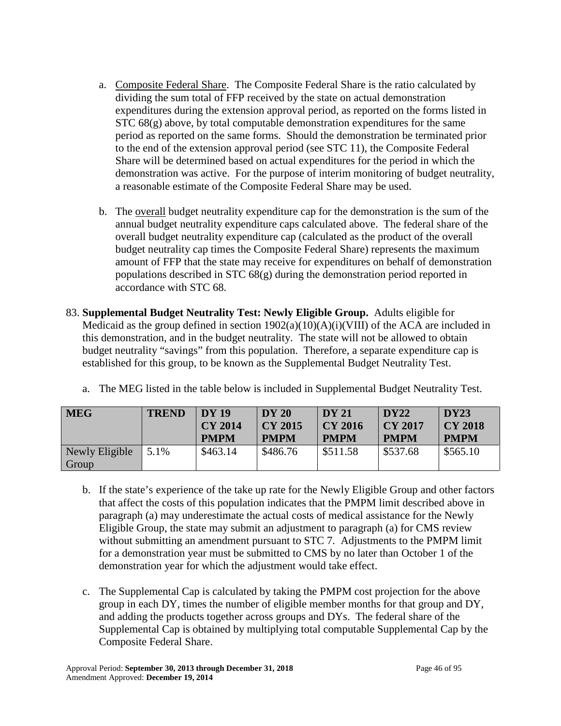- a. Composite Federal Share. The Composite Federal Share is the ratio calculated by dividing the sum total of FFP received by the state on actual demonstration expenditures during the extension approval period, as reported on the forms listed in STC 68(g) above, by total computable demonstration expenditures for the same period as reported on the same forms. Should the demonstration be terminated prior to the end of the extension approval period (see STC 11), the Composite Federal Share will be determined based on actual expenditures for the period in which the demonstration was active. For the purpose of interim monitoring of budget neutrality, a reasonable estimate of the Composite Federal Share may be used.
- b. The overall budget neutrality expenditure cap for the demonstration is the sum of the annual budget neutrality expenditure caps calculated above. The federal share of the overall budget neutrality expenditure cap (calculated as the product of the overall budget neutrality cap times the Composite Federal Share) represents the maximum amount of FFP that the state may receive for expenditures on behalf of demonstration populations described in STC 68(g) during the demonstration period reported in accordance with STC 68.
- 83. **Supplemental Budget Neutrality Test: Newly Eligible Group.** Adults eligible for Medicaid as the group defined in section  $1902(a)(10)(A)(i)(VIII)$  of the ACA are included in this demonstration, and in the budget neutrality. The state will not be allowed to obtain budget neutrality "savings" from this population. Therefore, a separate expenditure cap is established for this group, to be known as the Supplemental Budget Neutrality Test.

| a. The MEG listed in the table below is included in Supplemental Budget Neutrality Test. |  |  |  |
|------------------------------------------------------------------------------------------|--|--|--|

| <b>NEG</b>     | <b>TREND</b> | <b>DY 19</b>   | DY 20          | <b>DY 21</b>   | <b>DY22</b> | <b>DY23</b>    |
|----------------|--------------|----------------|----------------|----------------|-------------|----------------|
|                |              | <b>CY 2014</b> | <b>CY 2015</b> | <b>CY 2016</b> | CY 2017     | <b>CY 2018</b> |
|                |              | <b>PMPM</b>    | <b>PMPM</b>    | <b>PMPM</b>    | <b>PMPM</b> | <b>PMPM</b>    |
| Newly Eligible | 5.1%         | \$463.14       | \$486.76       | \$511.58       | \$537.68    | \$565.10       |
| Group          |              |                |                |                |             |                |

- b. If the state's experience of the take up rate for the Newly Eligible Group and other factors that affect the costs of this population indicates that the PMPM limit described above in paragraph (a) may underestimate the actual costs of medical assistance for the Newly Eligible Group, the state may submit an adjustment to paragraph (a) for CMS review without submitting an amendment pursuant to STC 7. Adjustments to the PMPM limit for a demonstration year must be submitted to CMS by no later than October 1 of the demonstration year for which the adjustment would take effect.
- c. The Supplemental Cap is calculated by taking the PMPM cost projection for the above group in each DY, times the number of eligible member months for that group and DY, and adding the products together across groups and DYs. The federal share of the Supplemental Cap is obtained by multiplying total computable Supplemental Cap by the Composite Federal Share.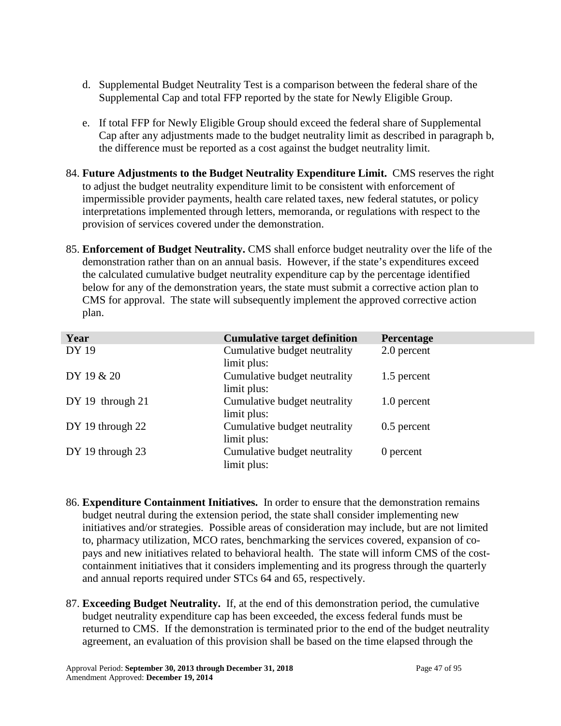- d. Supplemental Budget Neutrality Test is a comparison between the federal share of the Supplemental Cap and total FFP reported by the state for Newly Eligible Group.
- e. If total FFP for Newly Eligible Group should exceed the federal share of Supplemental Cap after any adjustments made to the budget neutrality limit as described in paragraph b, the difference must be reported as a cost against the budget neutrality limit.
- 84. **Future Adjustments to the Budget Neutrality Expenditure Limit.** CMS reserves the right to adjust the budget neutrality expenditure limit to be consistent with enforcement of impermissible provider payments, health care related taxes, new federal statutes, or policy interpretations implemented through letters, memoranda, or regulations with respect to the provision of services covered under the demonstration.
- 85. **Enforcement of Budget Neutrality.** CMS shall enforce budget neutrality over the life of the demonstration rather than on an annual basis. However, if the state's expenditures exceed the calculated cumulative budget neutrality expenditure cap by the percentage identified below for any of the demonstration years, the state must submit a corrective action plan to CMS for approval. The state will subsequently implement the approved corrective action plan.

| Year               | <b>Cumulative target definition</b>         | Percentage    |
|--------------------|---------------------------------------------|---------------|
| DY 19              | Cumulative budget neutrality<br>limit plus: | 2.0 percent   |
| DY 19 & 20         | Cumulative budget neutrality<br>limit plus: | 1.5 percent   |
| $DY 19$ through 21 | Cumulative budget neutrality<br>limit plus: | 1.0 percent   |
| DY 19 through 22   | Cumulative budget neutrality<br>limit plus: | $0.5$ percent |
| DY 19 through 23   | Cumulative budget neutrality<br>limit plus: | 0 percent     |

- 86. **Expenditure Containment Initiatives.** In order to ensure that the demonstration remains budget neutral during the extension period, the state shall consider implementing new initiatives and/or strategies. Possible areas of consideration may include, but are not limited to, pharmacy utilization, MCO rates, benchmarking the services covered, expansion of copays and new initiatives related to behavioral health. The state will inform CMS of the costcontainment initiatives that it considers implementing and its progress through the quarterly and annual reports required under STCs 64 and 65, respectively.
- 87. **Exceeding Budget Neutrality.** If, at the end of this demonstration period, the cumulative budget neutrality expenditure cap has been exceeded, the excess federal funds must be returned to CMS. If the demonstration is terminated prior to the end of the budget neutrality agreement, an evaluation of this provision shall be based on the time elapsed through the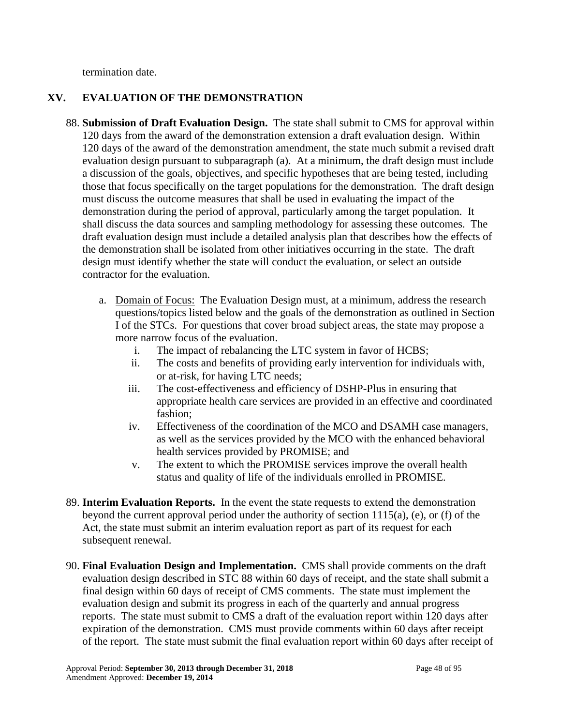termination date.

## **XV. EVALUATION OF THE DEMONSTRATION**

- 88. **Submission of Draft Evaluation Design.** The state shall submit to CMS for approval within 120 days from the award of the demonstration extension a draft evaluation design. Within 120 days of the award of the demonstration amendment, the state much submit a revised draft evaluation design pursuant to subparagraph (a). At a minimum, the draft design must include a discussion of the goals, objectives, and specific hypotheses that are being tested, including those that focus specifically on the target populations for the demonstration. The draft design must discuss the outcome measures that shall be used in evaluating the impact of the demonstration during the period of approval, particularly among the target population. It shall discuss the data sources and sampling methodology for assessing these outcomes. The draft evaluation design must include a detailed analysis plan that describes how the effects of the demonstration shall be isolated from other initiatives occurring in the state. The draft design must identify whether the state will conduct the evaluation, or select an outside contractor for the evaluation.
	- a. Domain of Focus: The Evaluation Design must, at a minimum, address the research questions/topics listed below and the goals of the demonstration as outlined in Section I of the STCs. For questions that cover broad subject areas, the state may propose a more narrow focus of the evaluation.
		- i. The impact of rebalancing the LTC system in favor of HCBS;
		- ii. The costs and benefits of providing early intervention for individuals with, or at-risk, for having LTC needs;
		- iii. The cost-effectiveness and efficiency of DSHP-Plus in ensuring that appropriate health care services are provided in an effective and coordinated fashion;
		- iv. Effectiveness of the coordination of the MCO and DSAMH case managers, as well as the services provided by the MCO with the enhanced behavioral health services provided by PROMISE; and
		- v. The extent to which the PROMISE services improve the overall health status and quality of life of the individuals enrolled in PROMISE.
- 89. **Interim Evaluation Reports.** In the event the state requests to extend the demonstration beyond the current approval period under the authority of section 1115(a), (e), or (f) of the Act, the state must submit an interim evaluation report as part of its request for each subsequent renewal.
- 90. **Final Evaluation Design and Implementation.** CMS shall provide comments on the draft evaluation design described in STC 88 within 60 days of receipt, and the state shall submit a final design within 60 days of receipt of CMS comments. The state must implement the evaluation design and submit its progress in each of the quarterly and annual progress reports. The state must submit to CMS a draft of the evaluation report within 120 days after expiration of the demonstration. CMS must provide comments within 60 days after receipt of the report. The state must submit the final evaluation report within 60 days after receipt of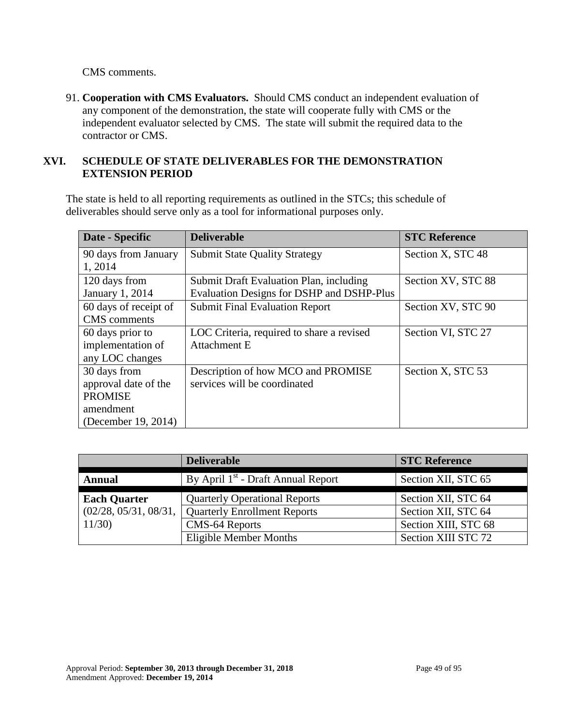CMS comments.

91. **Cooperation with CMS Evaluators.** Should CMS conduct an independent evaluation of any component of the demonstration, the state will cooperate fully with CMS or the independent evaluator selected by CMS. The state will submit the required data to the contractor or CMS.

## **XVI. SCHEDULE OF STATE DELIVERABLES FOR THE DEMONSTRATION EXTENSION PERIOD**

The state is held to all reporting requirements as outlined in the STCs; this schedule of deliverables should serve only as a tool for informational purposes only.

| Date - Specific       | <b>Deliverable</b>                        | <b>STC Reference</b> |
|-----------------------|-------------------------------------------|----------------------|
| 90 days from January  | <b>Submit State Quality Strategy</b>      | Section X, STC 48    |
| 1, 2014               |                                           |                      |
| 120 days from         | Submit Draft Evaluation Plan, including   | Section XV, STC 88   |
| January 1, 2014       | Evaluation Designs for DSHP and DSHP-Plus |                      |
| 60 days of receipt of | <b>Submit Final Evaluation Report</b>     | Section XV, STC 90   |
| <b>CMS</b> comments   |                                           |                      |
| 60 days prior to      | LOC Criteria, required to share a revised | Section VI, STC 27   |
| implementation of     | <b>Attachment E</b>                       |                      |
| any LOC changes       |                                           |                      |
| 30 days from          | Description of how MCO and PROMISE        | Section X, STC 53    |
| approval date of the  | services will be coordinated              |                      |
| <b>PROMISE</b>        |                                           |                      |
| amendment             |                                           |                      |
| (December 19, 2014)   |                                           |                      |

|                       | <b>Deliverable</b>                             | <b>STC Reference</b> |
|-----------------------|------------------------------------------------|----------------------|
| <b>Annual</b>         | By April 1 <sup>st</sup> - Draft Annual Report | Section XII, STC 65  |
| <b>Each Quarter</b>   | <b>Quarterly Operational Reports</b>           | Section XII, STC 64  |
| (02/28, 05/31, 08/31, | <b>Quarterly Enrollment Reports</b>            | Section XII, STC 64  |
| 11/30                 | CMS-64 Reports                                 | Section XIII, STC 68 |
|                       | <b>Eligible Member Months</b>                  | Section XIII STC 72  |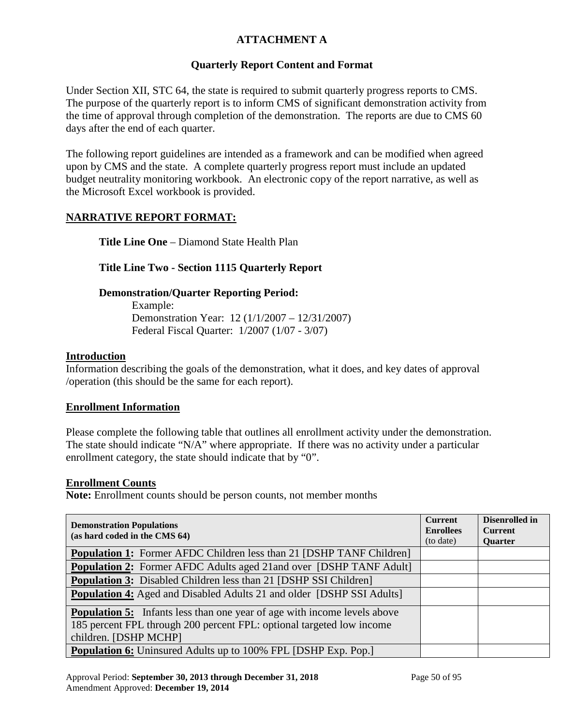## **Quarterly Report Content and Format**

Under Section XII, STC 64, the state is required to submit quarterly progress reports to CMS. The purpose of the quarterly report is to inform CMS of significant demonstration activity from the time of approval through completion of the demonstration. The reports are due to CMS 60 days after the end of each quarter.

The following report guidelines are intended as a framework and can be modified when agreed upon by CMS and the state. A complete quarterly progress report must include an updated budget neutrality monitoring workbook. An electronic copy of the report narrative, as well as the Microsoft Excel workbook is provided.

## **NARRATIVE REPORT FORMAT:**

**Title Line One** – Diamond State Health Plan

## **Title Line Two - Section 1115 Quarterly Report**

### **Demonstration/Quarter Reporting Period:**

Example: Demonstration Year: 12 (1/1/2007 – 12/31/2007) Federal Fiscal Quarter: 1/2007 (1/07 - 3/07)

#### **Introduction**

Information describing the goals of the demonstration, what it does, and key dates of approval /operation (this should be the same for each report).

### **Enrollment Information**

Please complete the following table that outlines all enrollment activity under the demonstration. The state should indicate "N/A" where appropriate. If there was no activity under a particular enrollment category, the state should indicate that by "0".

#### **Enrollment Counts**

**Note:** Enrollment counts should be person counts, not member months

| <b>Demonstration Populations</b><br>(as hard coded in the CMS 64)               | <b>Current</b><br><b>Enrollees</b><br>(to date) | Disenrolled in<br><b>Current</b><br>Quarter |
|---------------------------------------------------------------------------------|-------------------------------------------------|---------------------------------------------|
| <b>Population 1:</b> Former AFDC Children less than 21 [DSHP TANF Children]     |                                                 |                                             |
| <b>Population 2:</b> Former AFDC Adults aged 21 and over [DSHP TANF Adult]      |                                                 |                                             |
| <b>Population 3:</b> Disabled Children less than 21 [DSHP SSI Children]         |                                                 |                                             |
| <b>Population 4:</b> Aged and Disabled Adults 21 and older [DSHP SSI Adults]    |                                                 |                                             |
| <b>Population 5:</b> Infants less than one year of age with income levels above |                                                 |                                             |
| 185 percent FPL through 200 percent FPL: optional targeted low income           |                                                 |                                             |
| children. [DSHP MCHP]                                                           |                                                 |                                             |
| <b>Population 6:</b> Uninsured Adults up to 100% FPL [DSHP Exp. Pop.]           |                                                 |                                             |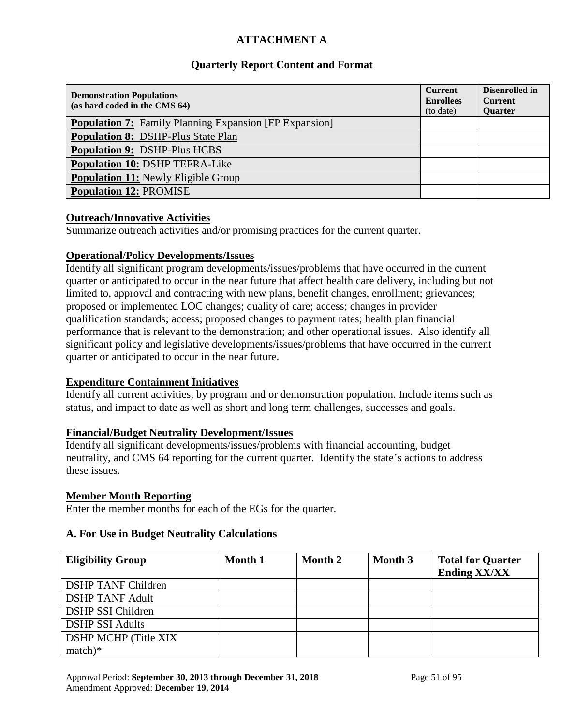### **Quarterly Report Content and Format**

| <b>Demonstration Populations</b><br>(as hard coded in the CMS 64) | <b>Current</b><br><b>Enrollees</b><br>(to date) | Disenrolled in<br><b>Current</b><br><b>Ouarter</b> |
|-------------------------------------------------------------------|-------------------------------------------------|----------------------------------------------------|
| <b>Population 7:</b> Family Planning Expansion [FP Expansion]     |                                                 |                                                    |
| <b>Population 8: DSHP-Plus State Plan</b>                         |                                                 |                                                    |
| <b>Population 9: DSHP-Plus HCBS</b>                               |                                                 |                                                    |
| <b>Population 10: DSHP TEFRA-Like</b>                             |                                                 |                                                    |
| <b>Population 11:</b> Newly Eligible Group                        |                                                 |                                                    |
| <b>Population 12: PROMISE</b>                                     |                                                 |                                                    |

#### **Outreach/Innovative Activities**

Summarize outreach activities and/or promising practices for the current quarter.

#### **Operational/Policy Developments/Issues**

Identify all significant program developments/issues/problems that have occurred in the current quarter or anticipated to occur in the near future that affect health care delivery, including but not limited to, approval and contracting with new plans, benefit changes, enrollment; grievances; proposed or implemented LOC changes; quality of care; access; changes in provider qualification standards; access; proposed changes to payment rates; health plan financial performance that is relevant to the demonstration; and other operational issues. Also identify all significant policy and legislative developments/issues/problems that have occurred in the current quarter or anticipated to occur in the near future.

### **Expenditure Containment Initiatives**

Identify all current activities, by program and or demonstration population. Include items such as status, and impact to date as well as short and long term challenges, successes and goals.

### **Financial/Budget Neutrality Development/Issues**

Identify all significant developments/issues/problems with financial accounting, budget neutrality, and CMS 64 reporting for the current quarter. Identify the state's actions to address these issues.

#### **Member Month Reporting**

Enter the member months for each of the EGs for the quarter.

### **A. For Use in Budget Neutrality Calculations**

| <b>Eligibility Group</b>     | <b>Month 1</b> | Month 2 | Month 3 | <b>Total for Quarter</b> |
|------------------------------|----------------|---------|---------|--------------------------|
|                              |                |         |         | <b>Ending XX/XX</b>      |
| <b>DSHP TANF Children</b>    |                |         |         |                          |
| <b>DSHP TANF Adult</b>       |                |         |         |                          |
| DSHP SSI Children            |                |         |         |                          |
| <b>DSHP SSI Adults</b>       |                |         |         |                          |
| <b>DSHP MCHP (Title XIX)</b> |                |         |         |                          |
| $match)*$                    |                |         |         |                          |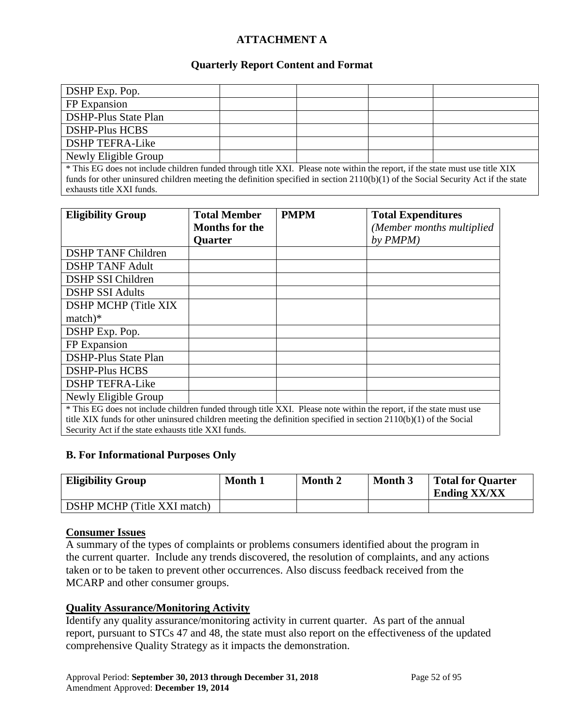## **Quarterly Report Content and Format**

| DSHP Exp. Pop.                                                                                                                      |  |  |  |  |  |  |
|-------------------------------------------------------------------------------------------------------------------------------------|--|--|--|--|--|--|
| FP Expansion                                                                                                                        |  |  |  |  |  |  |
| <b>DSHP-Plus State Plan</b>                                                                                                         |  |  |  |  |  |  |
| <b>DSHP-Plus HCBS</b>                                                                                                               |  |  |  |  |  |  |
| <b>DSHP TEFRA-Like</b>                                                                                                              |  |  |  |  |  |  |
| Newly Eligible Group                                                                                                                |  |  |  |  |  |  |
| * This EG does not include children funded through title XXI. Please note within the report, if the state must use title XIX        |  |  |  |  |  |  |
| funds for other uninsured children meeting the definition specified in section $2110(b)(1)$ of the Social Security Act if the state |  |  |  |  |  |  |
| exhausts title XXI funds.                                                                                                           |  |  |  |  |  |  |

| <b>Eligibility Group</b>                                                                                            | <b>Total Member</b><br><b>Months for the</b> | <b>PMPM</b> | <b>Total Expenditures</b><br>(Member months multiplied |  |  |
|---------------------------------------------------------------------------------------------------------------------|----------------------------------------------|-------------|--------------------------------------------------------|--|--|
|                                                                                                                     | Quarter                                      |             | by PMPM)                                               |  |  |
| <b>DSHP TANF Children</b>                                                                                           |                                              |             |                                                        |  |  |
| <b>DSHP TANF Adult</b>                                                                                              |                                              |             |                                                        |  |  |
| <b>DSHP SSI Children</b>                                                                                            |                                              |             |                                                        |  |  |
| <b>DSHP SSI Adults</b>                                                                                              |                                              |             |                                                        |  |  |
| <b>DSHP MCHP (Title XIX)</b>                                                                                        |                                              |             |                                                        |  |  |
| $match)*$                                                                                                           |                                              |             |                                                        |  |  |
| DSHP Exp. Pop.                                                                                                      |                                              |             |                                                        |  |  |
| FP Expansion                                                                                                        |                                              |             |                                                        |  |  |
| <b>DSHP-Plus State Plan</b>                                                                                         |                                              |             |                                                        |  |  |
| <b>DSHP-Plus HCBS</b>                                                                                               |                                              |             |                                                        |  |  |
| <b>DSHP TEFRA-Like</b>                                                                                              |                                              |             |                                                        |  |  |
| Newly Eligible Group                                                                                                |                                              |             |                                                        |  |  |
| * This EG does not include children funded through title XXI. Please note within the report, if the state must use  |                                              |             |                                                        |  |  |
| title XIX funds for other uninsured children meeting the definition specified in section $2110(b)(1)$ of the Social |                                              |             |                                                        |  |  |
| Security Act if the state exhausts title XXI funds.                                                                 |                                              |             |                                                        |  |  |

### **B. For Informational Purposes Only**

| <b>Eligibility Group</b>           | <b>Month 1</b> | <b>Month 2</b> | <b>Month 3</b> | <b>Total for Quarter</b><br><b>Ending XX/XX</b> |
|------------------------------------|----------------|----------------|----------------|-------------------------------------------------|
| <b>DSHP MCHP</b> (Title XXI match) |                |                |                |                                                 |

### **Consumer Issues**

A summary of the types of complaints or problems consumers identified about the program in the current quarter. Include any trends discovered, the resolution of complaints, and any actions taken or to be taken to prevent other occurrences. Also discuss feedback received from the MCARP and other consumer groups.

### **Quality Assurance/Monitoring Activity**

Identify any quality assurance/monitoring activity in current quarter. As part of the annual report, pursuant to STCs 47 and 48, the state must also report on the effectiveness of the updated comprehensive Quality Strategy as it impacts the demonstration.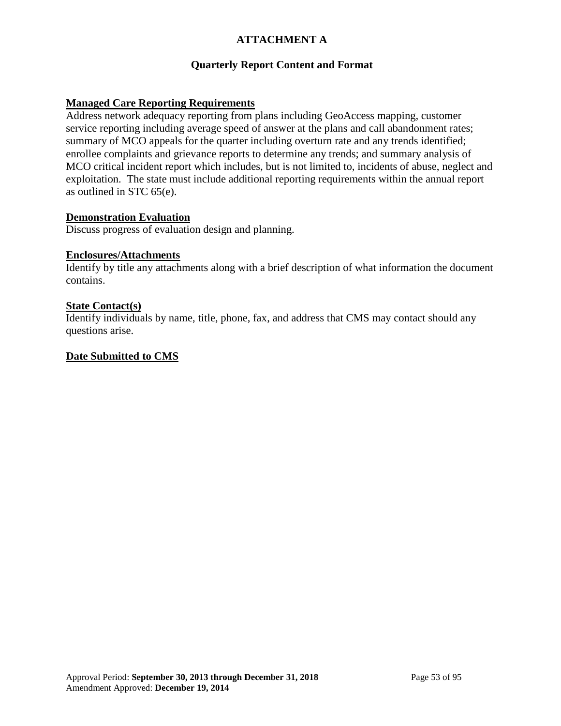## **Quarterly Report Content and Format**

## **Managed Care Reporting Requirements**

Address network adequacy reporting from plans including GeoAccess mapping, customer service reporting including average speed of answer at the plans and call abandonment rates; summary of MCO appeals for the quarter including overturn rate and any trends identified; enrollee complaints and grievance reports to determine any trends; and summary analysis of MCO critical incident report which includes, but is not limited to, incidents of abuse, neglect and exploitation. The state must include additional reporting requirements within the annual report as outlined in STC 65(e).

### **Demonstration Evaluation**

Discuss progress of evaluation design and planning.

#### **Enclosures/Attachments**

Identify by title any attachments along with a brief description of what information the document contains.

### **State Contact(s)**

Identify individuals by name, title, phone, fax, and address that CMS may contact should any questions arise.

#### **Date Submitted to CMS**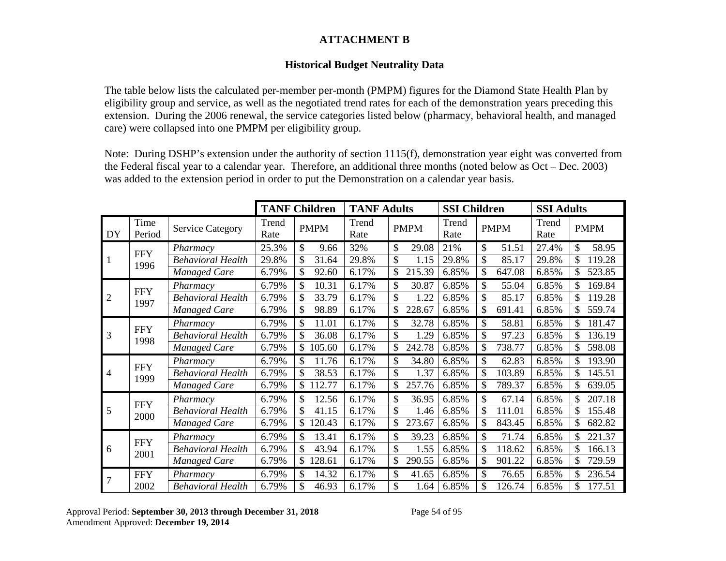## **Historical Budget Neutrality Data**

The table below lists the calculated per-member per-month (PMPM) figures for the Diamond State Health Plan by eligibility group and service, as well as the negotiated trend rates for each of the demonstration years preceding this extension. During the 2006 renewal, the service categories listed below (pharmacy, behavioral health, and managed care) were collapsed into one PMPM per eligibility group.

Note: During DSHP's extension under the authority of section 1115(f), demonstration year eight was converted from the Federal fiscal year to a calendar year. Therefore, an additional three months (noted below as Oct – Dec. 2003) was added to the extension period in order to put the Demonstration on a calendar year basis.

|                |                    |                          |               | <b>TANF Children</b>   | <b>TANF Adults</b> |              | <b>SSI Children</b> |              | <b>SSI Adults</b> |              |
|----------------|--------------------|--------------------------|---------------|------------------------|--------------------|--------------|---------------------|--------------|-------------------|--------------|
| DY             | Time<br>Period     | <b>Service Category</b>  | Trend<br>Rate | <b>PMPM</b>            | Trend<br>Rate      | <b>PMPM</b>  | Trend<br>Rate       | <b>PMPM</b>  | Trend<br>Rate     | <b>PMPM</b>  |
|                | <b>FFY</b>         | Pharmacy                 | 25.3%         | \$<br>9.66             | 32%                | \$<br>29.08  | 21%                 | \$<br>51.51  | 27.4%             | \$<br>58.95  |
| $\mathbf{1}$   | 1996               | <b>Behavioral Health</b> | 29.8%         | 31.64                  | 29.8%              | \$<br>1.15   | 29.8%               | \$<br>85.17  | 29.8%             | 119.28<br>\$ |
|                |                    | <b>Managed Care</b>      | 6.79%         | 92.60                  | 6.17%              | \$<br>215.39 | 6.85%               | \$<br>647.08 | 6.85%             | \$<br>523.85 |
|                |                    | Pharmacy                 | 6.79%         | \$<br>10.31            | 6.17%              | 30.87<br>\$  | 6.85%               | \$<br>55.04  | 6.85%             | 169.84<br>\$ |
| $\overline{2}$ | <b>FFY</b><br>1997 | <b>Behavioral Health</b> | 6.79%         | 33.79                  | 6.17%              | \$<br>1.22   | 6.85%               | \$<br>85.17  | 6.85%             | 119.28       |
|                |                    | <b>Managed Care</b>      | 6.79%         | \$<br>98.89            | 6.17%              | \$<br>228.67 | 6.85%               | \$<br>691.41 | 6.85%             | 559.74       |
|                |                    | Pharmacy                 | 6.79%         | \$<br>11.01            | 6.17%              | \$<br>32.78  | 6.85%               | \$<br>58.81  | 6.85%             | 181.47<br>\$ |
| 3              | <b>FFY</b><br>1998 | <b>Behavioral Health</b> | 6.79%         | $\mathcal{S}$<br>36.08 | 6.17%              | \$<br>1.29   | 6.85%               | \$<br>97.23  | 6.85%             | 136.19       |
|                |                    | <b>Managed Care</b>      | 6.79%         | \$<br>105.60           | 6.17%              | \$<br>242.78 | 6.85%               | \$<br>738.77 | 6.85%             | 598.08       |
|                |                    | Pharmacy                 | 6.79%         | \$<br>11.76            | 6.17%              | \$<br>34.80  | 6.85%               | \$<br>62.83  | 6.85%             | 193.90<br>\$ |
| 4              | <b>FFY</b><br>1999 | <b>Behavioral Health</b> | 6.79%         | 38.53                  | 6.17%              | \$<br>1.37   | 6.85%               | \$<br>103.89 | 6.85%             | \$<br>145.51 |
|                |                    | Managed Care             | 6.79%         | $\mathbb{S}$<br>112.77 | 6.17%              | 257.76<br>\$ | 6.85%               | \$<br>789.37 | 6.85%             | \$<br>639.05 |
|                | <b>FFY</b>         | Pharmacy                 | 6.79%         | 12.56                  | 6.17%              | \$<br>36.95  | 6.85%               | \$<br>67.14  | 6.85%             | 207.18       |
| 5              | 2000               | <b>Behavioral Health</b> | 6.79%         | \$<br>41.15            | 6.17%              | \$<br>1.46   | 6.85%               | \$<br>111.01 | 6.85%             | 155.48<br>\$ |
|                |                    | <b>Managed Care</b>      | 6.79%         | \$120.43               | 6.17%              | 273.67<br>\$ | 6.85%               | \$<br>843.45 | 6.85%             | 682.82<br>\$ |
|                |                    | Pharmacy                 | 6.79%         | 13.41                  | 6.17%              | \$<br>39.23  | 6.85%               | \$<br>71.74  | 6.85%             | \$<br>221.37 |
| 6              | <b>FFY</b><br>2001 | <b>Behavioral Health</b> | 6.79%         | \$<br>43.94            | 6.17%              | \$<br>1.55   | 6.85%               | \$<br>118.62 | 6.85%             | 166.13<br>\$ |
|                |                    | Managed Care             | 6.79%         | \$<br>128.61           | 6.17%              | \$<br>290.55 | 6.85%               | \$<br>901.22 | 6.85%             | \$<br>729.59 |
|                | <b>FFY</b>         | Pharmacy                 | 6.79%         | 14.32<br>\$            | 6.17%              | \$<br>41.65  | 6.85%               | \$<br>76.65  | 6.85%             | 236.54       |
| $\overline{7}$ | 2002               | <b>Behavioral Health</b> | 6.79%         | 46.93                  | 6.17%              | \$<br>1.64   | 6.85%               | \$<br>126.74 | 6.85%             | \$<br>177.51 |

Approval Period: **September 30, 2013 through December 31, 2018** Page 54 of 95 Amendment Approved: **December 19, 2014**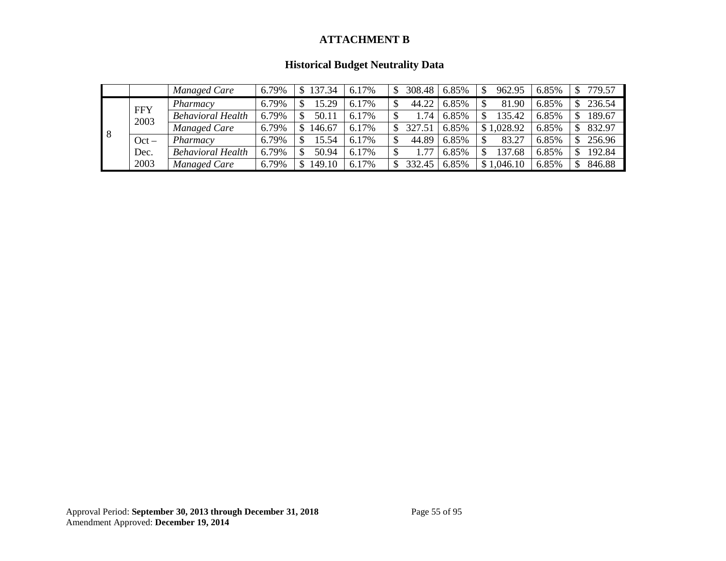# **Historical Budget Neutrality Data**

|   |            | Managed Care             | 6.79% | 37.34 | 6.17% | 308.48 | 6.85% | 962.95     | 6.85% | 779.57 |
|---|------------|--------------------------|-------|-------|-------|--------|-------|------------|-------|--------|
|   | <b>FFY</b> | Pharmacy                 | 6.79% | 15.29 | 6.17% | 44.22  | 6.85% | 81.90      | 6.85% | 236.54 |
|   | 2003       | <b>Behavioral Health</b> | 6.79% | 50.11 | 6.17% | .74    | 6.85% | 135.42     | 6.85% | 189.67 |
| 8 |            | Managed Care             | 6.79% | 46.67 | 6.17% | 327.51 | 6.85% | \$1,028.92 | 6.85% | 832.97 |
|   | $Oct -$    | Pharmacy                 | 6.79% | 15.54 | 6.17% | 44.89  | 6.85% | 83.27      | 6.85% | 256.96 |
|   | Dec.       | <b>Behavioral Health</b> | 6.79% | 50.94 | 6.17% | 77     | 6.85% | 137.68     | 6.85% | 192.84 |
|   | 2003       | Managed Care             | 6.79% | 49.10 | 6.17% | 332.45 | 6.85% | 1,046.10   | 6.85% | 846.88 |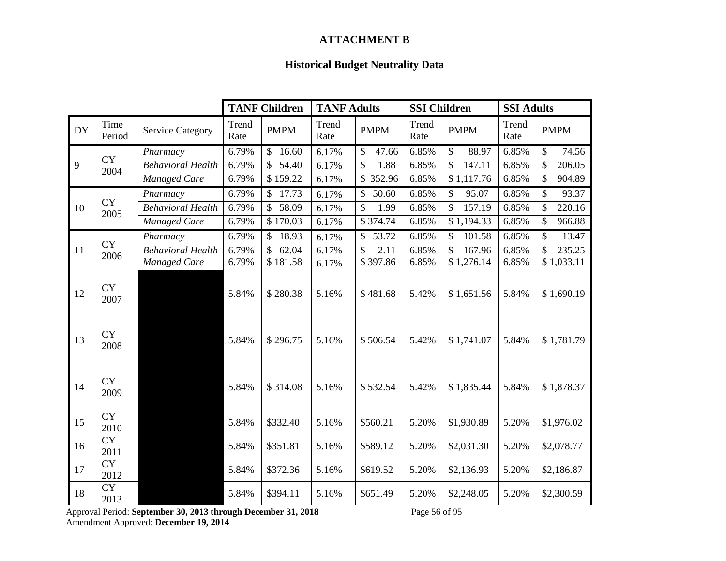# **Historical Budget Neutrality Data**

|    |                             |                          |               | <b>TANF Children</b>  | <b>TANF Adults</b> |                       | <b>SSI Children</b> |                        | <b>SSI Adults</b> |                             |
|----|-----------------------------|--------------------------|---------------|-----------------------|--------------------|-----------------------|---------------------|------------------------|-------------------|-----------------------------|
| DY | Time<br>Period              | <b>Service Category</b>  | Trend<br>Rate | <b>PMPM</b>           | Trend<br>Rate      | <b>PMPM</b>           | Trend<br>Rate       | <b>PMPM</b>            | Trend<br>Rate     | <b>PMPM</b>                 |
|    |                             | Pharmacy                 | 6.79%         | \$16.60               | 6.17%              | \$<br>47.66           | 6.85%               | \$<br>88.97            | 6.85%             | 74.56<br>\$                 |
| 9  | <b>CY</b><br>2004           | <b>Behavioral Health</b> | 6.79%         | \$54.40               | 6.17%              | 1.88<br>\$            | 6.85%               | \$<br>147.11           | 6.85%             | 206.05<br>\$                |
|    |                             | Managed Care             | 6.79%         | \$159.22              | 6.17%              | \$352.96              | 6.85%               | \$1,117.76             | 6.85%             | $\boldsymbol{\$}$<br>904.89 |
|    |                             | Pharmacy                 | 6.79%         | \$17.73               | 6.17%              | 50.60<br>$\mathbb{S}$ | 6.85%               | $\mathcal{S}$<br>95.07 | 6.85%             | 93.37<br>$\mathcal{S}$      |
| 10 | <b>CY</b><br>2005           | <b>Behavioral Health</b> | 6.79%         | 58.09                 | 6.17%              | 1.99<br>\$            | 6.85%               | 157.19<br>\$           | 6.85%             | \$<br>220.16                |
|    |                             | Managed Care             | 6.79%         | \$170.03              | 6.17%              | \$374.74              | 6.85%               | \$1,194.33             | 6.85%             | \$<br>966.88                |
|    |                             | Pharmacy                 | 6.79%         | \$18.93               | 6.17%              | 53.72<br>$\mathbb{S}$ | 6.85%               | 101.58<br>\$           | 6.85%             | 13.47<br>$\mathcal{S}$      |
| 11 | <b>CY</b><br>2006           | <b>Behavioral Health</b> | 6.79%         | 62.04<br>$\mathbb{S}$ | 6.17%              | 2.11<br>\$            | 6.85%               | 167.96<br>\$           | 6.85%             | 235.25<br>\$                |
|    |                             | Managed Care             | 6.79%         | \$181.58              | 6.17%              | \$397.86              | 6.85%               | \$1,276.14             | 6.85%             | \$1,033.11                  |
| 12 | <b>CY</b><br>2007           |                          | 5.84%         | \$280.38              | 5.16%              | \$481.68              | 5.42%               | \$1,651.56             | 5.84%             | \$1,690.19                  |
| 13 | <b>CY</b><br>2008           |                          | 5.84%         | \$296.75              | 5.16%              | \$506.54              | 5.42%               | \$1,741.07             | 5.84%             | \$1,781.79                  |
| 14 | <b>CY</b><br>2009           |                          | 5.84%         | \$314.08              | 5.16%              | \$532.54              | 5.42%               | \$1,835.44             | 5.84%             | \$1,878.37                  |
| 15 | $\overline{\rm CY}$<br>2010 |                          | 5.84%         | \$332.40              | 5.16%              | \$560.21              | 5.20%               | \$1,930.89             | 5.20%             | \$1,976.02                  |
| 16 | <b>CY</b><br>2011           |                          | 5.84%         | \$351.81              | 5.16%              | \$589.12              | 5.20%               | \$2,031.30             | 5.20%             | \$2,078.77                  |
| 17 | <b>CY</b><br>2012           |                          | 5.84%         | \$372.36              | 5.16%              | \$619.52              | 5.20%               | \$2,136.93             | 5.20%             | \$2,186.87                  |
| 18 | $\overline{\rm CY}$<br>2013 |                          | 5.84%         | \$394.11              | 5.16%              | \$651.49              | 5.20%               | \$2,248.05             | 5.20%             | \$2,300.59                  |

Approval Period: **September 30, 2013 through December 31, 2018** Page 56 of 95 Amendment Approved: **December 19, 2014**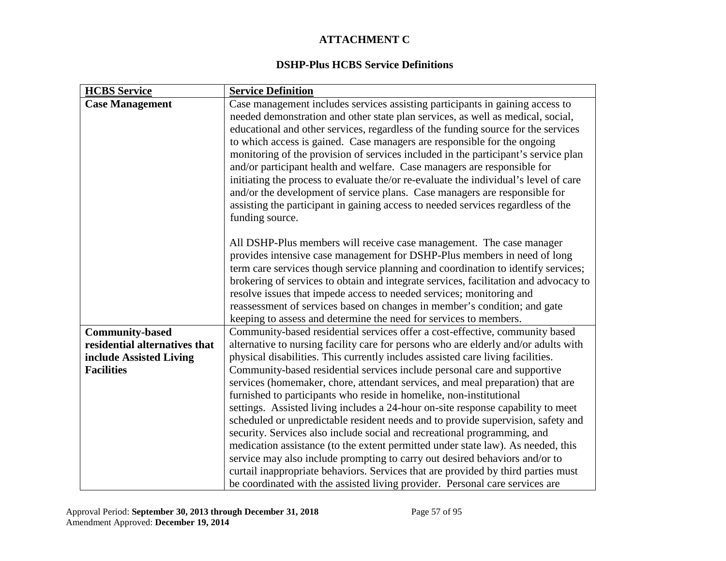| <b>HCBS</b> Service           | <b>Service Definition</b>                                                            |
|-------------------------------|--------------------------------------------------------------------------------------|
| <b>Case Management</b>        | Case management includes services assisting participants in gaining access to        |
|                               | needed demonstration and other state plan services, as well as medical, social,      |
|                               | educational and other services, regardless of the funding source for the services    |
|                               | to which access is gained. Case managers are responsible for the ongoing             |
|                               | monitoring of the provision of services included in the participant's service plan   |
|                               | and/or participant health and welfare. Case managers are responsible for             |
|                               | initiating the process to evaluate the/or re-evaluate the individual's level of care |
|                               | and/or the development of service plans. Case managers are responsible for           |
|                               | assisting the participant in gaining access to needed services regardless of the     |
|                               | funding source.                                                                      |
|                               | All DSHP-Plus members will receive case management. The case manager                 |
|                               | provides intensive case management for DSHP-Plus members in need of long             |
|                               | term care services though service planning and coordination to identify services;    |
|                               | brokering of services to obtain and integrate services, facilitation and advocacy to |
|                               | resolve issues that impede access to needed services; monitoring and                 |
|                               | reassessment of services based on changes in member's condition; and gate            |
|                               | keeping to assess and determine the need for services to members.                    |
| <b>Community-based</b>        | Community-based residential services offer a cost-effective, community based         |
| residential alternatives that | alternative to nursing facility care for persons who are elderly and/or adults with  |
| include Assisted Living       | physical disabilities. This currently includes assisted care living facilities.      |
| <b>Facilities</b>             | Community-based residential services include personal care and supportive            |
|                               | services (homemaker, chore, attendant services, and meal preparation) that are       |
|                               | furnished to participants who reside in homelike, non-institutional                  |
|                               | settings. Assisted living includes a 24-hour on-site response capability to meet     |
|                               | scheduled or unpredictable resident needs and to provide supervision, safety and     |
|                               | security. Services also include social and recreational programming, and             |
|                               | medication assistance (to the extent permitted under state law). As needed, this     |
|                               | service may also include prompting to carry out desired behaviors and/or to          |
|                               | curtail inappropriate behaviors. Services that are provided by third parties must    |
|                               | be coordinated with the assisted living provider. Personal care services are         |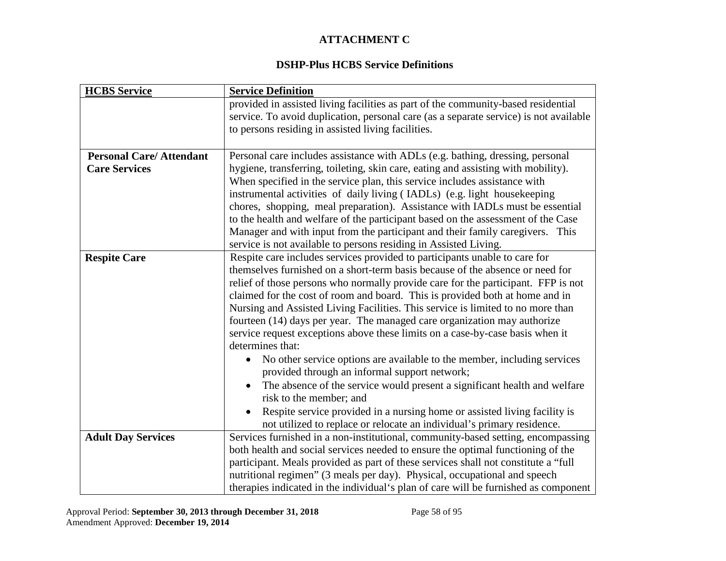| <b>HCBS</b> Service                                     | <b>Service Definition</b>                                                                                                                                                                                                                                                                                                                                                                                                                                                                                                                                                                                                                                                                                                                                                                                                                                                                                                                                                                                                  |
|---------------------------------------------------------|----------------------------------------------------------------------------------------------------------------------------------------------------------------------------------------------------------------------------------------------------------------------------------------------------------------------------------------------------------------------------------------------------------------------------------------------------------------------------------------------------------------------------------------------------------------------------------------------------------------------------------------------------------------------------------------------------------------------------------------------------------------------------------------------------------------------------------------------------------------------------------------------------------------------------------------------------------------------------------------------------------------------------|
|                                                         | provided in assisted living facilities as part of the community-based residential<br>service. To avoid duplication, personal care (as a separate service) is not available<br>to persons residing in assisted living facilities.                                                                                                                                                                                                                                                                                                                                                                                                                                                                                                                                                                                                                                                                                                                                                                                           |
| <b>Personal Care/ Attendant</b><br><b>Care Services</b> | Personal care includes assistance with ADLs (e.g. bathing, dressing, personal<br>hygiene, transferring, toileting, skin care, eating and assisting with mobility).<br>When specified in the service plan, this service includes assistance with<br>instrumental activities of daily living (IADLs) (e.g. light housekeeping<br>chores, shopping, meal preparation). Assistance with IADLs must be essential<br>to the health and welfare of the participant based on the assessment of the Case<br>Manager and with input from the participant and their family caregivers. This<br>service is not available to persons residing in Assisted Living.                                                                                                                                                                                                                                                                                                                                                                       |
| <b>Respite Care</b>                                     | Respite care includes services provided to participants unable to care for<br>themselves furnished on a short-term basis because of the absence or need for<br>relief of those persons who normally provide care for the participant. FFP is not<br>claimed for the cost of room and board. This is provided both at home and in<br>Nursing and Assisted Living Facilities. This service is limited to no more than<br>fourteen (14) days per year. The managed care organization may authorize<br>service request exceptions above these limits on a case-by-case basis when it<br>determines that:<br>No other service options are available to the member, including services<br>$\bullet$<br>provided through an informal support network;<br>The absence of the service would present a significant health and welfare<br>$\bullet$<br>risk to the member; and<br>Respite service provided in a nursing home or assisted living facility is<br>not utilized to replace or relocate an individual's primary residence. |
| <b>Adult Day Services</b>                               | Services furnished in a non-institutional, community-based setting, encompassing<br>both health and social services needed to ensure the optimal functioning of the<br>participant. Meals provided as part of these services shall not constitute a "full<br>nutritional regimen" (3 meals per day). Physical, occupational and speech<br>therapies indicated in the individual's plan of care will be furnished as component                                                                                                                                                                                                                                                                                                                                                                                                                                                                                                                                                                                              |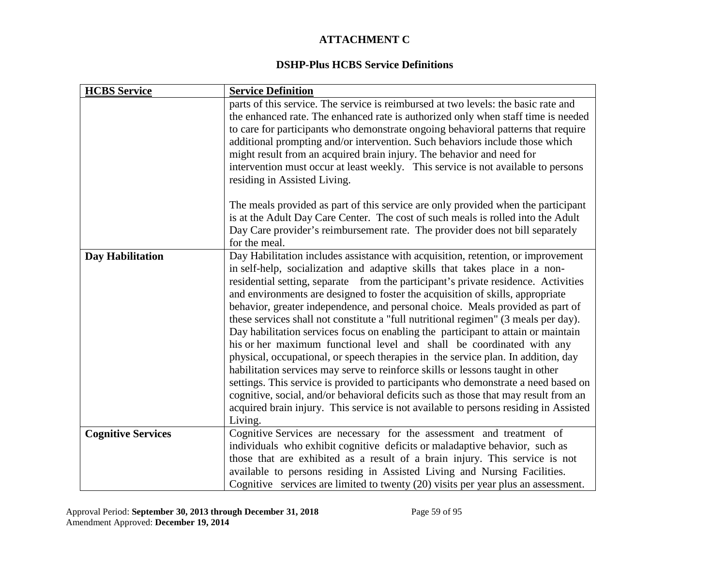| <b>HCBS</b> Service       | <b>Service Definition</b>                                                                                                                                                                                                                                                                                                                                                                                                                                                                                                                                                                                                                                                                                                                                                                                                                                                                                                                                                                                                                                                                                                            |
|---------------------------|--------------------------------------------------------------------------------------------------------------------------------------------------------------------------------------------------------------------------------------------------------------------------------------------------------------------------------------------------------------------------------------------------------------------------------------------------------------------------------------------------------------------------------------------------------------------------------------------------------------------------------------------------------------------------------------------------------------------------------------------------------------------------------------------------------------------------------------------------------------------------------------------------------------------------------------------------------------------------------------------------------------------------------------------------------------------------------------------------------------------------------------|
|                           | parts of this service. The service is reimbursed at two levels: the basic rate and<br>the enhanced rate. The enhanced rate is authorized only when staff time is needed<br>to care for participants who demonstrate ongoing behavioral patterns that require<br>additional prompting and/or intervention. Such behaviors include those which<br>might result from an acquired brain injury. The behavior and need for<br>intervention must occur at least weekly. This service is not available to persons<br>residing in Assisted Living.                                                                                                                                                                                                                                                                                                                                                                                                                                                                                                                                                                                           |
|                           | The meals provided as part of this service are only provided when the participant<br>is at the Adult Day Care Center. The cost of such meals is rolled into the Adult<br>Day Care provider's reimbursement rate. The provider does not bill separately<br>for the meal.                                                                                                                                                                                                                                                                                                                                                                                                                                                                                                                                                                                                                                                                                                                                                                                                                                                              |
| <b>Day Habilitation</b>   | Day Habilitation includes assistance with acquisition, retention, or improvement<br>in self-help, socialization and adaptive skills that takes place in a non-<br>residential setting, separate from the participant's private residence. Activities<br>and environments are designed to foster the acquisition of skills, appropriate<br>behavior, greater independence, and personal choice. Meals provided as part of<br>these services shall not constitute a "full nutritional regimen" (3 meals per day).<br>Day habilitation services focus on enabling the participant to attain or maintain<br>his or her maximum functional level and shall be coordinated with any<br>physical, occupational, or speech therapies in the service plan. In addition, day<br>habilitation services may serve to reinforce skills or lessons taught in other<br>settings. This service is provided to participants who demonstrate a need based on<br>cognitive, social, and/or behavioral deficits such as those that may result from an<br>acquired brain injury. This service is not available to persons residing in Assisted<br>Living. |
| <b>Cognitive Services</b> | Cognitive Services are necessary for the assessment and treatment of<br>individuals who exhibit cognitive deficits or maladaptive behavior, such as<br>those that are exhibited as a result of a brain injury. This service is not<br>available to persons residing in Assisted Living and Nursing Facilities.<br>Cognitive services are limited to twenty (20) visits per year plus an assessment.                                                                                                                                                                                                                                                                                                                                                                                                                                                                                                                                                                                                                                                                                                                                  |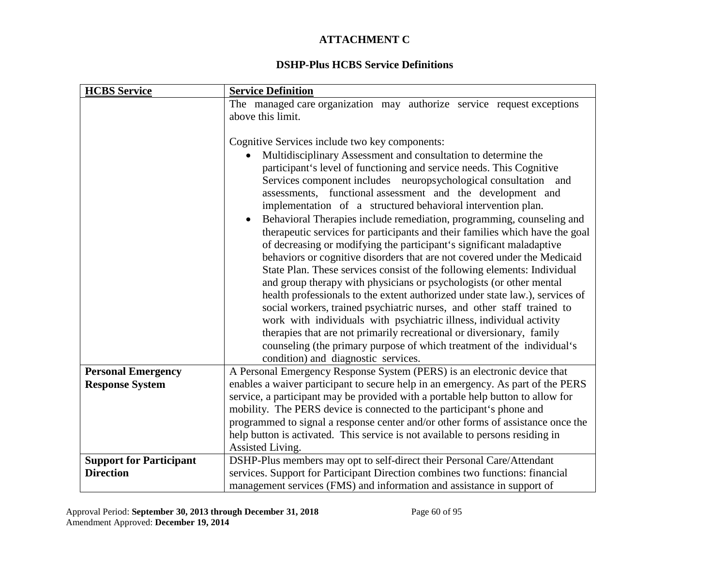| <b>HCBS</b> Service            | <b>Service Definition</b>                                                                                                                           |  |  |  |  |  |  |  |
|--------------------------------|-----------------------------------------------------------------------------------------------------------------------------------------------------|--|--|--|--|--|--|--|
|                                | The managed care organization may authorize service request exceptions                                                                              |  |  |  |  |  |  |  |
|                                | above this limit.                                                                                                                                   |  |  |  |  |  |  |  |
|                                |                                                                                                                                                     |  |  |  |  |  |  |  |
|                                | Cognitive Services include two key components:                                                                                                      |  |  |  |  |  |  |  |
|                                | Multidisciplinary Assessment and consultation to determine the                                                                                      |  |  |  |  |  |  |  |
|                                | participant's level of functioning and service needs. This Cognitive                                                                                |  |  |  |  |  |  |  |
|                                | Services component includes neuropsychological consultation and                                                                                     |  |  |  |  |  |  |  |
|                                | assessments, functional assessment and the development and                                                                                          |  |  |  |  |  |  |  |
|                                | implementation of a structured behavioral intervention plan.                                                                                        |  |  |  |  |  |  |  |
|                                | Behavioral Therapies include remediation, programming, counseling and                                                                               |  |  |  |  |  |  |  |
|                                | therapeutic services for participants and their families which have the goal                                                                        |  |  |  |  |  |  |  |
|                                | of decreasing or modifying the participant's significant maladaptive                                                                                |  |  |  |  |  |  |  |
|                                | behaviors or cognitive disorders that are not covered under the Medicaid                                                                            |  |  |  |  |  |  |  |
|                                | State Plan. These services consist of the following elements: Individual                                                                            |  |  |  |  |  |  |  |
|                                | and group therapy with physicians or psychologists (or other mental<br>health professionals to the extent authorized under state law.), services of |  |  |  |  |  |  |  |
|                                | social workers, trained psychiatric nurses, and other staff trained to                                                                              |  |  |  |  |  |  |  |
|                                | work with individuals with psychiatric illness, individual activity                                                                                 |  |  |  |  |  |  |  |
|                                | therapies that are not primarily recreational or diversionary, family                                                                               |  |  |  |  |  |  |  |
|                                | counseling (the primary purpose of which treatment of the individual's                                                                              |  |  |  |  |  |  |  |
|                                | condition) and diagnostic services.                                                                                                                 |  |  |  |  |  |  |  |
| <b>Personal Emergency</b>      | A Personal Emergency Response System (PERS) is an electronic device that                                                                            |  |  |  |  |  |  |  |
| <b>Response System</b>         | enables a waiver participant to secure help in an emergency. As part of the PERS                                                                    |  |  |  |  |  |  |  |
|                                | service, a participant may be provided with a portable help button to allow for                                                                     |  |  |  |  |  |  |  |
|                                | mobility. The PERS device is connected to the participant's phone and                                                                               |  |  |  |  |  |  |  |
|                                | programmed to signal a response center and/or other forms of assistance once the                                                                    |  |  |  |  |  |  |  |
|                                | help button is activated. This service is not available to persons residing in                                                                      |  |  |  |  |  |  |  |
|                                | Assisted Living.                                                                                                                                    |  |  |  |  |  |  |  |
| <b>Support for Participant</b> | DSHP-Plus members may opt to self-direct their Personal Care/Attendant                                                                              |  |  |  |  |  |  |  |
| <b>Direction</b>               | services. Support for Participant Direction combines two functions: financial                                                                       |  |  |  |  |  |  |  |
|                                | management services (FMS) and information and assistance in support of                                                                              |  |  |  |  |  |  |  |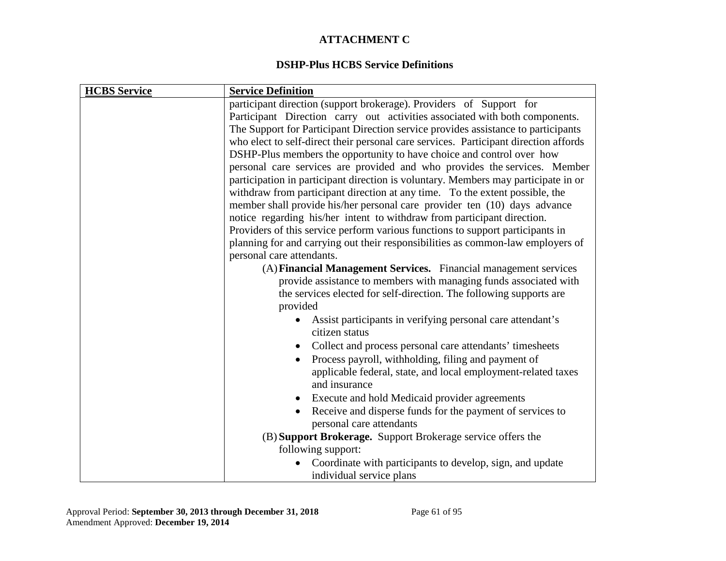| <b>HCBS</b> Service | <b>Service Definition</b>                                                            |
|---------------------|--------------------------------------------------------------------------------------|
|                     | participant direction (support brokerage). Providers of Support for                  |
|                     | Participant Direction carry out activities associated with both components.          |
|                     | The Support for Participant Direction service provides assistance to participants    |
|                     | who elect to self-direct their personal care services. Participant direction affords |
|                     | DSHP-Plus members the opportunity to have choice and control over how                |
|                     | personal care services are provided and who provides the services. Member            |
|                     | participation in participant direction is voluntary. Members may participate in or   |
|                     | withdraw from participant direction at any time. To the extent possible, the         |
|                     | member shall provide his/her personal care provider ten (10) days advance            |
|                     | notice regarding his/her intent to withdraw from participant direction.              |
|                     | Providers of this service perform various functions to support participants in       |
|                     | planning for and carrying out their responsibilities as common-law employers of      |
|                     | personal care attendants.                                                            |
|                     | (A) Financial Management Services. Financial management services                     |
|                     | provide assistance to members with managing funds associated with                    |
|                     | the services elected for self-direction. The following supports are                  |
|                     | provided                                                                             |
|                     | Assist participants in verifying personal care attendant's<br>citizen status         |
|                     |                                                                                      |
|                     | Collect and process personal care attendants' timesheets<br>$\bullet$                |
|                     | Process payroll, withholding, filing and payment of                                  |
|                     | applicable federal, state, and local employment-related taxes<br>and insurance       |
|                     | Execute and hold Medicaid provider agreements<br>$\bullet$                           |
|                     | Receive and disperse funds for the payment of services to<br>$\bullet$               |
|                     | personal care attendants                                                             |
|                     | (B) Support Brokerage. Support Brokerage service offers the                          |
|                     | following support:                                                                   |
|                     | Coordinate with participants to develop, sign, and update                            |
|                     | individual service plans                                                             |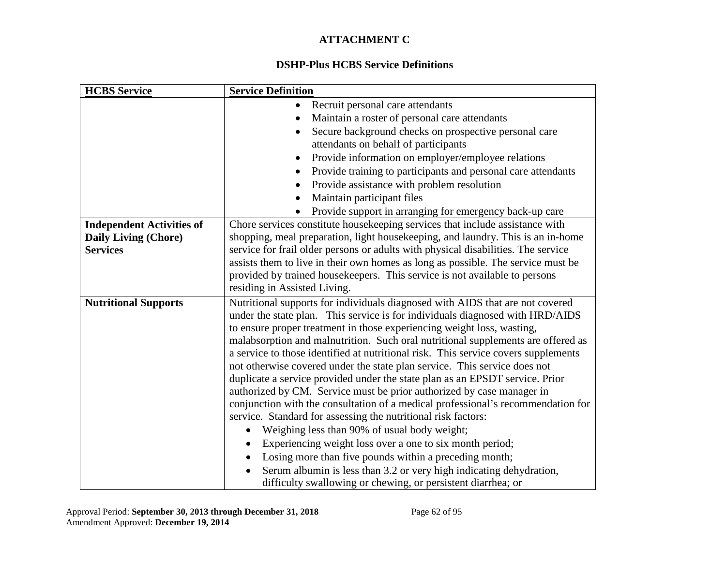| <b>Service Definition</b>                                                                                                                                 |  |  |  |  |  |
|-----------------------------------------------------------------------------------------------------------------------------------------------------------|--|--|--|--|--|
| Recruit personal care attendants                                                                                                                          |  |  |  |  |  |
| Maintain a roster of personal care attendants                                                                                                             |  |  |  |  |  |
| Secure background checks on prospective personal care                                                                                                     |  |  |  |  |  |
| attendants on behalf of participants                                                                                                                      |  |  |  |  |  |
| Provide information on employer/employee relations<br>$\bullet$                                                                                           |  |  |  |  |  |
| Provide training to participants and personal care attendants<br>$\bullet$                                                                                |  |  |  |  |  |
| Provide assistance with problem resolution<br>$\bullet$                                                                                                   |  |  |  |  |  |
| Maintain participant files                                                                                                                                |  |  |  |  |  |
| Provide support in arranging for emergency back-up care                                                                                                   |  |  |  |  |  |
| Chore services constitute housekeeping services that include assistance with                                                                              |  |  |  |  |  |
| shopping, meal preparation, light housekeeping, and laundry. This is an in-home                                                                           |  |  |  |  |  |
| service for frail older persons or adults with physical disabilities. The service                                                                         |  |  |  |  |  |
| assists them to live in their own homes as long as possible. The service must be                                                                          |  |  |  |  |  |
| provided by trained housekeepers. This service is not available to persons                                                                                |  |  |  |  |  |
| residing in Assisted Living.                                                                                                                              |  |  |  |  |  |
| Nutritional supports for individuals diagnosed with AIDS that are not covered                                                                             |  |  |  |  |  |
| under the state plan. This service is for individuals diagnosed with HRD/AIDS                                                                             |  |  |  |  |  |
| to ensure proper treatment in those experiencing weight loss, wasting,                                                                                    |  |  |  |  |  |
| malabsorption and malnutrition. Such oral nutritional supplements are offered as                                                                          |  |  |  |  |  |
| a service to those identified at nutritional risk. This service covers supplements                                                                        |  |  |  |  |  |
| not otherwise covered under the state plan service. This service does not                                                                                 |  |  |  |  |  |
| duplicate a service provided under the state plan as an EPSDT service. Prior                                                                              |  |  |  |  |  |
| authorized by CM. Service must be prior authorized by case manager in<br>conjunction with the consultation of a medical professional's recommendation for |  |  |  |  |  |
| service. Standard for assessing the nutritional risk factors:                                                                                             |  |  |  |  |  |
| Weighing less than 90% of usual body weight;<br>$\bullet$                                                                                                 |  |  |  |  |  |
| Experiencing weight loss over a one to six month period;                                                                                                  |  |  |  |  |  |
| Losing more than five pounds within a preceding month;                                                                                                    |  |  |  |  |  |
|                                                                                                                                                           |  |  |  |  |  |
| Serum albumin is less than 3.2 or very high indicating dehydration,<br>difficulty swallowing or chewing, or persistent diarrhea; or                       |  |  |  |  |  |
|                                                                                                                                                           |  |  |  |  |  |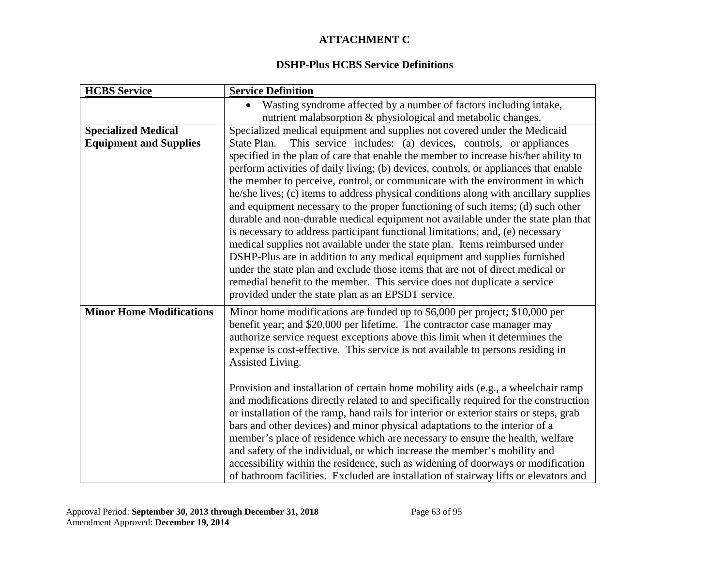| <b>HCBS</b> Service<br><b>Service Definition</b>                                                                                                                         |                                                                                      |  |  |  |  |  |  |
|--------------------------------------------------------------------------------------------------------------------------------------------------------------------------|--------------------------------------------------------------------------------------|--|--|--|--|--|--|
| Wasting syndrome affected by a number of factors including intake,                                                                                                       |                                                                                      |  |  |  |  |  |  |
| nutrient malabsorption & physiological and metabolic changes.                                                                                                            |                                                                                      |  |  |  |  |  |  |
| Specialized medical equipment and supplies not covered under the Medicaid<br><b>Specialized Medical</b>                                                                  |                                                                                      |  |  |  |  |  |  |
| This service includes: (a) devices, controls, or appliances<br><b>Equipment and Supplies</b><br>State Plan.                                                              |                                                                                      |  |  |  |  |  |  |
| specified in the plan of care that enable the member to increase his/her ability to                                                                                      |                                                                                      |  |  |  |  |  |  |
| perform activities of daily living; (b) devices, controls, or appliances that enable<br>the member to perceive, control, or communicate with the environment in which    |                                                                                      |  |  |  |  |  |  |
|                                                                                                                                                                          | he/she lives; (c) items to address physical conditions along with ancillary supplies |  |  |  |  |  |  |
| and equipment necessary to the proper functioning of such items; (d) such other                                                                                          |                                                                                      |  |  |  |  |  |  |
| durable and non-durable medical equipment not available under the state plan that                                                                                        |                                                                                      |  |  |  |  |  |  |
| is necessary to address participant functional limitations; and, (e) necessary                                                                                           |                                                                                      |  |  |  |  |  |  |
| medical supplies not available under the state plan. Items reimbursed under                                                                                              |                                                                                      |  |  |  |  |  |  |
| DSHP-Plus are in addition to any medical equipment and supplies furnished<br>under the state plan and exclude those items that are not of direct medical or              |                                                                                      |  |  |  |  |  |  |
| remedial benefit to the member. This service does not duplicate a service                                                                                                |                                                                                      |  |  |  |  |  |  |
| provided under the state plan as an EPSDT service.                                                                                                                       |                                                                                      |  |  |  |  |  |  |
| <b>Minor Home Modifications</b><br>Minor home modifications are funded up to \$6,000 per project; \$10,000 per                                                           |                                                                                      |  |  |  |  |  |  |
| benefit year; and \$20,000 per lifetime. The contractor case manager may                                                                                                 |                                                                                      |  |  |  |  |  |  |
| authorize service request exceptions above this limit when it determines the                                                                                             |                                                                                      |  |  |  |  |  |  |
| expense is cost-effective. This service is not available to persons residing in                                                                                          |                                                                                      |  |  |  |  |  |  |
| Assisted Living.                                                                                                                                                         |                                                                                      |  |  |  |  |  |  |
| Provision and installation of certain home mobility aids (e.g., a wheelchair ramp                                                                                        |                                                                                      |  |  |  |  |  |  |
| and modifications directly related to and specifically required for the construction                                                                                     |                                                                                      |  |  |  |  |  |  |
| or installation of the ramp, hand rails for interior or exterior stairs or steps, grab                                                                                   |                                                                                      |  |  |  |  |  |  |
| bars and other devices) and minor physical adaptations to the interior of a                                                                                              |                                                                                      |  |  |  |  |  |  |
| member's place of residence which are necessary to ensure the health, welfare                                                                                            |                                                                                      |  |  |  |  |  |  |
| and safety of the individual, or which increase the member's mobility and                                                                                                |                                                                                      |  |  |  |  |  |  |
| accessibility within the residence, such as widening of doorways or modification<br>of bathroom facilities. Excluded are installation of stairway lifts or elevators and |                                                                                      |  |  |  |  |  |  |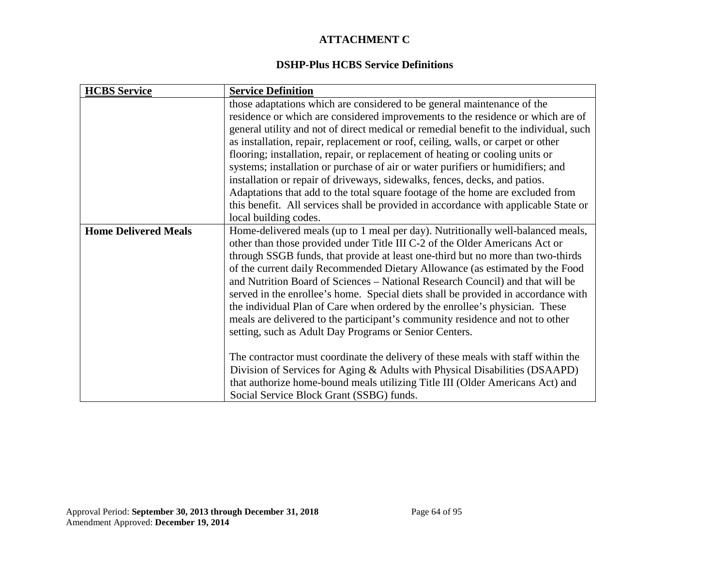| <b>HCBS</b> Service         | <b>Service Definition</b>                                                             |  |  |  |  |  |
|-----------------------------|---------------------------------------------------------------------------------------|--|--|--|--|--|
|                             | those adaptations which are considered to be general maintenance of the               |  |  |  |  |  |
|                             | residence or which are considered improvements to the residence or which are of       |  |  |  |  |  |
|                             | general utility and not of direct medical or remedial benefit to the individual, such |  |  |  |  |  |
|                             | as installation, repair, replacement or roof, ceiling, walls, or carpet or other      |  |  |  |  |  |
|                             | flooring; installation, repair, or replacement of heating or cooling units or         |  |  |  |  |  |
|                             | systems; installation or purchase of air or water purifiers or humidifiers; and       |  |  |  |  |  |
|                             | installation or repair of driveways, sidewalks, fences, decks, and patios.            |  |  |  |  |  |
|                             | Adaptations that add to the total square footage of the home are excluded from        |  |  |  |  |  |
|                             | this benefit. All services shall be provided in accordance with applicable State or   |  |  |  |  |  |
|                             | local building codes.                                                                 |  |  |  |  |  |
| <b>Home Delivered Meals</b> | Home-delivered meals (up to 1 meal per day). Nutritionally well-balanced meals,       |  |  |  |  |  |
|                             | other than those provided under Title III C-2 of the Older Americans Act or           |  |  |  |  |  |
|                             | through SSGB funds, that provide at least one-third but no more than two-thirds       |  |  |  |  |  |
|                             | of the current daily Recommended Dietary Allowance (as estimated by the Food          |  |  |  |  |  |
|                             | and Nutrition Board of Sciences – National Research Council) and that will be         |  |  |  |  |  |
|                             | served in the enrollee's home. Special diets shall be provided in accordance with     |  |  |  |  |  |
|                             | the individual Plan of Care when ordered by the enrollee's physician. These           |  |  |  |  |  |
|                             | meals are delivered to the participant's community residence and not to other         |  |  |  |  |  |
|                             | setting, such as Adult Day Programs or Senior Centers.                                |  |  |  |  |  |
|                             |                                                                                       |  |  |  |  |  |
|                             | The contractor must coordinate the delivery of these meals with staff within the      |  |  |  |  |  |
|                             | Division of Services for Aging & Adults with Physical Disabilities (DSAAPD)           |  |  |  |  |  |
|                             | that authorize home-bound meals utilizing Title III (Older Americans Act) and         |  |  |  |  |  |
|                             | Social Service Block Grant (SSBG) funds.                                              |  |  |  |  |  |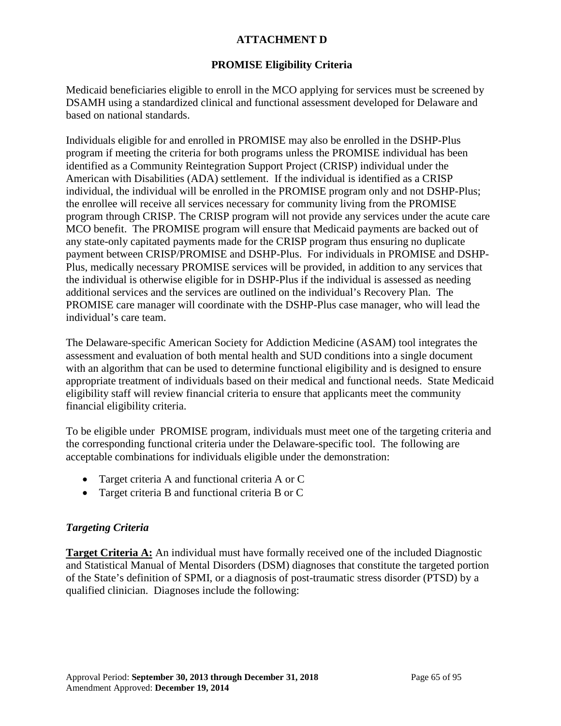## **PROMISE Eligibility Criteria**

Medicaid beneficiaries eligible to enroll in the MCO applying for services must be screened by DSAMH using a standardized clinical and functional assessment developed for Delaware and based on national standards.

Individuals eligible for and enrolled in PROMISE may also be enrolled in the DSHP-Plus program if meeting the criteria for both programs unless the PROMISE individual has been identified as a Community Reintegration Support Project (CRISP) individual under the American with Disabilities (ADA) settlement. If the individual is identified as a CRISP individual, the individual will be enrolled in the PROMISE program only and not DSHP-Plus; the enrollee will receive all services necessary for community living from the PROMISE program through CRISP. The CRISP program will not provide any services under the acute care MCO benefit. The PROMISE program will ensure that Medicaid payments are backed out of any state-only capitated payments made for the CRISP program thus ensuring no duplicate payment between CRISP/PROMISE and DSHP-Plus. For individuals in PROMISE and DSHP-Plus, medically necessary PROMISE services will be provided, in addition to any services that the individual is otherwise eligible for in DSHP-Plus if the individual is assessed as needing additional services and the services are outlined on the individual's Recovery Plan. The PROMISE care manager will coordinate with the DSHP-Plus case manager, who will lead the individual's care team.

The Delaware-specific American Society for Addiction Medicine (ASAM) tool integrates the assessment and evaluation of both mental health and SUD conditions into a single document with an algorithm that can be used to determine functional eligibility and is designed to ensure appropriate treatment of individuals based on their medical and functional needs. State Medicaid eligibility staff will review financial criteria to ensure that applicants meet the community financial eligibility criteria.

To be eligible under PROMISE program, individuals must meet one of the targeting criteria and the corresponding functional criteria under the Delaware-specific tool. The following are acceptable combinations for individuals eligible under the demonstration:

- Target criteria A and functional criteria A or C
- Target criteria B and functional criteria B or C

## *Targeting Criteria*

**Target Criteria A:** An individual must have formally received one of the included Diagnostic and Statistical Manual of Mental Disorders (DSM) diagnoses that constitute the targeted portion of the State's definition of SPMI, or a diagnosis of post-traumatic stress disorder (PTSD) by a qualified clinician. Diagnoses include the following: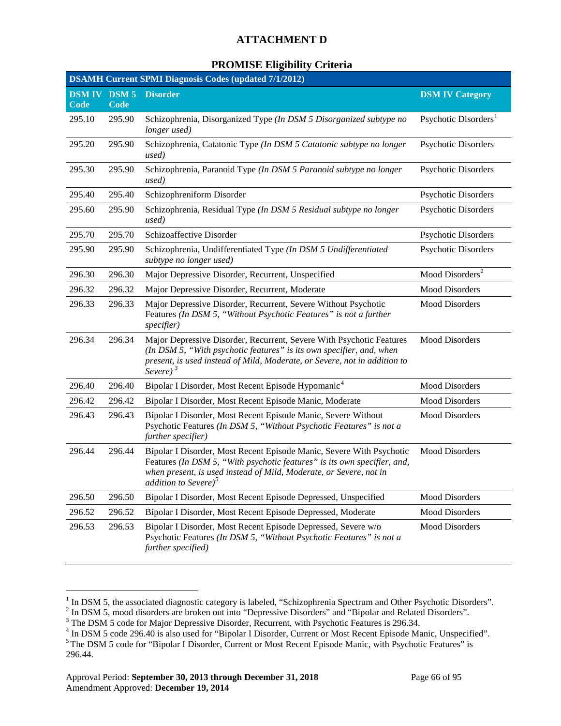### **PROMISE Eligibility Criteria**

| <b>DSAMH Current SPMI Diagnosis Codes (updated 7/1/2012)</b> |             |                                                                                                                                                                                                                                                            |                                  |
|--------------------------------------------------------------|-------------|------------------------------------------------------------------------------------------------------------------------------------------------------------------------------------------------------------------------------------------------------------|----------------------------------|
| <b>DSM IV DSM 5</b><br><b>Code</b>                           | <b>Code</b> | <b>Disorder</b>                                                                                                                                                                                                                                            | <b>DSM IV Category</b>           |
| 295.10                                                       | 295.90      | Schizophrenia, Disorganized Type (In DSM 5 Disorganized subtype no<br>longer used)                                                                                                                                                                         | Psychotic Disorders <sup>1</sup> |
| 295.20                                                       | 295.90      | Schizophrenia, Catatonic Type (In DSM 5 Catatonic subtype no longer<br>used)                                                                                                                                                                               | Psychotic Disorders              |
| 295.30                                                       | 295.90      | Schizophrenia, Paranoid Type (In DSM 5 Paranoid subtype no longer<br>used)                                                                                                                                                                                 | Psychotic Disorders              |
| 295.40                                                       | 295.40      | Schizophreniform Disorder                                                                                                                                                                                                                                  | Psychotic Disorders              |
| 295.60                                                       | 295.90      | Schizophrenia, Residual Type (In DSM 5 Residual subtype no longer<br>used)                                                                                                                                                                                 | Psychotic Disorders              |
| 295.70                                                       | 295.70      | Schizoaffective Disorder                                                                                                                                                                                                                                   | Psychotic Disorders              |
| 295.90                                                       | 295.90      | Schizophrenia, Undifferentiated Type (In DSM 5 Undifferentiated<br>subtype no longer used)                                                                                                                                                                 | Psychotic Disorders              |
| 296.30                                                       | 296.30      | Major Depressive Disorder, Recurrent, Unspecified                                                                                                                                                                                                          | Mood Disorders <sup>2</sup>      |
| 296.32                                                       | 296.32      | Major Depressive Disorder, Recurrent, Moderate                                                                                                                                                                                                             | <b>Mood Disorders</b>            |
| 296.33                                                       | 296.33      | Major Depressive Disorder, Recurrent, Severe Without Psychotic<br>Features (In DSM 5, "Without Psychotic Features" is not a further<br>specifier)                                                                                                          | <b>Mood Disorders</b>            |
| 296.34                                                       | 296.34      | Major Depressive Disorder, Recurrent, Severe With Psychotic Features<br>(In DSM 5, "With psychotic features" is its own specifier, and, when<br>present, is used instead of Mild, Moderate, or Severe, not in addition to<br>Severe) $3$                   | Mood Disorders                   |
| 296.40                                                       | 296.40      | Bipolar I Disorder, Most Recent Episode Hypomanic <sup>4</sup>                                                                                                                                                                                             | <b>Mood Disorders</b>            |
| 296.42                                                       | 296.42      | Bipolar I Disorder, Most Recent Episode Manic, Moderate                                                                                                                                                                                                    | <b>Mood Disorders</b>            |
| 296.43                                                       | 296.43      | Bipolar I Disorder, Most Recent Episode Manic, Severe Without<br>Psychotic Features (In DSM 5, "Without Psychotic Features" is not a<br>further specifier)                                                                                                 | <b>Mood Disorders</b>            |
| 296.44                                                       | 296.44      | Bipolar I Disorder, Most Recent Episode Manic, Severe With Psychotic<br>Features (In DSM 5, "With psychotic features" is its own specifier, and,<br>when present, is used instead of Mild, Moderate, or Severe, not in<br>addition to Severe) <sup>5</sup> | <b>Mood Disorders</b>            |
| 296.50                                                       | 296.50      | Bipolar I Disorder, Most Recent Episode Depressed, Unspecified                                                                                                                                                                                             | Mood Disorders                   |
| 296.52                                                       | 296.52      | Bipolar I Disorder, Most Recent Episode Depressed, Moderate                                                                                                                                                                                                | <b>Mood Disorders</b>            |
| 296.53                                                       | 296.53      | Bipolar I Disorder, Most Recent Episode Depressed, Severe w/o<br>Psychotic Features (In DSM 5, "Without Psychotic Features" is not a<br>further specified)                                                                                                 | <b>Mood Disorders</b>            |

<span id="page-71-0"></span><sup>&</sup>lt;sup>1</sup> In DSM 5, the associated diagnostic category is labeled, "Schizophrenia Spectrum and Other Psychotic Disorders".

<span id="page-71-2"></span>

<span id="page-71-1"></span><sup>&</sup>lt;sup>2</sup> In DSM 5, mood disorders are broken out into "Depressive Disorders" and "Bipolar and Related Disorders".<br>
<sup>3</sup> The DSM 5 code for Major Depressive Disorder, Recurrent, with Psychotic Features is 296.34.<br>
<sup>4</sup> In DSM 5 c

<span id="page-71-4"></span><span id="page-71-3"></span><sup>296.44.</sup>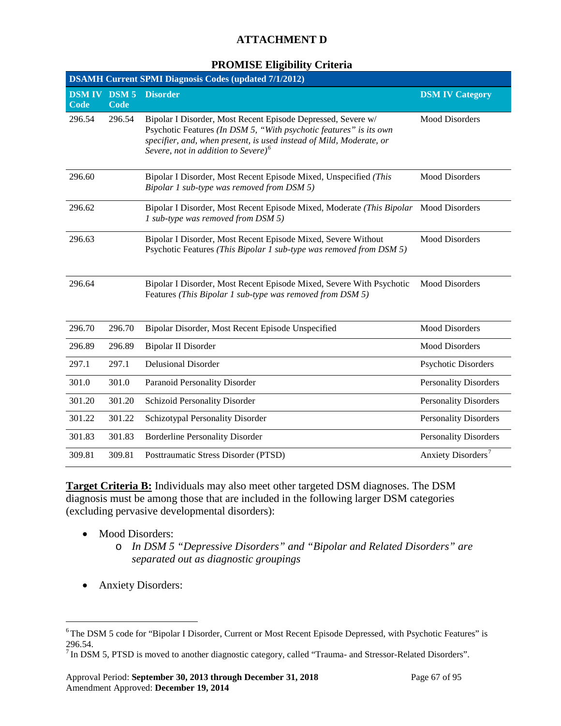### **PROMISE Eligibility Criteria**

| <b>DSAMH Current SPMI Diagnosis Codes (updated 7/1/2012)</b> |                          |                                                                                                                                                                                                                                                              |                                |
|--------------------------------------------------------------|--------------------------|--------------------------------------------------------------------------------------------------------------------------------------------------------------------------------------------------------------------------------------------------------------|--------------------------------|
| <b>DSM IV</b><br><b>Code</b>                                 | DSM <sub>5</sub><br>Code | <b>Disorder</b>                                                                                                                                                                                                                                              | <b>DSM IV Category</b>         |
| 296.54                                                       | 296.54                   | Bipolar I Disorder, Most Recent Episode Depressed, Severe w/<br>Psychotic Features (In DSM 5, "With psychotic features" is its own<br>specifier, and, when present, is used instead of Mild, Moderate, or<br>Severe, not in addition to Severe) <sup>6</sup> | <b>Mood Disorders</b>          |
| 296.60                                                       |                          | Bipolar I Disorder, Most Recent Episode Mixed, Unspecified (This<br>Bipolar 1 sub-type was removed from DSM 5)                                                                                                                                               | <b>Mood Disorders</b>          |
| 296.62                                                       |                          | Bipolar I Disorder, Most Recent Episode Mixed, Moderate (This Bipolar Mood Disorders<br>1 sub-type was removed from DSM 5)                                                                                                                                   |                                |
| 296.63                                                       |                          | Bipolar I Disorder, Most Recent Episode Mixed, Severe Without<br>Psychotic Features (This Bipolar 1 sub-type was removed from DSM 5)                                                                                                                         | <b>Mood Disorders</b>          |
| 296.64                                                       |                          | Bipolar I Disorder, Most Recent Episode Mixed, Severe With Psychotic<br>Features (This Bipolar 1 sub-type was removed from DSM 5)                                                                                                                            | <b>Mood Disorders</b>          |
| 296.70                                                       | 296.70                   | Bipolar Disorder, Most Recent Episode Unspecified                                                                                                                                                                                                            | <b>Mood Disorders</b>          |
| 296.89                                                       | 296.89                   | <b>Bipolar II Disorder</b>                                                                                                                                                                                                                                   | <b>Mood Disorders</b>          |
| 297.1                                                        | 297.1                    | <b>Delusional Disorder</b>                                                                                                                                                                                                                                   | Psychotic Disorders            |
| 301.0                                                        | 301.0                    | Paranoid Personality Disorder                                                                                                                                                                                                                                | <b>Personality Disorders</b>   |
| 301.20                                                       | 301.20                   | Schizoid Personality Disorder                                                                                                                                                                                                                                | <b>Personality Disorders</b>   |
| 301.22                                                       | 301.22                   | Schizotypal Personality Disorder                                                                                                                                                                                                                             | <b>Personality Disorders</b>   |
| 301.83                                                       | 301.83                   | <b>Borderline Personality Disorder</b>                                                                                                                                                                                                                       | <b>Personality Disorders</b>   |
| 309.81                                                       | 309.81                   | Posttraumatic Stress Disorder (PTSD)                                                                                                                                                                                                                         | Anxiety Disorders <sup>7</sup> |

**Target Criteria B:** Individuals may also meet other targeted DSM diagnoses. The DSM diagnosis must be among those that are included in the following larger DSM categories (excluding pervasive developmental disorders):

- Mood Disorders:
	- o *In DSM 5 "Depressive Disorders" and "Bipolar and Related Disorders" are separated out as diagnostic groupings*
- Anxiety Disorders:

÷,

<span id="page-72-0"></span><sup>&</sup>lt;sup>6</sup> The DSM 5 code for "Bipolar I Disorder, Current or Most Recent Episode Depressed, with Psychotic Features" is 296.54.

<span id="page-72-1"></span> $<sup>7</sup>$  In DSM 5, PTSD is moved to another diagnostic category, called "Trauma- and Stressor-Related Disorders".</sup>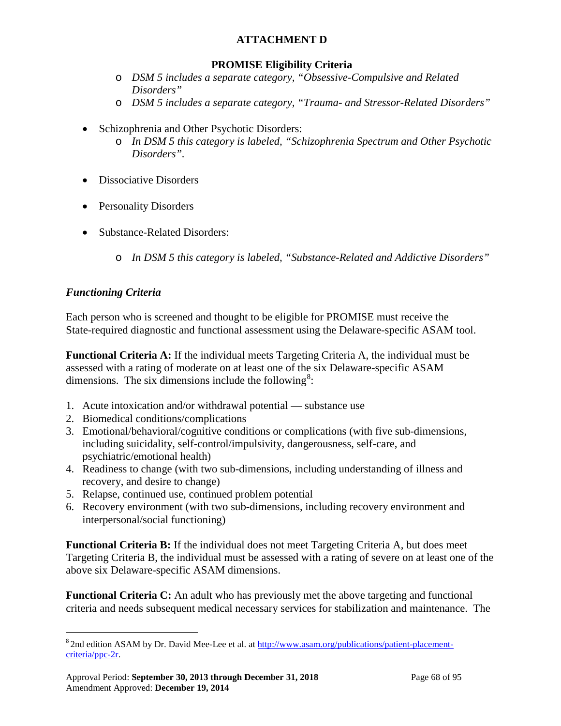### **PROMISE Eligibility Criteria**

- o *DSM 5 includes a separate category, "Obsessive-Compulsive and Related Disorders"*
- o *DSM 5 includes a separate category, "Trauma- and Stressor-Related Disorders"*
- Schizophrenia and Other Psychotic Disorders:
	- o *In DSM 5 this category is labeled, "Schizophrenia Spectrum and Other Psychotic Disorders".*
- Dissociative Disorders
- Personality Disorders
- Substance-Related Disorders:
	- o *In DSM 5 this category is labeled, "Substance-Related and Addictive Disorders"*

# *Functioning Criteria*

÷,

Each person who is screened and thought to be eligible for PROMISE must receive the State-required diagnostic and functional assessment using the Delaware-specific ASAM tool.

**Functional Criteria A:** If the individual meets Targeting Criteria A, the individual must be assessed with a rating of moderate on at least one of the six Delaware-specific ASAM dimensions. The six dimensions include the following<sup>[8](#page-73-0)</sup>:

- 1. Acute intoxication and/or withdrawal potential substance use
- 2. Biomedical conditions/complications
- 3. Emotional/behavioral/cognitive conditions or complications (with five sub-dimensions, including suicidality, self-control/impulsivity, dangerousness, self-care, and psychiatric/emotional health)
- 4. Readiness to change (with two sub-dimensions, including understanding of illness and recovery, and desire to change)
- 5. Relapse, continued use, continued problem potential
- 6. Recovery environment (with two sub-dimensions, including recovery environment and interpersonal/social functioning)

**Functional Criteria B:** If the individual does not meet Targeting Criteria A, but does meet Targeting Criteria B, the individual must be assessed with a rating of severe on at least one of the above six Delaware-specific ASAM dimensions.

**Functional Criteria C:** An adult who has previously met the above targeting and functional criteria and needs subsequent medical necessary services for stabilization and maintenance. The

<span id="page-73-0"></span><sup>8</sup> 2nd edition ASAM by Dr. David Mee-Lee et al. at [http://www.asam.org/publications/patient-placement](http://www.asam.org/publications/patient-placement-criteria/ppc-2r)[criteria/ppc-2r.](http://www.asam.org/publications/patient-placement-criteria/ppc-2r)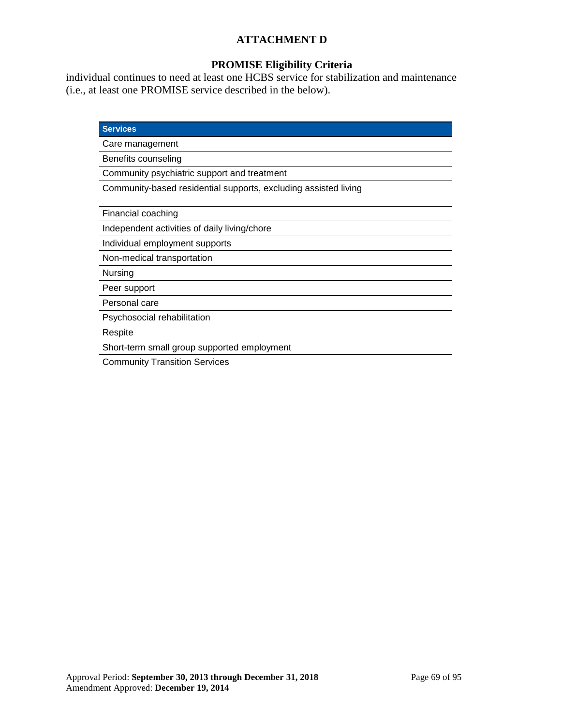# **PROMISE Eligibility Criteria**

individual continues to need at least one HCBS service for stabilization and maintenance (i.e., at least one PROMISE service described in the below).

| <b>Services</b>                                                 |
|-----------------------------------------------------------------|
| Care management                                                 |
| Benefits counseling                                             |
| Community psychiatric support and treatment                     |
| Community-based residential supports, excluding assisted living |
|                                                                 |
| Financial coaching                                              |
| Independent activities of daily living/chore                    |
| Individual employment supports                                  |
| Non-medical transportation                                      |
| Nursing                                                         |
| Peer support                                                    |
| Personal care                                                   |
| Psychosocial rehabilitation                                     |
| Respite                                                         |
| Short-term small group supported employment                     |
| <b>Community Transition Services</b>                            |
|                                                                 |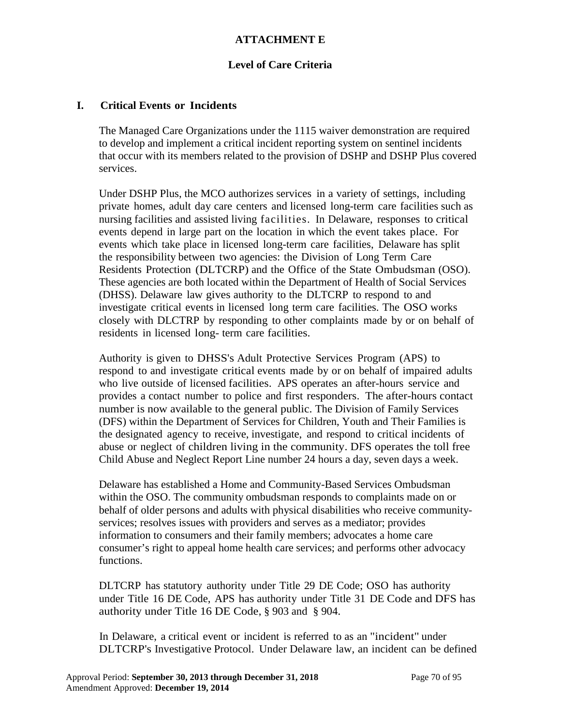#### **Level of Care Criteria**

#### **I. Critical Events or Incidents**

The Managed Care Organizations under the 1115 waiver demonstration are required to develop and implement a critical incident reporting system on sentinel incidents that occur with its members related to the provision of DSHP and DSHP Plus covered services.

Under DSHP Plus, the MCO authorizes services in a variety of settings, including private homes, adult day care centers and licensed long-term care facilities such as nursing facilities and assisted living facilities. In Delaware, responses to critical events depend in large part on the location in which the event takes place. For events which take place in licensed long-term care facilities, Delaware has split the responsibility between two agencies: the Division of Long Term Care Residents Protection (DLTCRP) and the Office of the State Ombudsman (OSO). These agencies are both located within the Department of Health of Social Services (DHSS). Delaware law gives authority to the DLTCRP to respond to and investigate critical events in licensed long term care facilities. The OSO works closely with DLCTRP by responding to other complaints made by or on behalf of residents in licensed long- term care facilities.

Authority is given to DHSS's Adult Protective Services Program (APS) to respond to and investigate critical events made by or on behalf of impaired adults who live outside of licensed facilities. APS operates an after-hours service and provides a contact number to police and first responders. The after-hours contact number is now available to the general public. The Division of Family Services (DFS) within the Department of Services for Children, Youth and Their Families is the designated agency to receive, investigate, and respond to critical incidents of abuse or neglect of children living in the community. DFS operates the toll free Child Abuse and Neglect Report Line number 24 hours a day, seven days a week.

Delaware has established a Home and Community-Based Services Ombudsman within the OSO. The community ombudsman responds to complaints made on or behalf of older persons and adults with physical disabilities who receive communityservices; resolves issues with providers and serves as a mediator; provides information to consumers and their family members; advocates a home care consumer's right to appeal home health care services; and performs other advocacy functions.

DLTCRP has statutory authority under Title 29 DE Code; OSO has authority under Title 16 DE Code, APS has authority under Title 31 DE Code and DFS has authority under Title 16 DE Code, § 903 and § 904.

In Delaware, a critical event or incident is referred to as an "incident" under DLTCRP's Investigative Protocol. Under Delaware law, an incident can be defined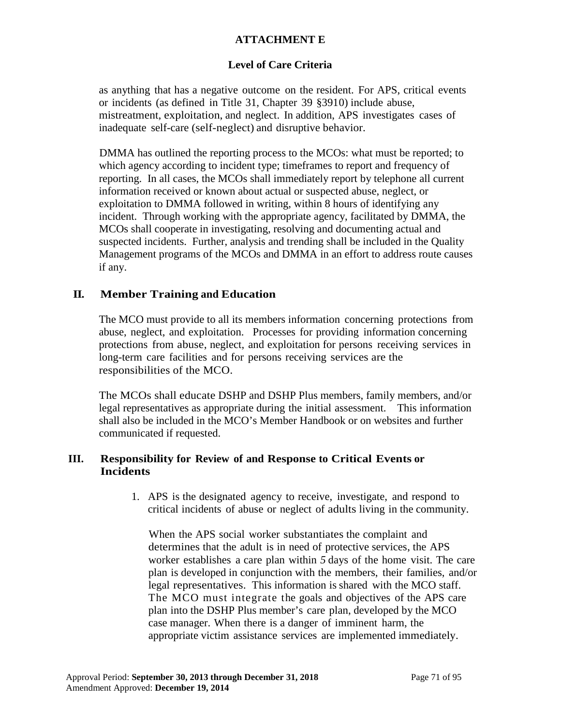#### **Level of Care Criteria**

as anything that has a negative outcome on the resident. For APS, critical events or incidents (as defined in Title 31, Chapter 39 §3910) include abuse, mistreatment, exploitation, and neglect. In addition, APS investigates cases of inadequate self-care (self-neglect) and disruptive behavior.

DMMA has outlined the reporting process to the MCOs: what must be reported; to which agency according to incident type; timeframes to report and frequency of reporting. In all cases, the MCOs shall immediately report by telephone all current information received or known about actual or suspected abuse, neglect, or exploitation to DMMA followed in writing, within 8 hours of identifying any incident. Through working with the appropriate agency, facilitated by DMMA, the MCOs shall cooperate in investigating, resolving and documenting actual and suspected incidents. Further, analysis and trending shall be included in the Quality Management programs of the MCOs and DMMA in an effort to address route causes if any.

#### **II. Member Training and Education**

The MCO must provide to all its members information concerning protections from abuse, neglect, and exploitation. Processes for providing information concerning protections from abuse, neglect, and exploitation for persons receiving services in long-term care facilities and for persons receiving services are the responsibilities of the MCO.

The MCOs shall educate DSHP and DSHP Plus members, family members, and/or legal representatives as appropriate during the initial assessment. This information shall also be included in the MCO's Member Handbook or on websites and further communicated if requested.

#### **III. Responsibility for Review of and Response to Critical Events or Incidents**

1. APS is the designated agency to receive, investigate, and respond to critical incidents of abuse or neglect of adults living in the community.

When the APS social worker substantiates the complaint and determines that the adult is in need of protective services, the APS worker establishes a care plan within *5* days of the home visit. The care plan is developed in conjunction with the members, their families, and/or legal representatives. This information is shared with the MCO staff. The MCO must integrate the goals and objectives of the APS care plan into the DSHP Plus member's care plan, developed by the MCO case manager. When there is a danger of imminent harm, the appropriate victim assistance services are implemented immediately.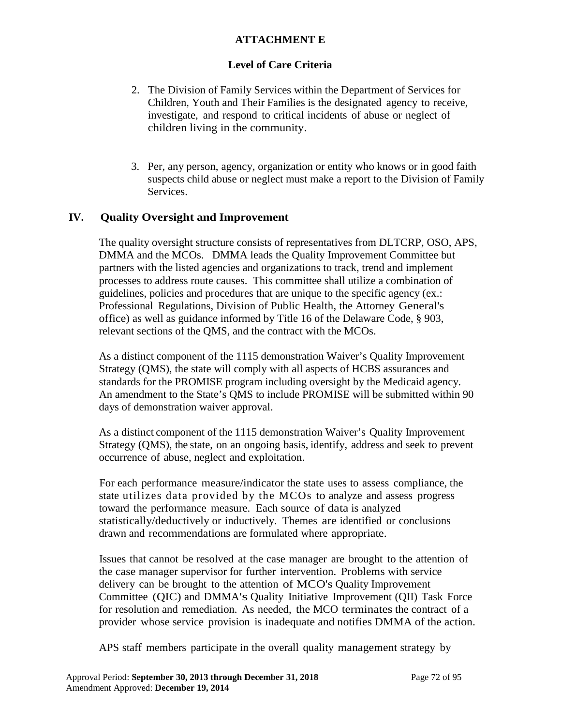# **Level of Care Criteria**

- 2. The Division of Family Services within the Department of Services for Children, Youth and Their Families is the designated agency to receive, investigate, and respond to critical incidents of abuse or neglect of children living in the community.
- 3. Per, any person, agency, organization or entity who knows or in good faith suspects child abuse or neglect must make a report to the Division of Family **Services**

# **IV. Quality Oversight and Improvement**

The quality oversight structure consists of representatives from DLTCRP, OSO, APS, DMMA and the MCOs. DMMA leads the Quality Improvement Committee but partners with the listed agencies and organizations to track, trend and implement processes to address route causes. This committee shall utilize a combination of guidelines, policies and procedures that are unique to the specific agency (ex.: Professional Regulations, Division of Public Health, the Attorney General's office) as well as guidance informed by Title 16 of the Delaware Code, § 903, relevant sections of the QMS, and the contract with the MCOs.

As a distinct component of the 1115 demonstration Waiver's Quality Improvement Strategy (QMS), the state will comply with all aspects of HCBS assurances and standards for the PROMISE program including oversight by the Medicaid agency. An amendment to the State's QMS to include PROMISE will be submitted within 90 days of demonstration waiver approval.

As a distinct component of the 1115 demonstration Waiver's Quality Improvement Strategy (QMS), the state, on an ongoing basis, identify, address and seek to prevent occurrence of abuse, neglect and exploitation.

For each performance measure/indicator the state uses to assess compliance, the state utilizes data provided by the MCOs to analyze and assess progress toward the performance measure. Each source of data is analyzed statistically/deductively or inductively. Themes are identified or conclusions drawn and recommendations are formulated where appropriate.

Issues that cannot be resolved at the case manager are brought to the attention of the case manager supervisor for further intervention. Problems with service delivery can be brought to the attention of MCO's Quality Improvement Committee (QIC) and DMMA's Quality Initiative Improvement (QII) Task Force for resolution and remediation. As needed, the MCO terminates the contract of a provider whose service provision is inadequate and notifies DMMA of the action.

APS staff members participate in the overall quality management strategy by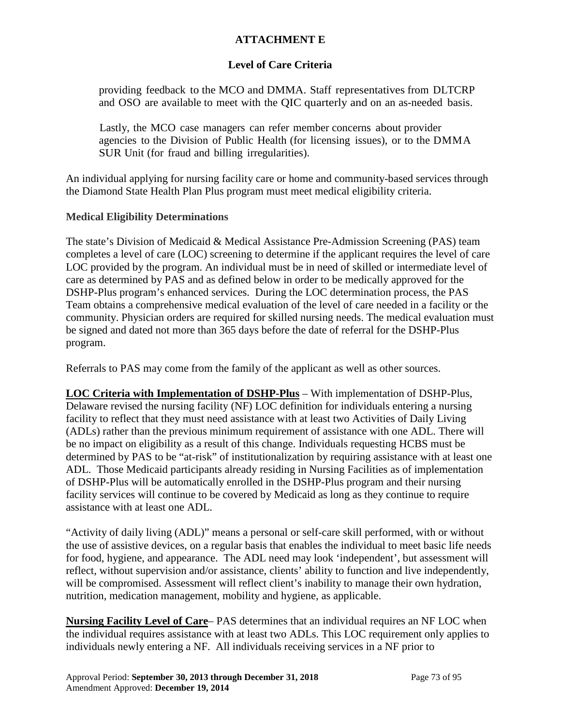# **Level of Care Criteria**

providing feedback to the MCO and DMMA. Staff representatives from DLTCRP and OSO are available to meet with the QIC quarterly and on an as-needed basis.

Lastly, the MCO case managers can refer member concerns about provider agencies to the Division of Public Health (for licensing issues), or to the DMMA SUR Unit (for fraud and billing irregularities).

An individual applying for nursing facility care or home and community-based services through the Diamond State Health Plan Plus program must meet medical eligibility criteria.

### **Medical Eligibility Determinations**

The state's Division of Medicaid & Medical Assistance Pre-Admission Screening (PAS) team completes a level of care (LOC) screening to determine if the applicant requires the level of care LOC provided by the program. An individual must be in need of skilled or intermediate level of care as determined by PAS and as defined below in order to be medically approved for the DSHP-Plus program's enhanced services. During the LOC determination process, the PAS Team obtains a comprehensive medical evaluation of the level of care needed in a facility or the community. Physician orders are required for skilled nursing needs. The medical evaluation must be signed and dated not more than 365 days before the date of referral for the DSHP-Plus program.

Referrals to PAS may come from the family of the applicant as well as other sources.

**LOC Criteria with Implementation of DSHP-Plus** – With implementation of DSHP-Plus, Delaware revised the nursing facility (NF) LOC definition for individuals entering a nursing facility to reflect that they must need assistance with at least two Activities of Daily Living (ADLs) rather than the previous minimum requirement of assistance with one ADL. There will be no impact on eligibility as a result of this change. Individuals requesting HCBS must be determined by PAS to be "at-risk" of institutionalization by requiring assistance with at least one ADL. Those Medicaid participants already residing in Nursing Facilities as of implementation of DSHP-Plus will be automatically enrolled in the DSHP-Plus program and their nursing facility services will continue to be covered by Medicaid as long as they continue to require assistance with at least one ADL.

"Activity of daily living (ADL)" means a personal or self-care skill performed, with or without the use of assistive devices, on a regular basis that enables the individual to meet basic life needs for food, hygiene, and appearance. The ADL need may look 'independent', but assessment will reflect, without supervision and/or assistance, clients' ability to function and live independently, will be compromised. Assessment will reflect client's inability to manage their own hydration, nutrition, medication management, mobility and hygiene, as applicable.

**Nursing Facility Level of Care**– PAS determines that an individual requires an NF LOC when the individual requires assistance with at least two ADLs. This LOC requirement only applies to individuals newly entering a NF. All individuals receiving services in a NF prior to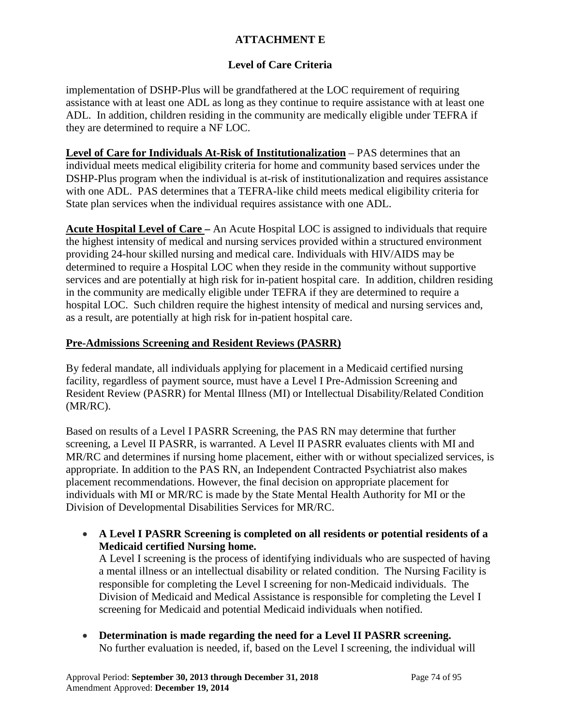# **Level of Care Criteria**

implementation of DSHP-Plus will be grandfathered at the LOC requirement of requiring assistance with at least one ADL as long as they continue to require assistance with at least one ADL. In addition, children residing in the community are medically eligible under TEFRA if they are determined to require a NF LOC.

**Level of Care for Individuals At-Risk of Institutionalization** – PAS determines that an individual meets medical eligibility criteria for home and community based services under the DSHP-Plus program when the individual is at-risk of institutionalization and requires assistance with one ADL. PAS determines that a TEFRA-like child meets medical eligibility criteria for State plan services when the individual requires assistance with one ADL.

**Acute Hospital Level of Care –** An Acute Hospital LOC is assigned to individuals that require the highest intensity of medical and nursing services provided within a structured environment providing 24-hour skilled nursing and medical care. Individuals with HIV/AIDS may be determined to require a Hospital LOC when they reside in the community without supportive services and are potentially at high risk for in-patient hospital care. In addition, children residing in the community are medically eligible under TEFRA if they are determined to require a hospital LOC. Such children require the highest intensity of medical and nursing services and, as a result, are potentially at high risk for in-patient hospital care.

# **Pre-Admissions Screening and Resident Reviews (PASRR)**

By federal mandate, all individuals applying for placement in a Medicaid certified nursing facility, regardless of payment source, must have a Level I Pre-Admission Screening and Resident Review (PASRR) for Mental Illness (MI) or Intellectual Disability/Related Condition (MR/RC).

Based on results of a Level I PASRR Screening, the PAS RN may determine that further screening, a Level II PASRR, is warranted. A Level II PASRR evaluates clients with MI and MR/RC and determines if nursing home placement, either with or without specialized services, is appropriate. In addition to the PAS RN, an Independent Contracted Psychiatrist also makes placement recommendations. However, the final decision on appropriate placement for individuals with MI or MR/RC is made by the State Mental Health Authority for MI or the Division of Developmental Disabilities Services for MR/RC.

• **A Level I PASRR Screening is completed on all residents or potential residents of a Medicaid certified Nursing home.**

A Level I screening is the process of identifying individuals who are suspected of having a mental illness or an intellectual disability or related condition. The Nursing Facility is responsible for completing the Level I screening for non-Medicaid individuals. The Division of Medicaid and Medical Assistance is responsible for completing the Level I screening for Medicaid and potential Medicaid individuals when notified.

• **Determination is made regarding the need for a Level II PASRR screening.** No further evaluation is needed, if, based on the Level I screening, the individual will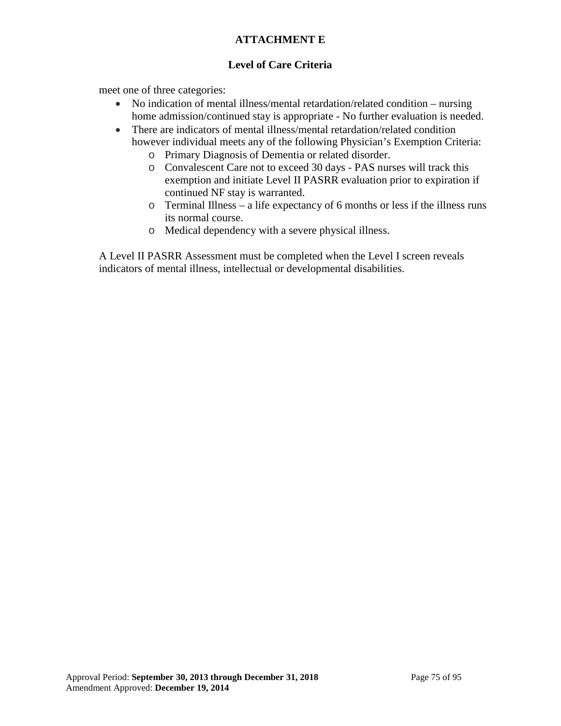# **Level of Care Criteria**

meet one of three categories:

- No indication of mental illness/mental retardation/related condition nursing home admission/continued stay is appropriate - No further evaluation is needed.
- There are indicators of mental illness/mental retardation/related condition however individual meets any of the following Physician's Exemption Criteria:
	- o Primary Diagnosis of Dementia or related disorder.
	- o Convalescent Care not to exceed 30 days PAS nurses will track this exemption and initiate Level II PASRR evaluation prior to expiration if continued NF stay is warranted.
	- o Terminal Illness a life expectancy of 6 months or less if the illness runs its normal course.
	- o Medical dependency with a severe physical illness.

A Level II PASRR Assessment must be completed when the Level I screen reveals indicators of mental illness, intellectual or developmental disabilities.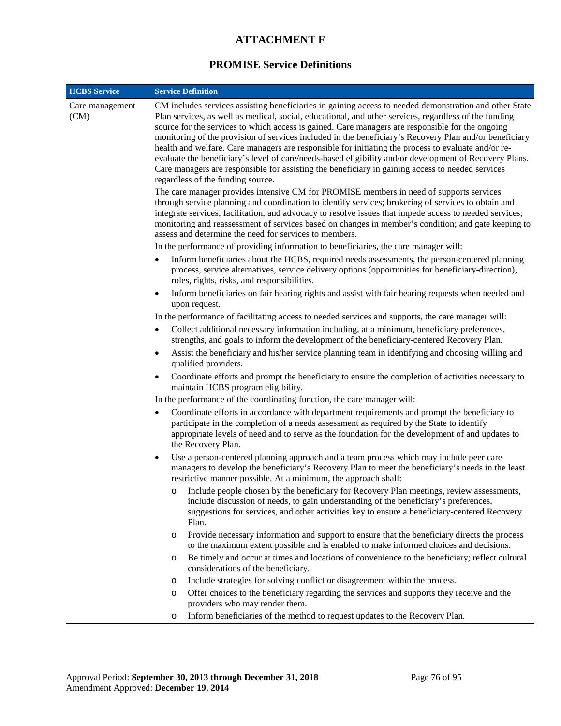| <b>HCBS</b> Service     | <b>Service Definition</b>                                                                                                                                                                                                                                                                                                                                                                                                                                                                                                                                                                                                                                                                                                                                                                                                                                                          |
|-------------------------|------------------------------------------------------------------------------------------------------------------------------------------------------------------------------------------------------------------------------------------------------------------------------------------------------------------------------------------------------------------------------------------------------------------------------------------------------------------------------------------------------------------------------------------------------------------------------------------------------------------------------------------------------------------------------------------------------------------------------------------------------------------------------------------------------------------------------------------------------------------------------------|
| Care management<br>(CM) | CM includes services assisting beneficiaries in gaining access to needed demonstration and other State<br>Plan services, as well as medical, social, educational, and other services, regardless of the funding<br>source for the services to which access is gained. Care managers are responsible for the ongoing<br>monitoring of the provision of services included in the beneficiary's Recovery Plan and/or beneficiary<br>health and welfare. Care managers are responsible for initiating the process to evaluate and/or re-<br>evaluate the beneficiary's level of care/needs-based eligibility and/or development of Recovery Plans.<br>Care managers are responsible for assisting the beneficiary in gaining access to needed services<br>regardless of the funding source.<br>The care manager provides intensive CM for PROMISE members in need of supports services |
|                         | through service planning and coordination to identify services; brokering of services to obtain and<br>integrate services, facilitation, and advocacy to resolve issues that impede access to needed services;<br>monitoring and reassessment of services based on changes in member's condition; and gate keeping to<br>assess and determine the need for services to members.                                                                                                                                                                                                                                                                                                                                                                                                                                                                                                    |
|                         | In the performance of providing information to beneficiaries, the care manager will:                                                                                                                                                                                                                                                                                                                                                                                                                                                                                                                                                                                                                                                                                                                                                                                               |
|                         | Inform beneficiaries about the HCBS, required needs assessments, the person-centered planning<br>process, service alternatives, service delivery options (opportunities for beneficiary-direction),<br>roles, rights, risks, and responsibilities.                                                                                                                                                                                                                                                                                                                                                                                                                                                                                                                                                                                                                                 |
|                         | Inform beneficiaries on fair hearing rights and assist with fair hearing requests when needed and<br>$\bullet$<br>upon request.                                                                                                                                                                                                                                                                                                                                                                                                                                                                                                                                                                                                                                                                                                                                                    |
|                         | In the performance of facilitating access to needed services and supports, the care manager will:                                                                                                                                                                                                                                                                                                                                                                                                                                                                                                                                                                                                                                                                                                                                                                                  |
|                         | Collect additional necessary information including, at a minimum, beneficiary preferences,<br>strengths, and goals to inform the development of the beneficiary-centered Recovery Plan.                                                                                                                                                                                                                                                                                                                                                                                                                                                                                                                                                                                                                                                                                            |
|                         | Assist the beneficiary and his/her service planning team in identifying and choosing willing and<br>$\bullet$<br>qualified providers.                                                                                                                                                                                                                                                                                                                                                                                                                                                                                                                                                                                                                                                                                                                                              |
|                         | Coordinate efforts and prompt the beneficiary to ensure the completion of activities necessary to<br>$\bullet$<br>maintain HCBS program eligibility.                                                                                                                                                                                                                                                                                                                                                                                                                                                                                                                                                                                                                                                                                                                               |
|                         | In the performance of the coordinating function, the care manager will:                                                                                                                                                                                                                                                                                                                                                                                                                                                                                                                                                                                                                                                                                                                                                                                                            |
|                         | Coordinate efforts in accordance with department requirements and prompt the beneficiary to<br>٠<br>participate in the completion of a needs assessment as required by the State to identify<br>appropriate levels of need and to serve as the foundation for the development of and updates to<br>the Recovery Plan.                                                                                                                                                                                                                                                                                                                                                                                                                                                                                                                                                              |
|                         | Use a person-centered planning approach and a team process which may include peer care<br>managers to develop the beneficiary's Recovery Plan to meet the beneficiary's needs in the least<br>restrictive manner possible. At a minimum, the approach shall:                                                                                                                                                                                                                                                                                                                                                                                                                                                                                                                                                                                                                       |
|                         | o Include people chosen by the beneficiary for Recovery Plan meetings, review assessments,<br>include discussion of needs, to gain understanding of the beneficiary's preferences,<br>suggestions for services, and other activities key to ensure a beneficiary-centered Recovery<br>Plan.                                                                                                                                                                                                                                                                                                                                                                                                                                                                                                                                                                                        |
|                         | Provide necessary information and support to ensure that the beneficiary directs the process<br>$\circ$<br>to the maximum extent possible and is enabled to make informed choices and decisions.                                                                                                                                                                                                                                                                                                                                                                                                                                                                                                                                                                                                                                                                                   |
|                         | Be timely and occur at times and locations of convenience to the beneficiary; reflect cultural<br>$\circ$<br>considerations of the beneficiary.                                                                                                                                                                                                                                                                                                                                                                                                                                                                                                                                                                                                                                                                                                                                    |
|                         | Include strategies for solving conflict or disagreement within the process.<br>O                                                                                                                                                                                                                                                                                                                                                                                                                                                                                                                                                                                                                                                                                                                                                                                                   |
|                         | Offer choices to the beneficiary regarding the services and supports they receive and the<br>O<br>providers who may render them.                                                                                                                                                                                                                                                                                                                                                                                                                                                                                                                                                                                                                                                                                                                                                   |
|                         | Inform beneficiaries of the method to request updates to the Recovery Plan.<br>$\circ$                                                                                                                                                                                                                                                                                                                                                                                                                                                                                                                                                                                                                                                                                                                                                                                             |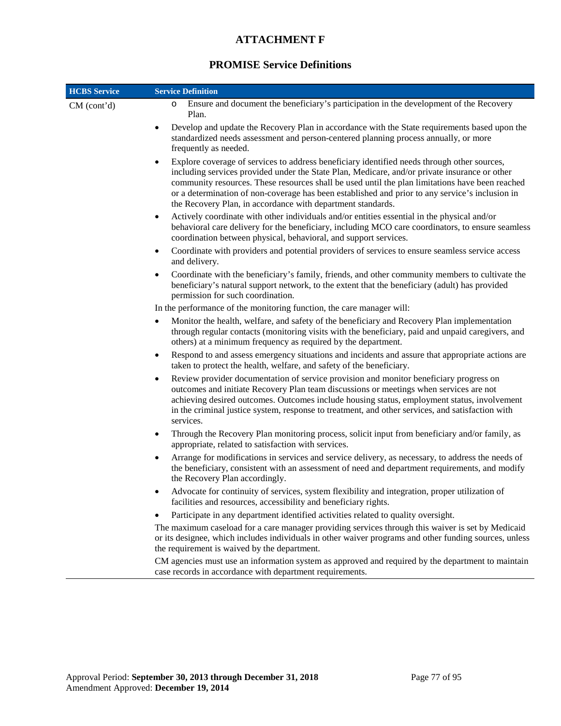| <b>HCBS</b> Service | <b>Service Definition</b>                                                                                                                                                                                                                                                                                                                                                                                                                                                      |
|---------------------|--------------------------------------------------------------------------------------------------------------------------------------------------------------------------------------------------------------------------------------------------------------------------------------------------------------------------------------------------------------------------------------------------------------------------------------------------------------------------------|
| CM (cont'd)         | Ensure and document the beneficiary's participation in the development of the Recovery<br>$\circ$<br>Plan.                                                                                                                                                                                                                                                                                                                                                                     |
|                     | Develop and update the Recovery Plan in accordance with the State requirements based upon the<br>$\bullet$<br>standardized needs assessment and person-centered planning process annually, or more<br>frequently as needed.                                                                                                                                                                                                                                                    |
|                     | Explore coverage of services to address beneficiary identified needs through other sources,<br>$\bullet$<br>including services provided under the State Plan, Medicare, and/or private insurance or other<br>community resources. These resources shall be used until the plan limitations have been reached<br>or a determination of non-coverage has been established and prior to any service's inclusion in<br>the Recovery Plan, in accordance with department standards. |
|                     | Actively coordinate with other individuals and/or entities essential in the physical and/or<br>$\bullet$<br>behavioral care delivery for the beneficiary, including MCO care coordinators, to ensure seamless<br>coordination between physical, behavioral, and support services.                                                                                                                                                                                              |
|                     | Coordinate with providers and potential providers of services to ensure seamless service access<br>$\bullet$<br>and delivery.                                                                                                                                                                                                                                                                                                                                                  |
|                     | Coordinate with the beneficiary's family, friends, and other community members to cultivate the<br>$\bullet$<br>beneficiary's natural support network, to the extent that the beneficiary (adult) has provided<br>permission for such coordination.                                                                                                                                                                                                                            |
|                     | In the performance of the monitoring function, the care manager will:                                                                                                                                                                                                                                                                                                                                                                                                          |
|                     | Monitor the health, welfare, and safety of the beneficiary and Recovery Plan implementation<br>$\bullet$<br>through regular contacts (monitoring visits with the beneficiary, paid and unpaid caregivers, and<br>others) at a minimum frequency as required by the department.                                                                                                                                                                                                 |
|                     | Respond to and assess emergency situations and incidents and assure that appropriate actions are<br>$\bullet$<br>taken to protect the health, welfare, and safety of the beneficiary.                                                                                                                                                                                                                                                                                          |
|                     | Review provider documentation of service provision and monitor beneficiary progress on<br>$\bullet$<br>outcomes and initiate Recovery Plan team discussions or meetings when services are not<br>achieving desired outcomes. Outcomes include housing status, employment status, involvement<br>in the criminal justice system, response to treatment, and other services, and satisfaction with<br>services.                                                                  |
|                     | Through the Recovery Plan monitoring process, solicit input from beneficiary and/or family, as<br>$\bullet$<br>appropriate, related to satisfaction with services.                                                                                                                                                                                                                                                                                                             |
|                     | Arrange for modifications in services and service delivery, as necessary, to address the needs of<br>٠<br>the beneficiary, consistent with an assessment of need and department requirements, and modify<br>the Recovery Plan accordingly.                                                                                                                                                                                                                                     |
|                     | Advocate for continuity of services, system flexibility and integration, proper utilization of<br>facilities and resources, accessibility and beneficiary rights.                                                                                                                                                                                                                                                                                                              |
|                     | Participate in any department identified activities related to quality oversight.<br>$\bullet$                                                                                                                                                                                                                                                                                                                                                                                 |
|                     | The maximum caseload for a care manager providing services through this waiver is set by Medicaid<br>or its designee, which includes individuals in other waiver programs and other funding sources, unless<br>the requirement is waived by the department.                                                                                                                                                                                                                    |
|                     | CM agencies must use an information system as approved and required by the department to maintain<br>case records in accordance with department requirements.                                                                                                                                                                                                                                                                                                                  |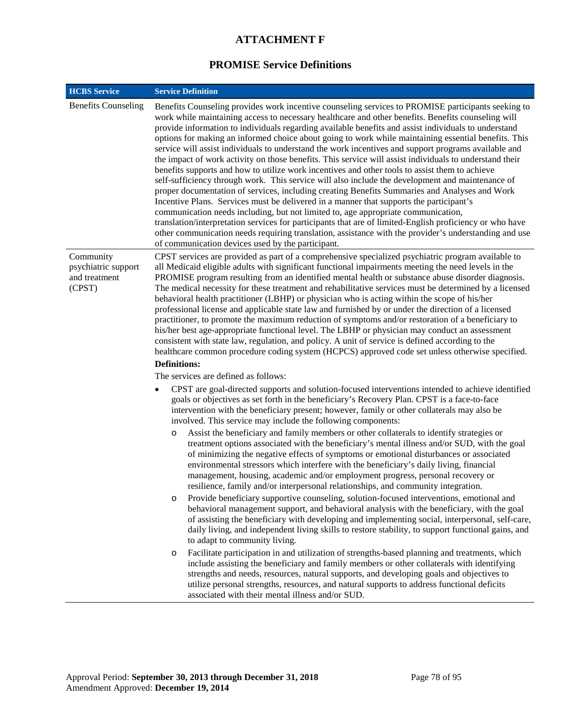| Benefits Counseling provides work incentive counseling services to PROMISE participants seeking to<br>work while maintaining access to necessary healthcare and other benefits. Benefits counseling will<br>provide information to individuals regarding available benefits and assist individuals to understand<br>options for making an informed choice about going to work while maintaining essential benefits. This<br>service will assist individuals to understand the work incentives and support programs available and<br>the impact of work activity on those benefits. This service will assist individuals to understand their<br>benefits supports and how to utilize work incentives and other tools to assist them to achieve<br>self-sufficiency through work. This service will also include the development and maintenance of<br>proper documentation of services, including creating Benefits Summaries and Analyses and Work<br>Incentive Plans. Services must be delivered in a manner that supports the participant's<br>communication needs including, but not limited to, age appropriate communication,<br>translation/interpretation services for participants that are of limited-English proficiency or who have<br>other communication needs requiring translation, assistance with the provider's understanding and use<br>CPST services are provided as part of a comprehensive specialized psychiatric program available to<br>all Medicaid eligible adults with significant functional impairments meeting the need levels in the<br>PROMISE program resulting from an identified mental health or substance abuse disorder diagnosis. |
|---------------------------------------------------------------------------------------------------------------------------------------------------------------------------------------------------------------------------------------------------------------------------------------------------------------------------------------------------------------------------------------------------------------------------------------------------------------------------------------------------------------------------------------------------------------------------------------------------------------------------------------------------------------------------------------------------------------------------------------------------------------------------------------------------------------------------------------------------------------------------------------------------------------------------------------------------------------------------------------------------------------------------------------------------------------------------------------------------------------------------------------------------------------------------------------------------------------------------------------------------------------------------------------------------------------------------------------------------------------------------------------------------------------------------------------------------------------------------------------------------------------------------------------------------------------------------------------------------------------------------------------------------------------------------|
|                                                                                                                                                                                                                                                                                                                                                                                                                                                                                                                                                                                                                                                                                                                                                                                                                                                                                                                                                                                                                                                                                                                                                                                                                                                                                                                                                                                                                                                                                                                                                                                                                                                                           |
| The medical necessity for these treatment and rehabilitative services must be determined by a licensed<br>behavioral health practitioner (LBHP) or physician who is acting within the scope of his/her<br>professional license and applicable state law and furnished by or under the direction of a licensed<br>practitioner, to promote the maximum reduction of symptoms and/or restoration of a beneficiary to<br>his/her best age-appropriate functional level. The LBHP or physician may conduct an assessment<br>consistent with state law, regulation, and policy. A unit of service is defined according to the<br>healthcare common procedure coding system (HCPCS) approved code set unless otherwise specified.                                                                                                                                                                                                                                                                                                                                                                                                                                                                                                                                                                                                                                                                                                                                                                                                                                                                                                                                               |
|                                                                                                                                                                                                                                                                                                                                                                                                                                                                                                                                                                                                                                                                                                                                                                                                                                                                                                                                                                                                                                                                                                                                                                                                                                                                                                                                                                                                                                                                                                                                                                                                                                                                           |
| CPST are goal-directed supports and solution-focused interventions intended to achieve identified<br>goals or objectives as set forth in the beneficiary's Recovery Plan. CPST is a face-to-face<br>intervention with the beneficiary present; however, family or other collaterals may also be<br>involved. This service may include the following components:<br>Assist the beneficiary and family members or other collaterals to identify strategies or<br>treatment options associated with the beneficiary's mental illness and/or SUD, with the goal<br>of minimizing the negative effects of symptoms or emotional disturbances or associated<br>environmental stressors which interfere with the beneficiary's daily living, financial<br>management, housing, academic and/or employment progress, personal recovery or<br>resilience, family and/or interpersonal relationships, and community integration.<br>Provide beneficiary supportive counseling, solution-focused interventions, emotional and<br>behavioral management support, and behavioral analysis with the beneficiary, with the goal                                                                                                                                                                                                                                                                                                                                                                                                                                                                                                                                                          |
| of assisting the beneficiary with developing and implementing social, interpersonal, self-care,<br>daily living, and independent living skills to restore stability, to support functional gains, and<br>Facilitate participation in and utilization of strengths-based planning and treatments, which<br>include assisting the beneficiary and family members or other collaterals with identifying<br>strengths and needs, resources, natural supports, and developing goals and objectives to                                                                                                                                                                                                                                                                                                                                                                                                                                                                                                                                                                                                                                                                                                                                                                                                                                                                                                                                                                                                                                                                                                                                                                          |
|                                                                                                                                                                                                                                                                                                                                                                                                                                                                                                                                                                                                                                                                                                                                                                                                                                                                                                                                                                                                                                                                                                                                                                                                                                                                                                                                                                                                                                                                                                                                                                                                                                                                           |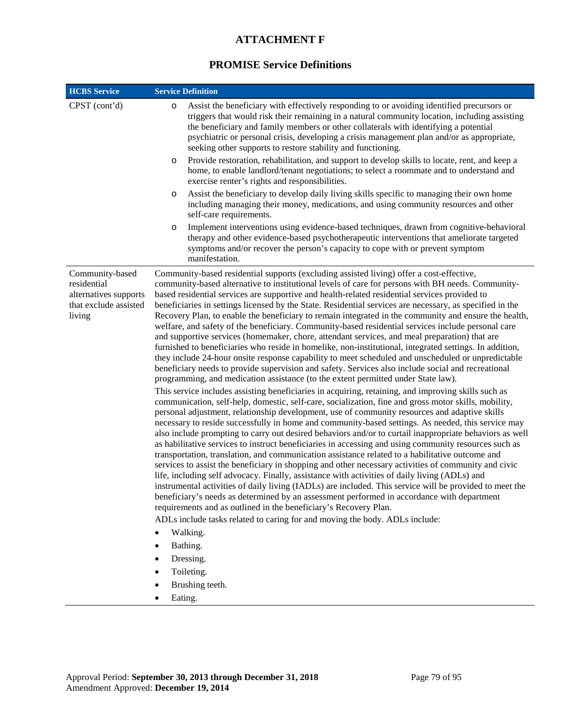| <b>HCBS</b> Service                                                                        | <b>Service Definition</b>                                                                                                                                                                                                                                                                                                                                                                                                                                                                                                                                                                                                                                                                                                                                                                                                                                                                                                                                                                                                                                                                                                                                                                                                                                                                                                                                                                                                                                                                                                                                                                                                                                                                                                                                                                                                                                                                                                                                                                                                                                                                                                                                                                                                                                                                                                                                                                                                                                                                                                                      |
|--------------------------------------------------------------------------------------------|------------------------------------------------------------------------------------------------------------------------------------------------------------------------------------------------------------------------------------------------------------------------------------------------------------------------------------------------------------------------------------------------------------------------------------------------------------------------------------------------------------------------------------------------------------------------------------------------------------------------------------------------------------------------------------------------------------------------------------------------------------------------------------------------------------------------------------------------------------------------------------------------------------------------------------------------------------------------------------------------------------------------------------------------------------------------------------------------------------------------------------------------------------------------------------------------------------------------------------------------------------------------------------------------------------------------------------------------------------------------------------------------------------------------------------------------------------------------------------------------------------------------------------------------------------------------------------------------------------------------------------------------------------------------------------------------------------------------------------------------------------------------------------------------------------------------------------------------------------------------------------------------------------------------------------------------------------------------------------------------------------------------------------------------------------------------------------------------------------------------------------------------------------------------------------------------------------------------------------------------------------------------------------------------------------------------------------------------------------------------------------------------------------------------------------------------------------------------------------------------------------------------------------------------|
| CPST (cont'd)                                                                              | Assist the beneficiary with effectively responding to or avoiding identified precursors or<br>$\circ$<br>triggers that would risk their remaining in a natural community location, including assisting<br>the beneficiary and family members or other collaterals with identifying a potential<br>psychiatric or personal crisis, developing a crisis management plan and/or as appropriate,<br>seeking other supports to restore stability and functioning.                                                                                                                                                                                                                                                                                                                                                                                                                                                                                                                                                                                                                                                                                                                                                                                                                                                                                                                                                                                                                                                                                                                                                                                                                                                                                                                                                                                                                                                                                                                                                                                                                                                                                                                                                                                                                                                                                                                                                                                                                                                                                   |
|                                                                                            | Provide restoration, rehabilitation, and support to develop skills to locate, rent, and keep a<br>$\circ$<br>home, to enable landlord/tenant negotiations; to select a roommate and to understand and<br>exercise renter's rights and responsibilities.                                                                                                                                                                                                                                                                                                                                                                                                                                                                                                                                                                                                                                                                                                                                                                                                                                                                                                                                                                                                                                                                                                                                                                                                                                                                                                                                                                                                                                                                                                                                                                                                                                                                                                                                                                                                                                                                                                                                                                                                                                                                                                                                                                                                                                                                                        |
|                                                                                            | Assist the beneficiary to develop daily living skills specific to managing their own home<br>O<br>including managing their money, medications, and using community resources and other<br>self-care requirements.                                                                                                                                                                                                                                                                                                                                                                                                                                                                                                                                                                                                                                                                                                                                                                                                                                                                                                                                                                                                                                                                                                                                                                                                                                                                                                                                                                                                                                                                                                                                                                                                                                                                                                                                                                                                                                                                                                                                                                                                                                                                                                                                                                                                                                                                                                                              |
|                                                                                            | Implement interventions using evidence-based techniques, drawn from cognitive-behavioral<br>$\circ$<br>therapy and other evidence-based psychotherapeutic interventions that ameliorate targeted<br>symptoms and/or recover the person's capacity to cope with or prevent symptom<br>manifestation.                                                                                                                                                                                                                                                                                                                                                                                                                                                                                                                                                                                                                                                                                                                                                                                                                                                                                                                                                                                                                                                                                                                                                                                                                                                                                                                                                                                                                                                                                                                                                                                                                                                                                                                                                                                                                                                                                                                                                                                                                                                                                                                                                                                                                                            |
| Community-based<br>residential<br>alternatives supports<br>that exclude assisted<br>living | Community-based residential supports (excluding assisted living) offer a cost-effective,<br>community-based alternative to institutional levels of care for persons with BH needs. Community-<br>based residential services are supportive and health-related residential services provided to<br>beneficiaries in settings licensed by the State. Residential services are necessary, as specified in the<br>Recovery Plan, to enable the beneficiary to remain integrated in the community and ensure the health,<br>welfare, and safety of the beneficiary. Community-based residential services include personal care<br>and supportive services (homemaker, chore, attendant services, and meal preparation) that are<br>furnished to beneficiaries who reside in homelike, non-institutional, integrated settings. In addition,<br>they include 24-hour onsite response capability to meet scheduled and unscheduled or unpredictable<br>beneficiary needs to provide supervision and safety. Services also include social and recreational<br>programming, and medication assistance (to the extent permitted under State law).<br>This service includes assisting beneficiaries in acquiring, retaining, and improving skills such as<br>communication, self-help, domestic, self-care, socialization, fine and gross motor skills, mobility,<br>personal adjustment, relationship development, use of community resources and adaptive skills<br>necessary to reside successfully in home and community-based settings. As needed, this service may<br>also include prompting to carry out desired behaviors and/or to curtail inappropriate behaviors as well<br>as habilitative services to instruct beneficiaries in accessing and using community resources such as<br>transportation, translation, and communication assistance related to a habilitative outcome and<br>services to assist the beneficiary in shopping and other necessary activities of community and civic<br>life, including self advocacy. Finally, assistance with activities of daily living (ADLs) and<br>instrumental activities of daily living (IADLs) are included. This service will be provided to meet the<br>beneficiary's needs as determined by an assessment performed in accordance with department<br>requirements and as outlined in the beneficiary's Recovery Plan.<br>ADLs include tasks related to caring for and moving the body. ADLs include:<br>Walking.<br>٠<br>Bathing.<br>Dressing.<br>Toileting.<br>Brushing teeth.<br>Eating. |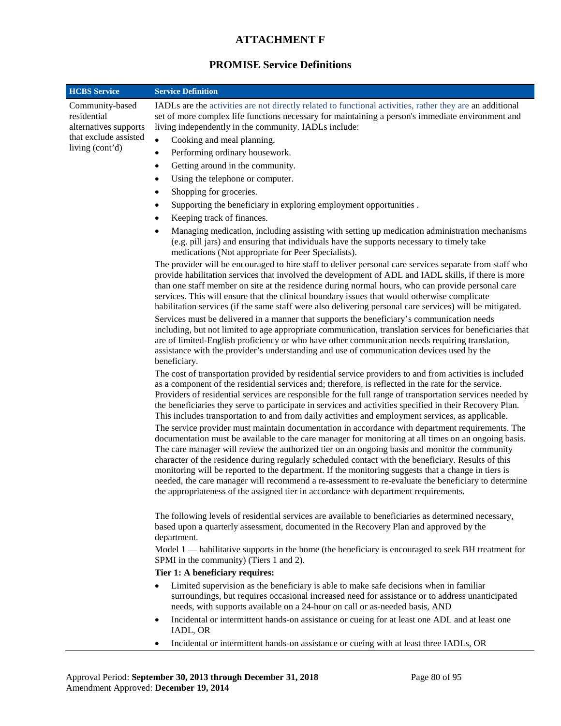| <b>HCBS</b> Service            | <b>Service Definition</b>                                                                                                                                                                                                                                                                                                                                                                                                                                                                                                                                                                                                                                                                                               |
|--------------------------------|-------------------------------------------------------------------------------------------------------------------------------------------------------------------------------------------------------------------------------------------------------------------------------------------------------------------------------------------------------------------------------------------------------------------------------------------------------------------------------------------------------------------------------------------------------------------------------------------------------------------------------------------------------------------------------------------------------------------------|
|                                |                                                                                                                                                                                                                                                                                                                                                                                                                                                                                                                                                                                                                                                                                                                         |
| Community-based<br>residential | IADLs are the activities are not directly related to functional activities, rather they are an additional<br>set of more complex life functions necessary for maintaining a person's immediate environment and                                                                                                                                                                                                                                                                                                                                                                                                                                                                                                          |
| alternatives supports          | living independently in the community. IADLs include:                                                                                                                                                                                                                                                                                                                                                                                                                                                                                                                                                                                                                                                                   |
| that exclude assisted          | Cooking and meal planning.                                                                                                                                                                                                                                                                                                                                                                                                                                                                                                                                                                                                                                                                                              |
| living (cont'd)                | Performing ordinary housework.<br>$\bullet$                                                                                                                                                                                                                                                                                                                                                                                                                                                                                                                                                                                                                                                                             |
|                                | Getting around in the community.<br>٠                                                                                                                                                                                                                                                                                                                                                                                                                                                                                                                                                                                                                                                                                   |
|                                | Using the telephone or computer.<br>٠                                                                                                                                                                                                                                                                                                                                                                                                                                                                                                                                                                                                                                                                                   |
|                                | Shopping for groceries.                                                                                                                                                                                                                                                                                                                                                                                                                                                                                                                                                                                                                                                                                                 |
|                                | Supporting the beneficiary in exploring employment opportunities.                                                                                                                                                                                                                                                                                                                                                                                                                                                                                                                                                                                                                                                       |
|                                | Keeping track of finances.                                                                                                                                                                                                                                                                                                                                                                                                                                                                                                                                                                                                                                                                                              |
|                                |                                                                                                                                                                                                                                                                                                                                                                                                                                                                                                                                                                                                                                                                                                                         |
|                                | Managing medication, including assisting with setting up medication administration mechanisms<br>٠<br>(e.g. pill jars) and ensuring that individuals have the supports necessary to timely take<br>medications (Not appropriate for Peer Specialists).                                                                                                                                                                                                                                                                                                                                                                                                                                                                  |
|                                | The provider will be encouraged to hire staff to deliver personal care services separate from staff who                                                                                                                                                                                                                                                                                                                                                                                                                                                                                                                                                                                                                 |
|                                | provide habilitation services that involved the development of ADL and IADL skills, if there is more<br>than one staff member on site at the residence during normal hours, who can provide personal care<br>services. This will ensure that the clinical boundary issues that would otherwise complicate<br>habilitation services (if the same staff were also delivering personal care services) will be mitigated.                                                                                                                                                                                                                                                                                                   |
|                                | Services must be delivered in a manner that supports the beneficiary's communication needs<br>including, but not limited to age appropriate communication, translation services for beneficiaries that<br>are of limited-English proficiency or who have other communication needs requiring translation,<br>assistance with the provider's understanding and use of communication devices used by the<br>beneficiary.                                                                                                                                                                                                                                                                                                  |
|                                | The cost of transportation provided by residential service providers to and from activities is included                                                                                                                                                                                                                                                                                                                                                                                                                                                                                                                                                                                                                 |
|                                | as a component of the residential services and; therefore, is reflected in the rate for the service.                                                                                                                                                                                                                                                                                                                                                                                                                                                                                                                                                                                                                    |
|                                | Providers of residential services are responsible for the full range of transportation services needed by<br>the beneficiaries they serve to participate in services and activities specified in their Recovery Plan.<br>This includes transportation to and from daily activities and employment services, as applicable.                                                                                                                                                                                                                                                                                                                                                                                              |
|                                | The service provider must maintain documentation in accordance with department requirements. The<br>documentation must be available to the care manager for monitoring at all times on an ongoing basis.<br>The care manager will review the authorized tier on an ongoing basis and monitor the community<br>character of the residence during regularly scheduled contact with the beneficiary. Results of this<br>monitoring will be reported to the department. If the monitoring suggests that a change in tiers is<br>needed, the care manager will recommend a re-assessment to re-evaluate the beneficiary to determine<br>the appropriateness of the assigned tier in accordance with department requirements. |
|                                | The following levels of residential services are available to beneficiaries as determined necessary,<br>based upon a quarterly assessment, documented in the Recovery Plan and approved by the<br>department.                                                                                                                                                                                                                                                                                                                                                                                                                                                                                                           |
|                                | Model 1 — habilitative supports in the home (the beneficiary is encouraged to seek BH treatment for<br>SPMI in the community) (Tiers 1 and 2).                                                                                                                                                                                                                                                                                                                                                                                                                                                                                                                                                                          |
|                                | Tier 1: A beneficiary requires:                                                                                                                                                                                                                                                                                                                                                                                                                                                                                                                                                                                                                                                                                         |
|                                | Limited supervision as the beneficiary is able to make safe decisions when in familiar<br>٠<br>surroundings, but requires occasional increased need for assistance or to address unanticipated<br>needs, with supports available on a 24-hour on call or as-needed basis, AND                                                                                                                                                                                                                                                                                                                                                                                                                                           |
|                                | Incidental or intermittent hands-on assistance or cueing for at least one ADL and at least one<br>٠<br>IADL, OR                                                                                                                                                                                                                                                                                                                                                                                                                                                                                                                                                                                                         |
|                                | Incidental or intermittent hands-on assistance or cueing with at least three IADLs, OR<br>٠                                                                                                                                                                                                                                                                                                                                                                                                                                                                                                                                                                                                                             |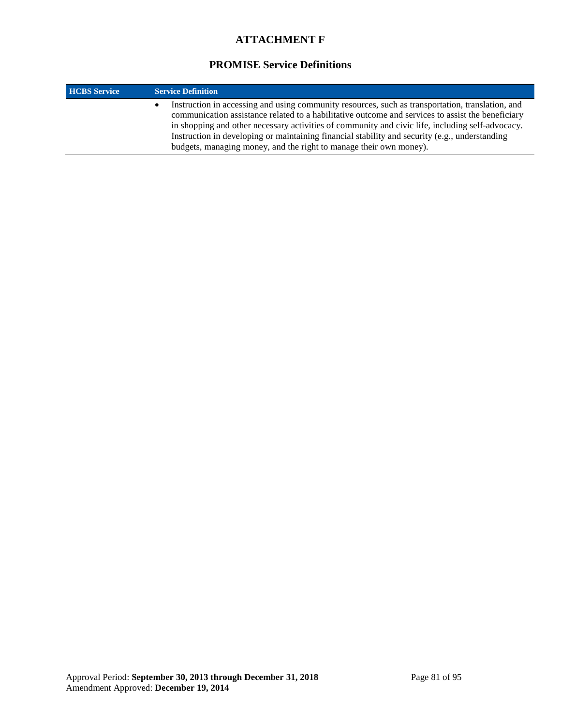| <b>HCBS</b> Service | <b>Service Definition</b>                                                                                                                                                                                                                                                                                                                                                                                                                                                         |
|---------------------|-----------------------------------------------------------------------------------------------------------------------------------------------------------------------------------------------------------------------------------------------------------------------------------------------------------------------------------------------------------------------------------------------------------------------------------------------------------------------------------|
|                     | Instruction in accessing and using community resources, such as transportation, translation, and<br>communication assistance related to a habilitative outcome and services to assist the beneficiary<br>in shopping and other necessary activities of community and civic life, including self-advocacy.<br>Instruction in developing or maintaining financial stability and security (e.g., understanding<br>budgets, managing money, and the right to manage their own money). |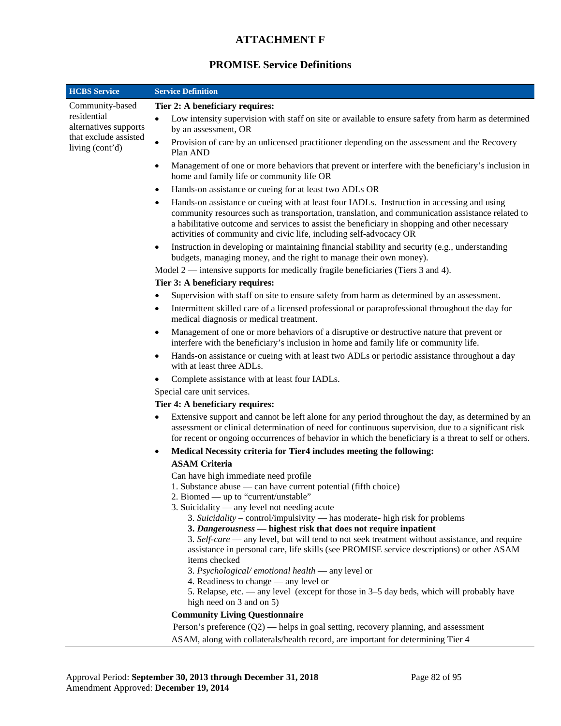| <b>HCBS</b> Service                      | <b>Service Definition</b>                                                                                                                                                                                                                                                                                                                                                  |
|------------------------------------------|----------------------------------------------------------------------------------------------------------------------------------------------------------------------------------------------------------------------------------------------------------------------------------------------------------------------------------------------------------------------------|
| Community-based                          | Tier 2: A beneficiary requires:                                                                                                                                                                                                                                                                                                                                            |
| residential<br>alternatives supports     | Low intensity supervision with staff on site or available to ensure safety from harm as determined<br>$\bullet$<br>by an assessment, OR                                                                                                                                                                                                                                    |
| that exclude assisted<br>living (cont'd) | $\bullet$<br>Provision of care by an unlicensed practitioner depending on the assessment and the Recovery<br>Plan AND                                                                                                                                                                                                                                                      |
|                                          | Management of one or more behaviors that prevent or interfere with the beneficiary's inclusion in<br>$\bullet$<br>home and family life or community life OR                                                                                                                                                                                                                |
|                                          | Hands-on assistance or cueing for at least two ADLs OR<br>$\bullet$                                                                                                                                                                                                                                                                                                        |
|                                          | Hands-on assistance or cueing with at least four IADLs. Instruction in accessing and using<br>٠<br>community resources such as transportation, translation, and communication assistance related to<br>a habilitative outcome and services to assist the beneficiary in shopping and other necessary<br>activities of community and civic life, including self-advocacy OR |
|                                          | Instruction in developing or maintaining financial stability and security (e.g., understanding<br>$\bullet$<br>budgets, managing money, and the right to manage their own money).                                                                                                                                                                                          |
|                                          | Model $2$ — intensive supports for medically fragile beneficiaries (Tiers 3 and 4).                                                                                                                                                                                                                                                                                        |
|                                          | Tier 3: A beneficiary requires:                                                                                                                                                                                                                                                                                                                                            |
|                                          | Supervision with staff on site to ensure safety from harm as determined by an assessment.<br>$\bullet$                                                                                                                                                                                                                                                                     |
|                                          | Intermittent skilled care of a licensed professional or paraprofessional throughout the day for<br>٠<br>medical diagnosis or medical treatment.                                                                                                                                                                                                                            |
|                                          | Management of one or more behaviors of a disruptive or destructive nature that prevent or<br>$\bullet$<br>interfere with the beneficiary's inclusion in home and family life or community life.                                                                                                                                                                            |
|                                          | Hands-on assistance or cueing with at least two ADLs or periodic assistance throughout a day<br>$\bullet$<br>with at least three ADLs.                                                                                                                                                                                                                                     |
|                                          | Complete assistance with at least four IADLs.<br>٠                                                                                                                                                                                                                                                                                                                         |
|                                          | Special care unit services.                                                                                                                                                                                                                                                                                                                                                |
|                                          | Tier 4: A beneficiary requires:                                                                                                                                                                                                                                                                                                                                            |
|                                          | Extensive support and cannot be left alone for any period throughout the day, as determined by an<br>assessment or clinical determination of need for continuous supervision, due to a significant risk<br>for recent or ongoing occurrences of behavior in which the beneficiary is a threat to self or others.                                                           |
|                                          | Medical Necessity criteria for Tier4 includes meeting the following:<br>٠                                                                                                                                                                                                                                                                                                  |
|                                          | <b>ASAM Criteria</b>                                                                                                                                                                                                                                                                                                                                                       |
|                                          | Can have high immediate need profile<br>1. Substance abuse — can have current potential (fifth choice)<br>2. Biomed — up to "current/unstable"                                                                                                                                                                                                                             |
|                                          | 3. Suicidality — any level not needing acute<br>3. Suicidality – control/impulsivity — has moderate- high risk for problems                                                                                                                                                                                                                                                |
|                                          | 3. Dangerousness — highest risk that does not require inpatient<br>3. Self-care — any level, but will tend to not seek treatment without assistance, and require<br>assistance in personal care, life skills (see PROMISE service descriptions) or other ASAM<br>items checked                                                                                             |
|                                          | 3. Psychological/emotional health — any level or                                                                                                                                                                                                                                                                                                                           |
|                                          | 4. Readiness to change — any level or                                                                                                                                                                                                                                                                                                                                      |
|                                          | 5. Relapse, etc. — any level (except for those in 3–5 day beds, which will probably have<br>high need on 3 and on 5)                                                                                                                                                                                                                                                       |
|                                          | <b>Community Living Questionnaire</b>                                                                                                                                                                                                                                                                                                                                      |
|                                          | Person's preference $(Q2)$ — helps in goal setting, recovery planning, and assessment                                                                                                                                                                                                                                                                                      |
|                                          | ASAM, along with collaterals/health record, are important for determining Tier 4                                                                                                                                                                                                                                                                                           |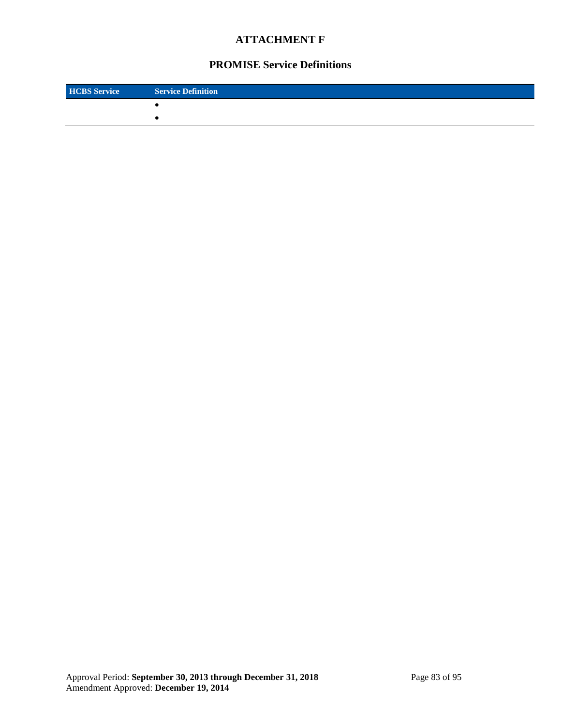| <b>HCBS</b> Service | <b>Service Definition</b> |  |
|---------------------|---------------------------|--|
|                     |                           |  |
|                     |                           |  |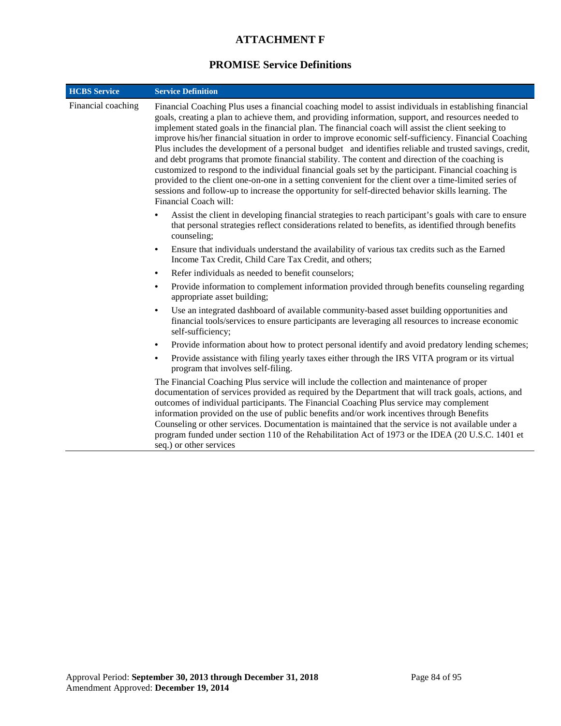| <b>HCBS</b> Service | <b>Service Definition</b>                                                                                                                                                                                                                                                                                                                                                                                                                                                                                                                                                                                                                                                                                                                                                                                                                                                                                                                                                                       |
|---------------------|-------------------------------------------------------------------------------------------------------------------------------------------------------------------------------------------------------------------------------------------------------------------------------------------------------------------------------------------------------------------------------------------------------------------------------------------------------------------------------------------------------------------------------------------------------------------------------------------------------------------------------------------------------------------------------------------------------------------------------------------------------------------------------------------------------------------------------------------------------------------------------------------------------------------------------------------------------------------------------------------------|
| Financial coaching  | Financial Coaching Plus uses a financial coaching model to assist individuals in establishing financial<br>goals, creating a plan to achieve them, and providing information, support, and resources needed to<br>implement stated goals in the financial plan. The financial coach will assist the client seeking to<br>improve his/her financial situation in order to improve economic self-sufficiency. Financial Coaching<br>Plus includes the development of a personal budget and identifies reliable and trusted savings, credit,<br>and debt programs that promote financial stability. The content and direction of the coaching is<br>customized to respond to the individual financial goals set by the participant. Financial coaching is<br>provided to the client one-on-one in a setting convenient for the client over a time-limited series of<br>sessions and follow-up to increase the opportunity for self-directed behavior skills learning. The<br>Financial Coach will: |
|                     | Assist the client in developing financial strategies to reach participant's goals with care to ensure<br>$\bullet$<br>that personal strategies reflect considerations related to benefits, as identified through benefits<br>counseling;                                                                                                                                                                                                                                                                                                                                                                                                                                                                                                                                                                                                                                                                                                                                                        |
|                     | Ensure that individuals understand the availability of various tax credits such as the Earned<br>$\bullet$<br>Income Tax Credit, Child Care Tax Credit, and others;                                                                                                                                                                                                                                                                                                                                                                                                                                                                                                                                                                                                                                                                                                                                                                                                                             |
|                     | Refer individuals as needed to benefit counselors;<br>$\bullet$                                                                                                                                                                                                                                                                                                                                                                                                                                                                                                                                                                                                                                                                                                                                                                                                                                                                                                                                 |
|                     | Provide information to complement information provided through benefits counseling regarding<br>$\bullet$<br>appropriate asset building;                                                                                                                                                                                                                                                                                                                                                                                                                                                                                                                                                                                                                                                                                                                                                                                                                                                        |
|                     | Use an integrated dashboard of available community-based asset building opportunities and<br>$\bullet$<br>financial tools/services to ensure participants are leveraging all resources to increase economic<br>self-sufficiency;                                                                                                                                                                                                                                                                                                                                                                                                                                                                                                                                                                                                                                                                                                                                                                |
|                     | Provide information about how to protect personal identify and avoid predatory lending schemes;<br>٠                                                                                                                                                                                                                                                                                                                                                                                                                                                                                                                                                                                                                                                                                                                                                                                                                                                                                            |
|                     | Provide assistance with filing yearly taxes either through the IRS VITA program or its virtual<br>$\bullet$<br>program that involves self-filing.                                                                                                                                                                                                                                                                                                                                                                                                                                                                                                                                                                                                                                                                                                                                                                                                                                               |
|                     | The Financial Coaching Plus service will include the collection and maintenance of proper<br>documentation of services provided as required by the Department that will track goals, actions, and<br>outcomes of individual participants. The Financial Coaching Plus service may complement<br>information provided on the use of public benefits and/or work incentives through Benefits<br>Counseling or other services. Documentation is maintained that the service is not available under a<br>program funded under section 110 of the Rehabilitation Act of 1973 or the IDEA (20 U.S.C. 1401 et<br>seq.) or other services                                                                                                                                                                                                                                                                                                                                                               |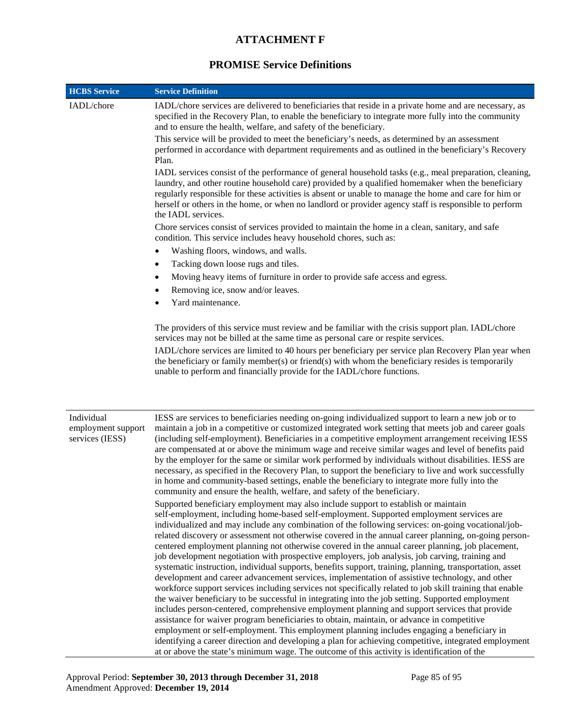| <b>HCBS</b> Service                                 | <b>Service Definition</b>                                                                                                                                                                                                                                                                                                                                                                                                                                                                                                                                                                                                                                                                                                                                                                                                                                                                                                                                                                                                                                                                                                                                                                                                                                                                                                                                                                                                                                                                                                                                                                                                                                                                                                                                                                                                                                                                                                                                                                                                                                                                                                                                                                                                                                                                                                                                         |
|-----------------------------------------------------|-------------------------------------------------------------------------------------------------------------------------------------------------------------------------------------------------------------------------------------------------------------------------------------------------------------------------------------------------------------------------------------------------------------------------------------------------------------------------------------------------------------------------------------------------------------------------------------------------------------------------------------------------------------------------------------------------------------------------------------------------------------------------------------------------------------------------------------------------------------------------------------------------------------------------------------------------------------------------------------------------------------------------------------------------------------------------------------------------------------------------------------------------------------------------------------------------------------------------------------------------------------------------------------------------------------------------------------------------------------------------------------------------------------------------------------------------------------------------------------------------------------------------------------------------------------------------------------------------------------------------------------------------------------------------------------------------------------------------------------------------------------------------------------------------------------------------------------------------------------------------------------------------------------------------------------------------------------------------------------------------------------------------------------------------------------------------------------------------------------------------------------------------------------------------------------------------------------------------------------------------------------------------------------------------------------------------------------------------------------------|
| IADL/chore                                          | IADL/chore services are delivered to beneficiaries that reside in a private home and are necessary, as<br>specified in the Recovery Plan, to enable the beneficiary to integrate more fully into the community<br>and to ensure the health, welfare, and safety of the beneficiary.<br>This service will be provided to meet the beneficiary's needs, as determined by an assessment<br>performed in accordance with department requirements and as outlined in the beneficiary's Recovery<br>Plan.<br>IADL services consist of the performance of general household tasks (e.g., meal preparation, cleaning,<br>laundry, and other routine household care) provided by a qualified homemaker when the beneficiary<br>regularly responsible for these activities is absent or unable to manage the home and care for him or<br>herself or others in the home, or when no landlord or provider agency staff is responsible to perform<br>the IADL services.<br>Chore services consist of services provided to maintain the home in a clean, sanitary, and safe<br>condition. This service includes heavy household chores, such as:<br>Washing floors, windows, and walls.<br>$\bullet$<br>Tacking down loose rugs and tiles.<br>$\bullet$<br>Moving heavy items of furniture in order to provide safe access and egress.<br>٠<br>Removing ice, snow and/or leaves.<br>٠<br>Yard maintenance.<br>The providers of this service must review and be familiar with the crisis support plan. IADL/chore<br>services may not be billed at the same time as personal care or respite services.<br>IADL/chore services are limited to 40 hours per beneficiary per service plan Recovery Plan year when<br>the beneficiary or family member(s) or friend(s) with whom the beneficiary resides is temporarily<br>unable to perform and financially provide for the IADL/chore functions.                                                                                                                                                                                                                                                                                                                                                                                                                                                                                   |
| Individual<br>employment support<br>services (IESS) | IESS are services to beneficiaries needing on-going individualized support to learn a new job or to<br>maintain a job in a competitive or customized integrated work setting that meets job and career goals<br>(including self-employment). Beneficiaries in a competitive employment arrangement receiving IESS<br>are compensated at or above the minimum wage and receive similar wages and level of benefits paid<br>by the employer for the same or similar work performed by individuals without disabilities. IESS are<br>necessary, as specified in the Recovery Plan, to support the beneficiary to live and work successfully<br>in home and community-based settings, enable the beneficiary to integrate more fully into the<br>community and ensure the health, welfare, and safety of the beneficiary.<br>Supported beneficiary employment may also include support to establish or maintain<br>self-employment, including home-based self-employment. Supported employment services are<br>individualized and may include any combination of the following services: on-going vocational/job-<br>related discovery or assessment not otherwise covered in the annual career planning, on-going person-<br>centered employment planning not otherwise covered in the annual career planning, job placement,<br>job development negotiation with prospective employers, job analysis, job carving, training and<br>systematic instruction, individual supports, benefits support, training, planning, transportation, asset<br>development and career advancement services, implementation of assistive technology, and other<br>workforce support services including services not specifically related to job skill training that enable<br>the waiver beneficiary to be successful in integrating into the job setting. Supported employment<br>includes person-centered, comprehensive employment planning and support services that provide<br>assistance for waiver program beneficiaries to obtain, maintain, or advance in competitive<br>employment or self-employment. This employment planning includes engaging a beneficiary in<br>identifying a career direction and developing a plan for achieving competitive, integrated employment<br>at or above the state's minimum wage. The outcome of this activity is identification of the |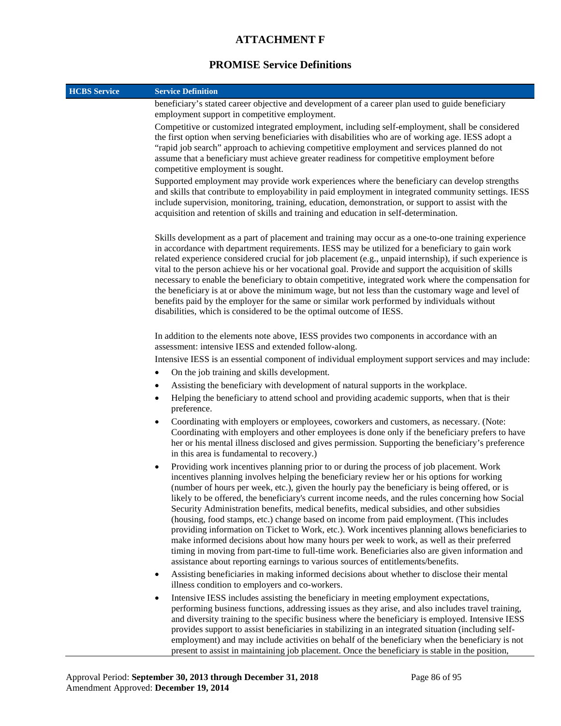### **PROMISE Service Definitions**

| <b>HCBS</b> Service | <b>Service Definition</b>                                                                                                                                                                                                                                                                                                                                                                                                                                                                                                                                                                                                                                                                                                                                                                                                                                                                                                                                                            |
|---------------------|--------------------------------------------------------------------------------------------------------------------------------------------------------------------------------------------------------------------------------------------------------------------------------------------------------------------------------------------------------------------------------------------------------------------------------------------------------------------------------------------------------------------------------------------------------------------------------------------------------------------------------------------------------------------------------------------------------------------------------------------------------------------------------------------------------------------------------------------------------------------------------------------------------------------------------------------------------------------------------------|
|                     | beneficiary's stated career objective and development of a career plan used to guide beneficiary<br>employment support in competitive employment.                                                                                                                                                                                                                                                                                                                                                                                                                                                                                                                                                                                                                                                                                                                                                                                                                                    |
|                     | Competitive or customized integrated employment, including self-employment, shall be considered<br>the first option when serving beneficiaries with disabilities who are of working age. IESS adopt a<br>"rapid job search" approach to achieving competitive employment and services planned do not<br>assume that a beneficiary must achieve greater readiness for competitive employment before<br>competitive employment is sought.                                                                                                                                                                                                                                                                                                                                                                                                                                                                                                                                              |
|                     | Supported employment may provide work experiences where the beneficiary can develop strengths<br>and skills that contribute to employability in paid employment in integrated community settings. IESS<br>include supervision, monitoring, training, education, demonstration, or support to assist with the<br>acquisition and retention of skills and training and education in self-determination.                                                                                                                                                                                                                                                                                                                                                                                                                                                                                                                                                                                |
|                     | Skills development as a part of placement and training may occur as a one-to-one training experience<br>in accordance with department requirements. IESS may be utilized for a beneficiary to gain work<br>related experience considered crucial for job placement (e.g., unpaid internship), if such experience is<br>vital to the person achieve his or her vocational goal. Provide and support the acquisition of skills<br>necessary to enable the beneficiary to obtain competitive, integrated work where the compensation for<br>the beneficiary is at or above the minimum wage, but not less than the customary wage and level of<br>benefits paid by the employer for the same or similar work performed by individuals without<br>disabilities, which is considered to be the optimal outcome of IESS.                                                                                                                                                                   |
|                     | In addition to the elements note above, IESS provides two components in accordance with an<br>assessment: intensive IESS and extended follow-along.                                                                                                                                                                                                                                                                                                                                                                                                                                                                                                                                                                                                                                                                                                                                                                                                                                  |
|                     | Intensive IESS is an essential component of individual employment support services and may include:                                                                                                                                                                                                                                                                                                                                                                                                                                                                                                                                                                                                                                                                                                                                                                                                                                                                                  |
|                     | On the job training and skills development.<br>$\bullet$                                                                                                                                                                                                                                                                                                                                                                                                                                                                                                                                                                                                                                                                                                                                                                                                                                                                                                                             |
|                     | Assisting the beneficiary with development of natural supports in the workplace.<br>٠                                                                                                                                                                                                                                                                                                                                                                                                                                                                                                                                                                                                                                                                                                                                                                                                                                                                                                |
|                     | Helping the beneficiary to attend school and providing academic supports, when that is their<br>$\bullet$<br>preference.                                                                                                                                                                                                                                                                                                                                                                                                                                                                                                                                                                                                                                                                                                                                                                                                                                                             |
|                     | Coordinating with employers or employees, coworkers and customers, as necessary. (Note:<br>Coordinating with employers and other employees is done only if the beneficiary prefers to have<br>her or his mental illness disclosed and gives permission. Supporting the beneficiary's preference<br>in this area is fundamental to recovery.)                                                                                                                                                                                                                                                                                                                                                                                                                                                                                                                                                                                                                                         |
|                     | Providing work incentives planning prior to or during the process of job placement. Work<br>٠<br>incentives planning involves helping the beneficiary review her or his options for working<br>(number of hours per week, etc.), given the hourly pay the beneficiary is being offered, or is<br>likely to be offered, the beneficiary's current income needs, and the rules concerning how Social<br>Security Administration benefits, medical benefits, medical subsidies, and other subsidies<br>(housing, food stamps, etc.) change based on income from paid employment. (This includes<br>providing information on Ticket to Work, etc.). Work incentives planning allows beneficiaries to<br>make informed decisions about how many hours per week to work, as well as their preferred<br>timing in moving from part-time to full-time work. Beneficiaries also are given information and<br>assistance about reporting earnings to various sources of entitlements/benefits. |
|                     | Assisting beneficiaries in making informed decisions about whether to disclose their mental<br>٠<br>illness condition to employers and co-workers.                                                                                                                                                                                                                                                                                                                                                                                                                                                                                                                                                                                                                                                                                                                                                                                                                                   |
|                     | Intensive IESS includes assisting the beneficiary in meeting employment expectations,<br>٠<br>performing business functions, addressing issues as they arise, and also includes travel training,<br>and diversity training to the specific business where the beneficiary is employed. Intensive IESS<br>provides support to assist beneficiaries in stabilizing in an integrated situation (including self-<br>employment) and may include activities on behalf of the beneficiary when the beneficiary is not                                                                                                                                                                                                                                                                                                                                                                                                                                                                      |

present to assist in maintaining job placement. Once the beneficiary is stable in the position,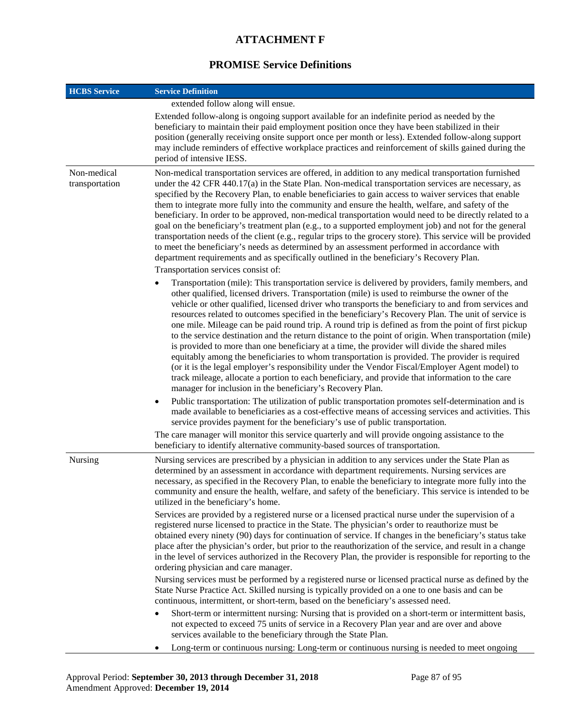| <b>HCBS</b> Service | <b>Service Definition</b>                                                                                                                                                                                                                                                                                                                                                                                                                                                                                                                                                                                                                                                                                                                                                                                                                                                                                                                                                                                                                                                                                          |
|---------------------|--------------------------------------------------------------------------------------------------------------------------------------------------------------------------------------------------------------------------------------------------------------------------------------------------------------------------------------------------------------------------------------------------------------------------------------------------------------------------------------------------------------------------------------------------------------------------------------------------------------------------------------------------------------------------------------------------------------------------------------------------------------------------------------------------------------------------------------------------------------------------------------------------------------------------------------------------------------------------------------------------------------------------------------------------------------------------------------------------------------------|
|                     | extended follow along will ensue.                                                                                                                                                                                                                                                                                                                                                                                                                                                                                                                                                                                                                                                                                                                                                                                                                                                                                                                                                                                                                                                                                  |
|                     | Extended follow-along is ongoing support available for an indefinite period as needed by the<br>beneficiary to maintain their paid employment position once they have been stabilized in their<br>position (generally receiving onsite support once per month or less). Extended follow-along support<br>may include reminders of effective workplace practices and reinforcement of skills gained during the<br>period of intensive IESS.                                                                                                                                                                                                                                                                                                                                                                                                                                                                                                                                                                                                                                                                         |
| Non-medical         | Non-medical transportation services are offered, in addition to any medical transportation furnished                                                                                                                                                                                                                                                                                                                                                                                                                                                                                                                                                                                                                                                                                                                                                                                                                                                                                                                                                                                                               |
| transportation      | under the 42 CFR 440.17(a) in the State Plan. Non-medical transportation services are necessary, as<br>specified by the Recovery Plan, to enable beneficiaries to gain access to waiver services that enable<br>them to integrate more fully into the community and ensure the health, welfare, and safety of the<br>beneficiary. In order to be approved, non-medical transportation would need to be directly related to a<br>goal on the beneficiary's treatment plan (e.g., to a supported employment job) and not for the general<br>transportation needs of the client (e.g., regular trips to the grocery store). This service will be provided<br>to meet the beneficiary's needs as determined by an assessment performed in accordance with<br>department requirements and as specifically outlined in the beneficiary's Recovery Plan.<br>Transportation services consist of:                                                                                                                                                                                                                           |
|                     | Transportation (mile): This transportation service is delivered by providers, family members, and<br>$\bullet$<br>other qualified, licensed drivers. Transportation (mile) is used to reimburse the owner of the<br>vehicle or other qualified, licensed driver who transports the beneficiary to and from services and<br>resources related to outcomes specified in the beneficiary's Recovery Plan. The unit of service is<br>one mile. Mileage can be paid round trip. A round trip is defined as from the point of first pickup<br>to the service destination and the return distance to the point of origin. When transportation (mile)<br>is provided to more than one beneficiary at a time, the provider will divide the shared miles<br>equitably among the beneficiaries to whom transportation is provided. The provider is required<br>(or it is the legal employer's responsibility under the Vendor Fiscal/Employer Agent model) to<br>track mileage, allocate a portion to each beneficiary, and provide that information to the care<br>manager for inclusion in the beneficiary's Recovery Plan. |
|                     | Public transportation: The utilization of public transportation promotes self-determination and is<br>٠<br>made available to beneficiaries as a cost-effective means of accessing services and activities. This<br>service provides payment for the beneficiary's use of public transportation.<br>The care manager will monitor this service quarterly and will provide ongoing assistance to the<br>beneficiary to identify alternative community-based sources of transportation.                                                                                                                                                                                                                                                                                                                                                                                                                                                                                                                                                                                                                               |
| Nursing             | Nursing services are prescribed by a physician in addition to any services under the State Plan as<br>determined by an assessment in accordance with department requirements. Nursing services are<br>necessary, as specified in the Recovery Plan, to enable the beneficiary to integrate more fully into the<br>community and ensure the health, welfare, and safety of the beneficiary. This service is intended to be<br>utilized in the beneficiary's home.                                                                                                                                                                                                                                                                                                                                                                                                                                                                                                                                                                                                                                                   |
|                     | Services are provided by a registered nurse or a licensed practical nurse under the supervision of a<br>registered nurse licensed to practice in the State. The physician's order to reauthorize must be<br>obtained every ninety (90) days for continuation of service. If changes in the beneficiary's status take<br>place after the physician's order, but prior to the reauthorization of the service, and result in a change<br>in the level of services authorized in the Recovery Plan, the provider is responsible for reporting to the<br>ordering physician and care manager.                                                                                                                                                                                                                                                                                                                                                                                                                                                                                                                           |
|                     | Nursing services must be performed by a registered nurse or licensed practical nurse as defined by the<br>State Nurse Practice Act. Skilled nursing is typically provided on a one to one basis and can be<br>continuous, intermittent, or short-term, based on the beneficiary's assessed need.                                                                                                                                                                                                                                                                                                                                                                                                                                                                                                                                                                                                                                                                                                                                                                                                                   |
|                     | Short-term or intermittent nursing: Nursing that is provided on a short-term or intermittent basis,<br>not expected to exceed 75 units of service in a Recovery Plan year and are over and above<br>services available to the beneficiary through the State Plan.                                                                                                                                                                                                                                                                                                                                                                                                                                                                                                                                                                                                                                                                                                                                                                                                                                                  |
|                     | Long-term or continuous nursing: Long-term or continuous nursing is needed to meet ongoing<br>٠                                                                                                                                                                                                                                                                                                                                                                                                                                                                                                                                                                                                                                                                                                                                                                                                                                                                                                                                                                                                                    |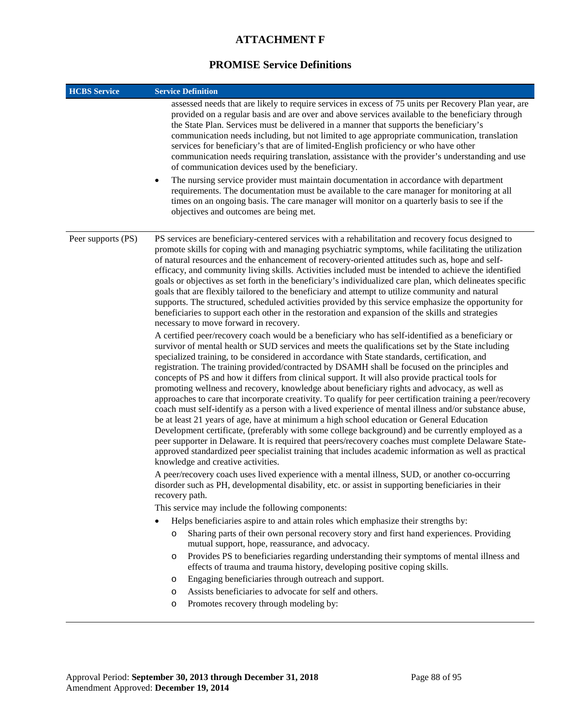| <b>HCBS</b> Service | <b>Service Definition</b>                                                                                                                                                                                                                                                                                                                                                                                                                                                                                                                                                                                                                                                                                                                                                                                                                                                                                                                                                                                                                                                                                                                                                                                                                                                                                                                                                                                                                                                                                                                                                                                                                                                                                                                                                                                                                                                                                                                                                                                                                                                                                                                                                                                                                                                                                                                                                                                                                                                                                                                                                                                                                                                                                                                                                                                                                                                                                                                                                                                                                                                                              |
|---------------------|--------------------------------------------------------------------------------------------------------------------------------------------------------------------------------------------------------------------------------------------------------------------------------------------------------------------------------------------------------------------------------------------------------------------------------------------------------------------------------------------------------------------------------------------------------------------------------------------------------------------------------------------------------------------------------------------------------------------------------------------------------------------------------------------------------------------------------------------------------------------------------------------------------------------------------------------------------------------------------------------------------------------------------------------------------------------------------------------------------------------------------------------------------------------------------------------------------------------------------------------------------------------------------------------------------------------------------------------------------------------------------------------------------------------------------------------------------------------------------------------------------------------------------------------------------------------------------------------------------------------------------------------------------------------------------------------------------------------------------------------------------------------------------------------------------------------------------------------------------------------------------------------------------------------------------------------------------------------------------------------------------------------------------------------------------------------------------------------------------------------------------------------------------------------------------------------------------------------------------------------------------------------------------------------------------------------------------------------------------------------------------------------------------------------------------------------------------------------------------------------------------------------------------------------------------------------------------------------------------------------------------------------------------------------------------------------------------------------------------------------------------------------------------------------------------------------------------------------------------------------------------------------------------------------------------------------------------------------------------------------------------------------------------------------------------------------------------------------------------|
|                     | assessed needs that are likely to require services in excess of 75 units per Recovery Plan year, are<br>provided on a regular basis and are over and above services available to the beneficiary through<br>the State Plan. Services must be delivered in a manner that supports the beneficiary's<br>communication needs including, but not limited to age appropriate communication, translation<br>services for beneficiary's that are of limited-English proficiency or who have other<br>communication needs requiring translation, assistance with the provider's understanding and use<br>of communication devices used by the beneficiary.<br>The nursing service provider must maintain documentation in accordance with department<br>٠<br>requirements. The documentation must be available to the care manager for monitoring at all<br>times on an ongoing basis. The care manager will monitor on a quarterly basis to see if the<br>objectives and outcomes are being met.                                                                                                                                                                                                                                                                                                                                                                                                                                                                                                                                                                                                                                                                                                                                                                                                                                                                                                                                                                                                                                                                                                                                                                                                                                                                                                                                                                                                                                                                                                                                                                                                                                                                                                                                                                                                                                                                                                                                                                                                                                                                                                              |
| Peer supports (PS)  | PS services are beneficiary-centered services with a rehabilitation and recovery focus designed to<br>promote skills for coping with and managing psychiatric symptoms, while facilitating the utilization<br>of natural resources and the enhancement of recovery-oriented attitudes such as, hope and self-<br>efficacy, and community living skills. Activities included must be intended to achieve the identified<br>goals or objectives as set forth in the beneficiary's individualized care plan, which delineates specific<br>goals that are flexibly tailored to the beneficiary and attempt to utilize community and natural<br>supports. The structured, scheduled activities provided by this service emphasize the opportunity for<br>beneficiaries to support each other in the restoration and expansion of the skills and strategies<br>necessary to move forward in recovery.<br>A certified peer/recovery coach would be a beneficiary who has self-identified as a beneficiary or<br>survivor of mental health or SUD services and meets the qualifications set by the State including<br>specialized training, to be considered in accordance with State standards, certification, and<br>registration. The training provided/contracted by DSAMH shall be focused on the principles and<br>concepts of PS and how it differs from clinical support. It will also provide practical tools for<br>promoting wellness and recovery, knowledge about beneficiary rights and advocacy, as well as<br>approaches to care that incorporate creativity. To qualify for peer certification training a peer/recovery<br>coach must self-identify as a person with a lived experience of mental illness and/or substance abuse,<br>be at least 21 years of age, have at minimum a high school education or General Education<br>Development certificate, (preferably with some college background) and be currently employed as a<br>peer supporter in Delaware. It is required that peers/recovery coaches must complete Delaware State-<br>approved standardized peer specialist training that includes academic information as well as practical<br>knowledge and creative activities.<br>A peer/recovery coach uses lived experience with a mental illness, SUD, or another co-occurring<br>disorder such as PH, developmental disability, etc. or assist in supporting beneficiaries in their<br>recovery path.<br>This service may include the following components:<br>Helps beneficiaries aspire to and attain roles which emphasize their strengths by:<br>$\bullet$<br>Sharing parts of their own personal recovery story and first hand experiences. Providing<br>O<br>mutual support, hope, reassurance, and advocacy.<br>Provides PS to beneficiaries regarding understanding their symptoms of mental illness and<br>O<br>effects of trauma and trauma history, developing positive coping skills.<br>Engaging beneficiaries through outreach and support.<br>O<br>Assists beneficiaries to advocate for self and others.<br>O<br>Promotes recovery through modeling by:<br>O |
|                     |                                                                                                                                                                                                                                                                                                                                                                                                                                                                                                                                                                                                                                                                                                                                                                                                                                                                                                                                                                                                                                                                                                                                                                                                                                                                                                                                                                                                                                                                                                                                                                                                                                                                                                                                                                                                                                                                                                                                                                                                                                                                                                                                                                                                                                                                                                                                                                                                                                                                                                                                                                                                                                                                                                                                                                                                                                                                                                                                                                                                                                                                                                        |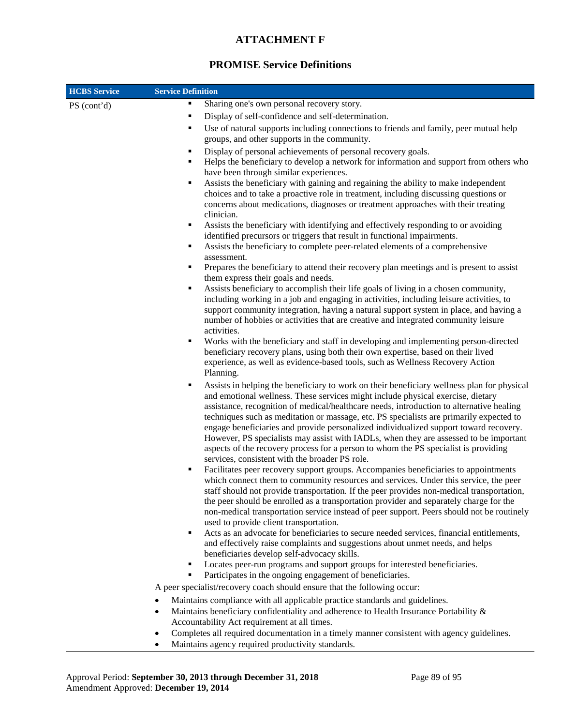| <b>HCBS</b> Service | <b>Service Definition</b>                                                                                                                                                                                                                                                                                                                                                                                                                                                                                                                                                                                                                                                                            |
|---------------------|------------------------------------------------------------------------------------------------------------------------------------------------------------------------------------------------------------------------------------------------------------------------------------------------------------------------------------------------------------------------------------------------------------------------------------------------------------------------------------------------------------------------------------------------------------------------------------------------------------------------------------------------------------------------------------------------------|
| PS (cont'd)         | Sharing one's own personal recovery story.                                                                                                                                                                                                                                                                                                                                                                                                                                                                                                                                                                                                                                                           |
|                     | Display of self-confidence and self-determination.<br>٠                                                                                                                                                                                                                                                                                                                                                                                                                                                                                                                                                                                                                                              |
|                     | Use of natural supports including connections to friends and family, peer mutual help<br>٠<br>groups, and other supports in the community.                                                                                                                                                                                                                                                                                                                                                                                                                                                                                                                                                           |
|                     | Display of personal achievements of personal recovery goals.<br>Helps the beneficiary to develop a network for information and support from others who<br>have been through similar experiences.<br>Assists the beneficiary with gaining and regaining the ability to make independent<br>٠<br>choices and to take a proactive role in treatment, including discussing questions or<br>concerns about medications, diagnoses or treatment approaches with their treating<br>clinician.                                                                                                                                                                                                               |
|                     | Assists the beneficiary with identifying and effectively responding to or avoiding<br>٠<br>identified precursors or triggers that result in functional impairments.                                                                                                                                                                                                                                                                                                                                                                                                                                                                                                                                  |
|                     | Assists the beneficiary to complete peer-related elements of a comprehensive<br>п                                                                                                                                                                                                                                                                                                                                                                                                                                                                                                                                                                                                                    |
|                     | assessment.<br>Prepares the beneficiary to attend their recovery plan meetings and is present to assist<br>them express their goals and needs.                                                                                                                                                                                                                                                                                                                                                                                                                                                                                                                                                       |
|                     | Assists beneficiary to accomplish their life goals of living in a chosen community,<br>٠<br>including working in a job and engaging in activities, including leisure activities, to<br>support community integration, having a natural support system in place, and having a<br>number of hobbies or activities that are creative and integrated community leisure<br>activities.                                                                                                                                                                                                                                                                                                                    |
|                     | Works with the beneficiary and staff in developing and implementing person-directed<br>٠<br>beneficiary recovery plans, using both their own expertise, based on their lived<br>experience, as well as evidence-based tools, such as Wellness Recovery Action<br>Planning.                                                                                                                                                                                                                                                                                                                                                                                                                           |
|                     | Assists in helping the beneficiary to work on their beneficiary wellness plan for physical<br>٠<br>and emotional wellness. These services might include physical exercise, dietary<br>assistance, recognition of medical/healthcare needs, introduction to alternative healing<br>techniques such as meditation or massage, etc. PS specialists are primarily expected to<br>engage beneficiaries and provide personalized individualized support toward recovery.<br>However, PS specialists may assist with IADLs, when they are assessed to be important<br>aspects of the recovery process for a person to whom the PS specialist is providing<br>services, consistent with the broader PS role. |
|                     | Facilitates peer recovery support groups. Accompanies beneficiaries to appointments<br>٠<br>which connect them to community resources and services. Under this service, the peer<br>staff should not provide transportation. If the peer provides non-medical transportation,<br>the peer should be enrolled as a transportation provider and separately charge for the<br>non-medical transportation service instead of peer support. Peers should not be routinely<br>used to provide client transportation.                                                                                                                                                                                       |
|                     | Acts as an advocate for beneficiaries to secure needed services, financial entitlements,<br>and effectively raise complaints and suggestions about unmet needs, and helps<br>beneficiaries develop self-advocacy skills.                                                                                                                                                                                                                                                                                                                                                                                                                                                                             |
|                     | Locates peer-run programs and support groups for interested beneficiaries.<br>Participates in the ongoing engagement of beneficiaries.                                                                                                                                                                                                                                                                                                                                                                                                                                                                                                                                                               |
|                     | A peer specialist/recovery coach should ensure that the following occur:                                                                                                                                                                                                                                                                                                                                                                                                                                                                                                                                                                                                                             |
|                     | Maintains compliance with all applicable practice standards and guidelines.                                                                                                                                                                                                                                                                                                                                                                                                                                                                                                                                                                                                                          |

- Maintains beneficiary confidentiality and adherence to Health Insurance Portability & Accountability Act requirement at all times.
- Completes all required documentation in a timely manner consistent with agency guidelines.
- Maintains agency required productivity standards.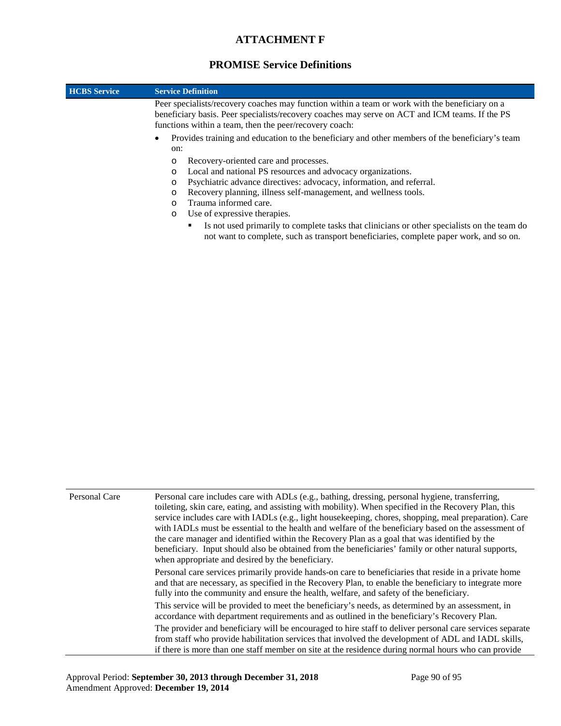#### **PROMISE Service Definitions**

| <b>HCBS</b> Service | <b>Service Definition</b>                                                                                                                                                                                                                                                                                                                                                                                                                                                                                                                                                                                                                                                                                                                                                                                                                                                                                   |
|---------------------|-------------------------------------------------------------------------------------------------------------------------------------------------------------------------------------------------------------------------------------------------------------------------------------------------------------------------------------------------------------------------------------------------------------------------------------------------------------------------------------------------------------------------------------------------------------------------------------------------------------------------------------------------------------------------------------------------------------------------------------------------------------------------------------------------------------------------------------------------------------------------------------------------------------|
|                     | Peer specialists/recovery coaches may function within a team or work with the beneficiary on a<br>beneficiary basis. Peer specialists/recovery coaches may serve on ACT and ICM teams. If the PS<br>functions within a team, then the peer/recovery coach:<br>Provides training and education to the beneficiary and other members of the beneficiary's team<br>on:<br>Recovery-oriented care and processes.<br>O<br>Local and national PS resources and advocacy organizations.<br>O<br>Psychiatric advance directives: advocacy, information, and referral.<br>O<br>Recovery planning, illness self-management, and wellness tools.<br>O<br>Trauma informed care.<br>O<br>Use of expressive therapies.<br>O<br>Is not used primarily to complete tasks that clinicians or other specialists on the team do<br>٠<br>not want to complete, such as transport beneficiaries, complete paper work, and so on. |
| Personal Care       | Personal care includes care with ADLs (e.g., bathing, dressing, personal hygiene, transferring,<br>toileting, skin care, eating, and assisting with mobility). When specified in the Recovery Plan, this<br>service includes care with IADLs (e.g., light housekeeping, chores, shopping, meal preparation). Care<br>with IADLs must be essential to the health and welfare of the beneficiary based on the assessment of<br>the care manager and identified within the Recovery Plan as a goal that was identified by the<br>beneficiary. Input should also be obtained from the beneficiaries' family or other natural supports,<br>when appropriate and desired by the beneficiary.<br>Personal care services primarily provide hands-on care to beneficiaries that reside in a private home<br>and that are necessary, as specified in the Recovery Plan, to enable the beneficiary to integrate more   |

fully into the community and ensure the health, welfare, and safety of the beneficiary. This service will be provided to meet the beneficiary's needs, as determined by an assessment, in accordance with department requirements and as outlined in the beneficiary's Recovery Plan. The provider and beneficiary will be encouraged to hire staff to deliver personal care services separate from staff who provide habilitation services that involved the development of ADL and IADL skills, if there is more than one staff member on site at the residence during normal hours who can provide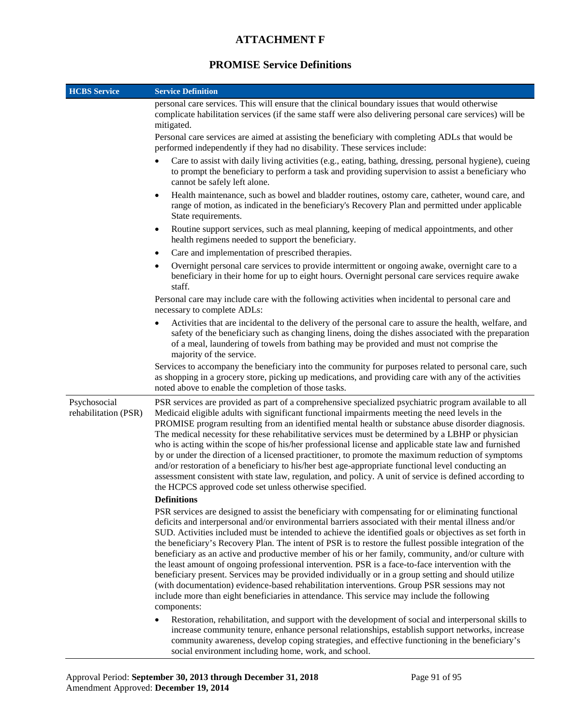| <b>HCBS</b> Service                  | <b>Service Definition</b>                                                                                                                                                                                                                                                                                                                                                                                                                                                                                                                                                                                                                                                                                                                                                                                                                                                                                                                                                                  |
|--------------------------------------|--------------------------------------------------------------------------------------------------------------------------------------------------------------------------------------------------------------------------------------------------------------------------------------------------------------------------------------------------------------------------------------------------------------------------------------------------------------------------------------------------------------------------------------------------------------------------------------------------------------------------------------------------------------------------------------------------------------------------------------------------------------------------------------------------------------------------------------------------------------------------------------------------------------------------------------------------------------------------------------------|
|                                      | personal care services. This will ensure that the clinical boundary issues that would otherwise<br>complicate habilitation services (if the same staff were also delivering personal care services) will be<br>mitigated.                                                                                                                                                                                                                                                                                                                                                                                                                                                                                                                                                                                                                                                                                                                                                                  |
|                                      | Personal care services are aimed at assisting the beneficiary with completing ADLs that would be<br>performed independently if they had no disability. These services include:                                                                                                                                                                                                                                                                                                                                                                                                                                                                                                                                                                                                                                                                                                                                                                                                             |
|                                      | Care to assist with daily living activities (e.g., eating, bathing, dressing, personal hygiene), cueing<br>to prompt the beneficiary to perform a task and providing supervision to assist a beneficiary who<br>cannot be safely left alone.                                                                                                                                                                                                                                                                                                                                                                                                                                                                                                                                                                                                                                                                                                                                               |
|                                      | Health maintenance, such as bowel and bladder routines, ostomy care, catheter, wound care, and<br>٠<br>range of motion, as indicated in the beneficiary's Recovery Plan and permitted under applicable<br>State requirements.                                                                                                                                                                                                                                                                                                                                                                                                                                                                                                                                                                                                                                                                                                                                                              |
|                                      | Routine support services, such as meal planning, keeping of medical appointments, and other<br>$\bullet$<br>health regimens needed to support the beneficiary.                                                                                                                                                                                                                                                                                                                                                                                                                                                                                                                                                                                                                                                                                                                                                                                                                             |
|                                      | Care and implementation of prescribed therapies.<br>$\bullet$                                                                                                                                                                                                                                                                                                                                                                                                                                                                                                                                                                                                                                                                                                                                                                                                                                                                                                                              |
|                                      | Overnight personal care services to provide intermittent or ongoing awake, overnight care to a<br>$\bullet$<br>beneficiary in their home for up to eight hours. Overnight personal care services require awake<br>staff.                                                                                                                                                                                                                                                                                                                                                                                                                                                                                                                                                                                                                                                                                                                                                                   |
|                                      | Personal care may include care with the following activities when incidental to personal care and<br>necessary to complete ADLs:                                                                                                                                                                                                                                                                                                                                                                                                                                                                                                                                                                                                                                                                                                                                                                                                                                                           |
|                                      | Activities that are incidental to the delivery of the personal care to assure the health, welfare, and<br>$\bullet$<br>safety of the beneficiary such as changing linens, doing the dishes associated with the preparation<br>of a meal, laundering of towels from bathing may be provided and must not comprise the<br>majority of the service.                                                                                                                                                                                                                                                                                                                                                                                                                                                                                                                                                                                                                                           |
|                                      | Services to accompany the beneficiary into the community for purposes related to personal care, such<br>as shopping in a grocery store, picking up medications, and providing care with any of the activities<br>noted above to enable the completion of those tasks.                                                                                                                                                                                                                                                                                                                                                                                                                                                                                                                                                                                                                                                                                                                      |
| Psychosocial<br>rehabilitation (PSR) | PSR services are provided as part of a comprehensive specialized psychiatric program available to all<br>Medicaid eligible adults with significant functional impairments meeting the need levels in the<br>PROMISE program resulting from an identified mental health or substance abuse disorder diagnosis.<br>The medical necessity for these rehabilitative services must be determined by a LBHP or physician<br>who is acting within the scope of his/her professional license and applicable state law and furnished<br>by or under the direction of a licensed practitioner, to promote the maximum reduction of symptoms<br>and/or restoration of a beneficiary to his/her best age-appropriate functional level conducting an<br>assessment consistent with state law, regulation, and policy. A unit of service is defined according to<br>the HCPCS approved code set unless otherwise specified.                                                                              |
|                                      | <b>Definitions</b><br>PSR services are designed to assist the beneficiary with compensating for or eliminating functional<br>deficits and interpersonal and/or environmental barriers associated with their mental illness and/or<br>SUD. Activities included must be intended to achieve the identified goals or objectives as set forth in<br>the beneficiary's Recovery Plan. The intent of PSR is to restore the fullest possible integration of the<br>beneficiary as an active and productive member of his or her family, community, and/or culture with<br>the least amount of ongoing professional intervention. PSR is a face-to-face intervention with the<br>beneficiary present. Services may be provided individually or in a group setting and should utilize<br>(with documentation) evidence-based rehabilitation interventions. Group PSR sessions may not<br>include more than eight beneficiaries in attendance. This service may include the following<br>components: |
|                                      | Restoration, rehabilitation, and support with the development of social and interpersonal skills to<br>increase community tenure, enhance personal relationships, establish support networks, increase<br>community awareness, develop coping strategies, and effective functioning in the beneficiary's<br>social environment including home, work, and school.                                                                                                                                                                                                                                                                                                                                                                                                                                                                                                                                                                                                                           |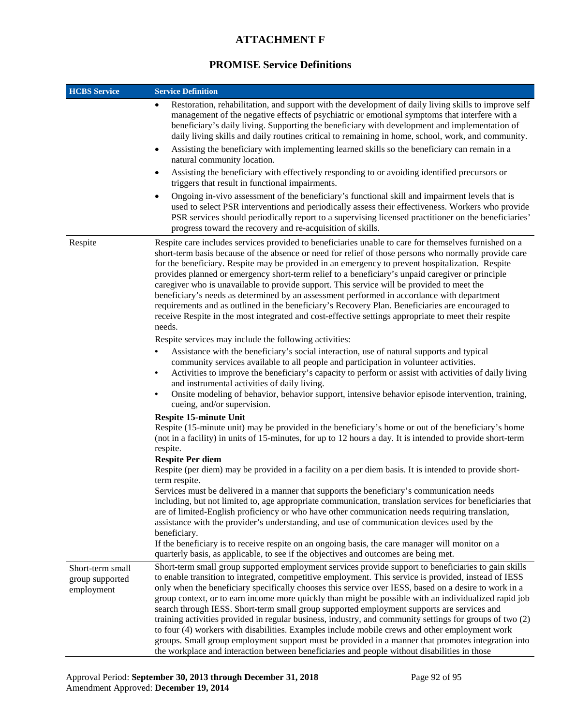| <b>HCBS</b> Service                               | <b>Service Definition</b>                                                                                                                                                                                                                                                                                                                                                                                                                                                                                                                                                                                                                                                                                                                                                                                                                                                                                                                                                                                                                                                                                                                                                                                                                                                                                                                                                                                                                                                                                                                                                                                                                                                                                                                                                                                                                                                                                                                                                                                                                                                                                                                                                                                                                                                                                                                               |
|---------------------------------------------------|---------------------------------------------------------------------------------------------------------------------------------------------------------------------------------------------------------------------------------------------------------------------------------------------------------------------------------------------------------------------------------------------------------------------------------------------------------------------------------------------------------------------------------------------------------------------------------------------------------------------------------------------------------------------------------------------------------------------------------------------------------------------------------------------------------------------------------------------------------------------------------------------------------------------------------------------------------------------------------------------------------------------------------------------------------------------------------------------------------------------------------------------------------------------------------------------------------------------------------------------------------------------------------------------------------------------------------------------------------------------------------------------------------------------------------------------------------------------------------------------------------------------------------------------------------------------------------------------------------------------------------------------------------------------------------------------------------------------------------------------------------------------------------------------------------------------------------------------------------------------------------------------------------------------------------------------------------------------------------------------------------------------------------------------------------------------------------------------------------------------------------------------------------------------------------------------------------------------------------------------------------------------------------------------------------------------------------------------------------|
|                                                   | Restoration, rehabilitation, and support with the development of daily living skills to improve self<br>٠<br>management of the negative effects of psychiatric or emotional symptoms that interfere with a<br>beneficiary's daily living. Supporting the beneficiary with development and implementation of<br>daily living skills and daily routines critical to remaining in home, school, work, and community.<br>Assisting the beneficiary with implementing learned skills so the beneficiary can remain in a<br>٠<br>natural community location.<br>Assisting the beneficiary with effectively responding to or avoiding identified precursors or<br>٠<br>triggers that result in functional impairments.<br>Ongoing in-vivo assessment of the beneficiary's functional skill and impairment levels that is<br>$\bullet$<br>used to select PSR interventions and periodically assess their effectiveness. Workers who provide<br>PSR services should periodically report to a supervising licensed practitioner on the beneficiaries'<br>progress toward the recovery and re-acquisition of skills.                                                                                                                                                                                                                                                                                                                                                                                                                                                                                                                                                                                                                                                                                                                                                                                                                                                                                                                                                                                                                                                                                                                                                                                                                                               |
| Respite                                           | Respite care includes services provided to beneficiaries unable to care for themselves furnished on a<br>short-term basis because of the absence or need for relief of those persons who normally provide care<br>for the beneficiary. Respite may be provided in an emergency to prevent hospitalization. Respite<br>provides planned or emergency short-term relief to a beneficiary's unpaid caregiver or principle<br>caregiver who is unavailable to provide support. This service will be provided to meet the<br>beneficiary's needs as determined by an assessment performed in accordance with department<br>requirements and as outlined in the beneficiary's Recovery Plan. Beneficiaries are encouraged to<br>receive Respite in the most integrated and cost-effective settings appropriate to meet their respite<br>needs.<br>Respite services may include the following activities:<br>Assistance with the beneficiary's social interaction, use of natural supports and typical<br>community services available to all people and participation in volunteer activities.<br>Activities to improve the beneficiary's capacity to perform or assist with activities of daily living<br>٠<br>and instrumental activities of daily living.<br>Onsite modeling of behavior, behavior support, intensive behavior episode intervention, training,<br>٠<br>cueing, and/or supervision.<br><b>Respite 15-minute Unit</b><br>Respite (15-minute unit) may be provided in the beneficiary's home or out of the beneficiary's home<br>(not in a facility) in units of 15-minutes, for up to 12 hours a day. It is intended to provide short-term<br>respite.<br><b>Respite Per diem</b><br>Respite (per diem) may be provided in a facility on a per diem basis. It is intended to provide short-<br>term respite.<br>Services must be delivered in a manner that supports the beneficiary's communication needs<br>including, but not limited to, age appropriate communication, translation services for beneficiaries that<br>are of limited-English proficiency or who have other communication needs requiring translation,<br>assistance with the provider's understanding, and use of communication devices used by the<br>beneficiary.<br>If the beneficiary is to receive respite on an ongoing basis, the care manager will monitor on a |
| Short-term small<br>group supported<br>employment | quarterly basis, as applicable, to see if the objectives and outcomes are being met.<br>Short-term small group supported employment services provide support to beneficiaries to gain skills<br>to enable transition to integrated, competitive employment. This service is provided, instead of IESS<br>only when the beneficiary specifically chooses this service over IESS, based on a desire to work in a<br>group context, or to earn income more quickly than might be possible with an individualized rapid job<br>search through IESS. Short-term small group supported employment supports are services and<br>training activities provided in regular business, industry, and community settings for groups of two (2)<br>to four (4) workers with disabilities. Examples include mobile crews and other employment work<br>groups. Small group employment support must be provided in a manner that promotes integration into<br>the workplace and interaction between beneficiaries and people without disabilities in those                                                                                                                                                                                                                                                                                                                                                                                                                                                                                                                                                                                                                                                                                                                                                                                                                                                                                                                                                                                                                                                                                                                                                                                                                                                                                                               |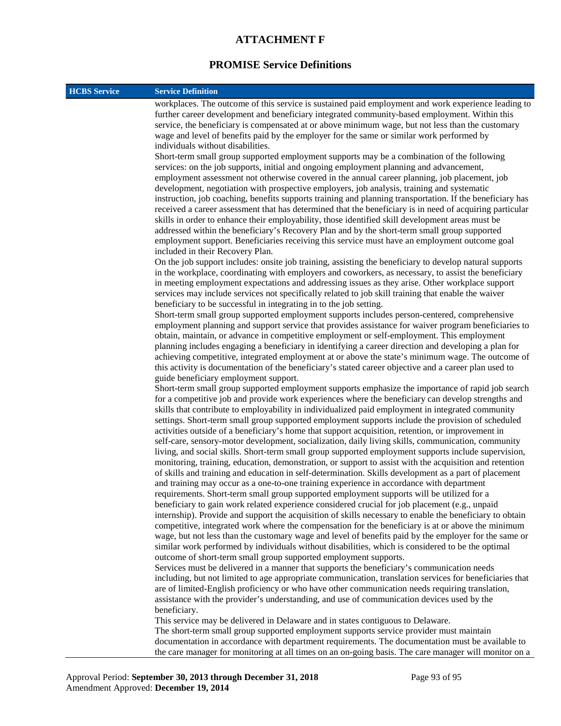| <b>HCBS</b> Service | <b>Service Definition</b>                                                                                                                                                                              |
|---------------------|--------------------------------------------------------------------------------------------------------------------------------------------------------------------------------------------------------|
|                     | workplaces. The outcome of this service is sustained paid employment and work experience leading to                                                                                                    |
|                     | further career development and beneficiary integrated community-based employment. Within this                                                                                                          |
|                     | service, the beneficiary is compensated at or above minimum wage, but not less than the customary                                                                                                      |
|                     | wage and level of benefits paid by the employer for the same or similar work performed by                                                                                                              |
|                     | individuals without disabilities.                                                                                                                                                                      |
|                     | Short-term small group supported employment supports may be a combination of the following                                                                                                             |
|                     | services: on the job supports, initial and ongoing employment planning and advancement,                                                                                                                |
|                     | employment assessment not otherwise covered in the annual career planning, job placement, job                                                                                                          |
|                     | development, negotiation with prospective employers, job analysis, training and systematic                                                                                                             |
|                     | instruction, job coaching, benefits supports training and planning transportation. If the beneficiary has                                                                                              |
|                     | received a career assessment that has determined that the beneficiary is in need of acquiring particular                                                                                               |
|                     | skills in order to enhance their employability, those identified skill development areas must be                                                                                                       |
|                     | addressed within the beneficiary's Recovery Plan and by the short-term small group supported                                                                                                           |
|                     | employment support. Beneficiaries receiving this service must have an employment outcome goal                                                                                                          |
|                     | included in their Recovery Plan.                                                                                                                                                                       |
|                     | On the job support includes: onsite job training, assisting the beneficiary to develop natural supports                                                                                                |
|                     | in the workplace, coordinating with employers and coworkers, as necessary, to assist the beneficiary                                                                                                   |
|                     | in meeting employment expectations and addressing issues as they arise. Other workplace support                                                                                                        |
|                     | services may include services not specifically related to job skill training that enable the waiver                                                                                                    |
|                     | beneficiary to be successful in integrating in to the job setting.<br>Short-term small group supported employment supports includes person-centered, comprehensive                                     |
|                     | employment planning and support service that provides assistance for waiver program beneficiaries to                                                                                                   |
|                     | obtain, maintain, or advance in competitive employment or self-employment. This employment                                                                                                             |
|                     | planning includes engaging a beneficiary in identifying a career direction and developing a plan for                                                                                                   |
|                     | achieving competitive, integrated employment at or above the state's minimum wage. The outcome of                                                                                                      |
|                     | this activity is documentation of the beneficiary's stated career objective and a career plan used to                                                                                                  |
|                     | guide beneficiary employment support.                                                                                                                                                                  |
|                     | Short-term small group supported employment supports emphasize the importance of rapid job search                                                                                                      |
|                     | for a competitive job and provide work experiences where the beneficiary can develop strengths and                                                                                                     |
|                     | skills that contribute to employability in individualized paid employment in integrated community                                                                                                      |
|                     | settings. Short-term small group supported employment supports include the provision of scheduled                                                                                                      |
|                     | activities outside of a beneficiary's home that support acquisition, retention, or improvement in                                                                                                      |
|                     | self-care, sensory-motor development, socialization, daily living skills, communication, community                                                                                                     |
|                     | living, and social skills. Short-term small group supported employment supports include supervision,                                                                                                   |
|                     | monitoring, training, education, demonstration, or support to assist with the acquisition and retention                                                                                                |
|                     | of skills and training and education in self-determination. Skills development as a part of placement                                                                                                  |
|                     | and training may occur as a one-to-one training experience in accordance with department                                                                                                               |
|                     | requirements. Short-term small group supported employment supports will be utilized for a                                                                                                              |
|                     | beneficiary to gain work related experience considered crucial for job placement (e.g., unpaid                                                                                                         |
|                     | internship). Provide and support the acquisition of skills necessary to enable the beneficiary to obtain                                                                                               |
|                     | competitive, integrated work where the compensation for the beneficiary is at or above the minimum                                                                                                     |
|                     | wage, but not less than the customary wage and level of benefits paid by the employer for the same or                                                                                                  |
|                     | similar work performed by individuals without disabilities, which is considered to be the optimal                                                                                                      |
|                     | outcome of short-term small group supported employment supports.                                                                                                                                       |
|                     | Services must be delivered in a manner that supports the beneficiary's communication needs<br>including, but not limited to age appropriate communication, translation services for beneficiaries that |
|                     | are of limited-English proficiency or who have other communication needs requiring translation,                                                                                                        |
|                     | assistance with the provider's understanding, and use of communication devices used by the                                                                                                             |
|                     | beneficiary.                                                                                                                                                                                           |
|                     | This service may be delivered in Delaware and in states contiguous to Delaware.                                                                                                                        |
|                     | The short-term small group supported employment supports service provider must maintain                                                                                                                |
|                     | documentation in accordance with department requirements. The documentation must be available to                                                                                                       |
|                     | the care manager for monitoring at all times on an on-going basis. The care manager will monitor on a                                                                                                  |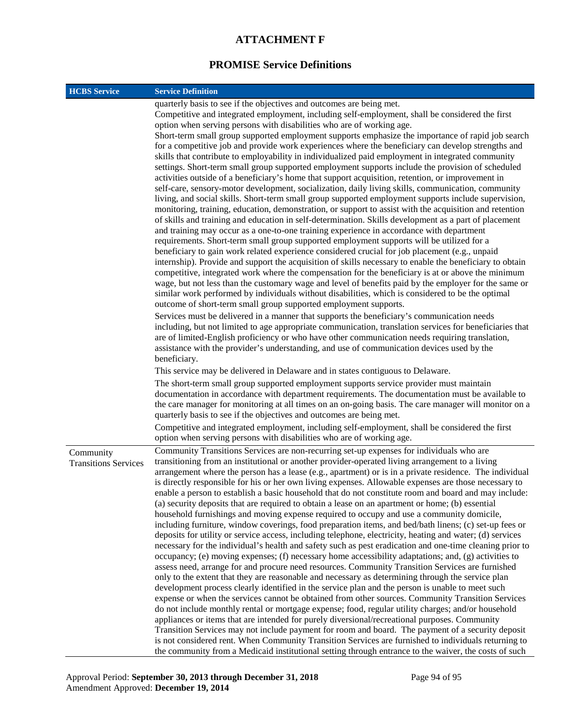| <b>Service Definition</b>                                                                                                                                                                                                                                                                                                                                                                                                                                                                                                                                                                                                                                                                                                                                                                                                                                                                                                                                                                                                                                                                                                                                                                                                                                                                                                                                                                                                                                                                                                                                                                                                                                                                                                                                                                                                                                                                                                                                                                                                                                                                                             |
|-----------------------------------------------------------------------------------------------------------------------------------------------------------------------------------------------------------------------------------------------------------------------------------------------------------------------------------------------------------------------------------------------------------------------------------------------------------------------------------------------------------------------------------------------------------------------------------------------------------------------------------------------------------------------------------------------------------------------------------------------------------------------------------------------------------------------------------------------------------------------------------------------------------------------------------------------------------------------------------------------------------------------------------------------------------------------------------------------------------------------------------------------------------------------------------------------------------------------------------------------------------------------------------------------------------------------------------------------------------------------------------------------------------------------------------------------------------------------------------------------------------------------------------------------------------------------------------------------------------------------------------------------------------------------------------------------------------------------------------------------------------------------------------------------------------------------------------------------------------------------------------------------------------------------------------------------------------------------------------------------------------------------------------------------------------------------------------------------------------------------|
|                                                                                                                                                                                                                                                                                                                                                                                                                                                                                                                                                                                                                                                                                                                                                                                                                                                                                                                                                                                                                                                                                                                                                                                                                                                                                                                                                                                                                                                                                                                                                                                                                                                                                                                                                                                                                                                                                                                                                                                                                                                                                                                       |
| quarterly basis to see if the objectives and outcomes are being met.<br>Competitive and integrated employment, including self-employment, shall be considered the first<br>option when serving persons with disabilities who are of working age.<br>Short-term small group supported employment supports emphasize the importance of rapid job search<br>for a competitive job and provide work experiences where the beneficiary can develop strengths and<br>skills that contribute to employability in individualized paid employment in integrated community<br>settings. Short-term small group supported employment supports include the provision of scheduled<br>activities outside of a beneficiary's home that support acquisition, retention, or improvement in<br>self-care, sensory-motor development, socialization, daily living skills, communication, community<br>living, and social skills. Short-term small group supported employment supports include supervision,<br>monitoring, training, education, demonstration, or support to assist with the acquisition and retention<br>of skills and training and education in self-determination. Skills development as a part of placement                                                                                                                                                                                                                                                                                                                                                                                                                                                                                                                                                                                                                                                                                                                                                                                                                                                                                                          |
| and training may occur as a one-to-one training experience in accordance with department<br>requirements. Short-term small group supported employment supports will be utilized for a<br>beneficiary to gain work related experience considered crucial for job placement (e.g., unpaid<br>internship). Provide and support the acquisition of skills necessary to enable the beneficiary to obtain<br>competitive, integrated work where the compensation for the beneficiary is at or above the minimum<br>wage, but not less than the customary wage and level of benefits paid by the employer for the same or<br>similar work performed by individuals without disabilities, which is considered to be the optimal<br>outcome of short-term small group supported employment supports.                                                                                                                                                                                                                                                                                                                                                                                                                                                                                                                                                                                                                                                                                                                                                                                                                                                                                                                                                                                                                                                                                                                                                                                                                                                                                                                           |
| Services must be delivered in a manner that supports the beneficiary's communication needs<br>including, but not limited to age appropriate communication, translation services for beneficiaries that<br>are of limited-English proficiency or who have other communication needs requiring translation,<br>assistance with the provider's understanding, and use of communication devices used by the<br>beneficiary.                                                                                                                                                                                                                                                                                                                                                                                                                                                                                                                                                                                                                                                                                                                                                                                                                                                                                                                                                                                                                                                                                                                                                                                                                                                                                                                                                                                                                                                                                                                                                                                                                                                                                               |
| This service may be delivered in Delaware and in states contiguous to Delaware.                                                                                                                                                                                                                                                                                                                                                                                                                                                                                                                                                                                                                                                                                                                                                                                                                                                                                                                                                                                                                                                                                                                                                                                                                                                                                                                                                                                                                                                                                                                                                                                                                                                                                                                                                                                                                                                                                                                                                                                                                                       |
| The short-term small group supported employment supports service provider must maintain<br>documentation in accordance with department requirements. The documentation must be available to<br>the care manager for monitoring at all times on an on-going basis. The care manager will monitor on a<br>quarterly basis to see if the objectives and outcomes are being met.                                                                                                                                                                                                                                                                                                                                                                                                                                                                                                                                                                                                                                                                                                                                                                                                                                                                                                                                                                                                                                                                                                                                                                                                                                                                                                                                                                                                                                                                                                                                                                                                                                                                                                                                          |
| Competitive and integrated employment, including self-employment, shall be considered the first<br>option when serving persons with disabilities who are of working age.                                                                                                                                                                                                                                                                                                                                                                                                                                                                                                                                                                                                                                                                                                                                                                                                                                                                                                                                                                                                                                                                                                                                                                                                                                                                                                                                                                                                                                                                                                                                                                                                                                                                                                                                                                                                                                                                                                                                              |
| Community Transitions Services are non-recurring set-up expenses for individuals who are<br>transitioning from an institutional or another provider-operated living arrangement to a living<br>arrangement where the person has a lease (e.g., apartment) or is in a private residence. The individual<br>is directly responsible for his or her own living expenses. Allowable expenses are those necessary to<br>enable a person to establish a basic household that do not constitute room and board and may include:<br>(a) security deposits that are required to obtain a lease on an apartment or home; (b) essential<br>household furnishings and moving expense required to occupy and use a community domicile,<br>including furniture, window coverings, food preparation items, and bed/bath linens; (c) set-up fees or<br>deposits for utility or service access, including telephone, electricity, heating and water; (d) services<br>necessary for the individual's health and safety such as pest eradication and one-time cleaning prior to<br>occupancy; (e) moving expenses; (f) necessary home accessibility adaptations; and, $(g)$ activities to<br>assess need, arrange for and procure need resources. Community Transition Services are furnished<br>only to the extent that they are reasonable and necessary as determining through the service plan<br>development process clearly identified in the service plan and the person is unable to meet such<br>expense or when the services cannot be obtained from other sources. Community Transition Services<br>do not include monthly rental or mortgage expense; food, regular utility charges; and/or household<br>appliances or items that are intended for purely diversional/recreational purposes. Community<br>Transition Services may not include payment for room and board. The payment of a security deposit<br>is not considered rent. When Community Transition Services are furnished to individuals returning to<br>the community from a Medicaid institutional setting through entrance to the waiver, the costs of such |
|                                                                                                                                                                                                                                                                                                                                                                                                                                                                                                                                                                                                                                                                                                                                                                                                                                                                                                                                                                                                                                                                                                                                                                                                                                                                                                                                                                                                                                                                                                                                                                                                                                                                                                                                                                                                                                                                                                                                                                                                                                                                                                                       |